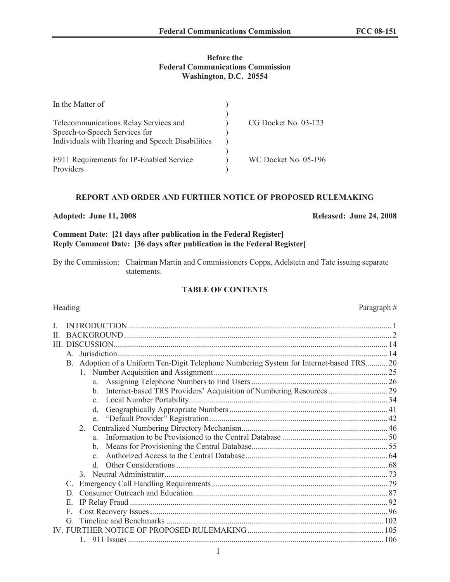# **Before the Federal Communications Commission Washington, D.C. 20554**

| In the Matter of                                 |                      |
|--------------------------------------------------|----------------------|
|                                                  |                      |
| Telecommunications Relay Services and            | CG Docket No. 03-123 |
| Speech-to-Speech Services for                    |                      |
| Individuals with Hearing and Speech Disabilities |                      |
|                                                  |                      |
| E911 Requirements for IP-Enabled Service         | WC Docket No. 05-196 |
| Providers                                        |                      |

## **REPORT AND ORDER AND FURTHER NOTICE OF PROPOSED RULEMAKING**

## **Adopted: June 11, 2008 Released: June 24, 2008**

# **Comment Date: [21 days after publication in the Federal Register] Reply Comment Date: [36 days after publication in the Federal Register]**

By the Commission: Chairman Martin and Commissioners Copps, Adelstein and Tate issuing separate statements.

# **TABLE OF CONTENTS**

| H. |               |               |                                                                                     |                                                                         |  |
|----|---------------|---------------|-------------------------------------------------------------------------------------|-------------------------------------------------------------------------|--|
|    |               |               |                                                                                     |                                                                         |  |
|    |               |               |                                                                                     |                                                                         |  |
|    | B.            |               | Adoption of a Uniform Ten-Digit Telephone Numbering System for Internet-based TRS20 |                                                                         |  |
|    |               |               |                                                                                     |                                                                         |  |
|    |               |               |                                                                                     |                                                                         |  |
|    |               |               |                                                                                     | b. Internet-based TRS Providers' Acquisition of Numbering Resources  29 |  |
|    |               |               |                                                                                     |                                                                         |  |
|    |               |               | d.                                                                                  |                                                                         |  |
|    |               |               |                                                                                     |                                                                         |  |
|    |               | 2.            |                                                                                     |                                                                         |  |
|    |               |               | a —                                                                                 |                                                                         |  |
|    |               |               |                                                                                     |                                                                         |  |
|    |               |               | $\mathbf{c}$                                                                        |                                                                         |  |
|    |               |               | $\mathbf{d}$                                                                        |                                                                         |  |
|    |               | $\mathcal{E}$ |                                                                                     |                                                                         |  |
|    | $\mathcal{C}$ |               |                                                                                     |                                                                         |  |
|    | D.            |               |                                                                                     |                                                                         |  |
|    | E.            |               |                                                                                     |                                                                         |  |
|    | F             |               |                                                                                     |                                                                         |  |
|    | G             |               |                                                                                     |                                                                         |  |
|    |               |               |                                                                                     |                                                                         |  |
|    |               |               |                                                                                     |                                                                         |  |

Heading Paragraph #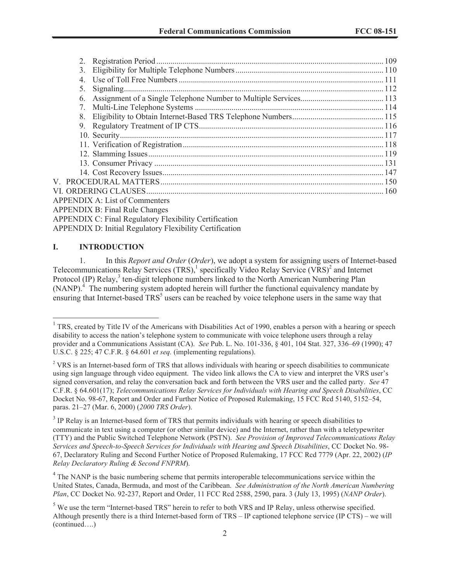| 3.          |                                                                 |  |
|-------------|-----------------------------------------------------------------|--|
| $4_{\cdot}$ |                                                                 |  |
| 5.          |                                                                 |  |
| 6.          |                                                                 |  |
| 7.          |                                                                 |  |
| 8.          |                                                                 |  |
| 9.          |                                                                 |  |
|             |                                                                 |  |
|             |                                                                 |  |
|             |                                                                 |  |
|             |                                                                 |  |
|             |                                                                 |  |
|             |                                                                 |  |
|             |                                                                 |  |
|             | <b>APPENDIX A: List of Commenters</b>                           |  |
|             | <b>APPENDIX B: Final Rule Changes</b>                           |  |
|             | <b>APPENDIX C: Final Regulatory Flexibility Certification</b>   |  |
|             | <b>APPENDIX D: Initial Regulatory Flexibility Certification</b> |  |

## **I. INTRODUCTION**

1. In this *Report and Order* (*Order*), we adopt a system for assigning users of Internet-based Telecommunications Relay Services (TRS),<sup>1</sup> specifically Video Relay Service (VRS)<sup>2</sup> and Internet Protocol (IP) Relay,<sup>3</sup> ten-digit telephone numbers linked to the North American Numbering Plan  $(NANP)<sup>4</sup>$ . The numbering system adopted herein will further the functional equivalency mandate by ensuring that Internet-based TRS<sup>5</sup> users can be reached by voice telephone users in the same way that

<sup>&</sup>lt;sup>1</sup> TRS, created by Title IV of the Americans with Disabilities Act of 1990, enables a person with a hearing or speech disability to access the nation's telephone system to communicate with voice telephone users through a relay provider and a Communications Assistant (CA). *See* Pub. L. No. 101-336, § 401, 104 Stat. 327, 336–69 (1990); 47 U.S.C. § 225; 47 C.F.R. § 64.601 *et seq.* (implementing regulations).

<sup>&</sup>lt;sup>2</sup> VRS is an Internet-based form of TRS that allows individuals with hearing or speech disabilities to communicate using sign language through video equipment. The video link allows the CA to view and interpret the VRS user's signed conversation, and relay the conversation back and forth between the VRS user and the called party. *See* 47 C.F.R. § 64.601(17); *Telecommunications Relay Services for Individuals with Hearing and Speech Disabilities*, CC Docket No. 98-67, Report and Order and Further Notice of Proposed Rulemakin*g*, 15 FCC Rcd 5140, 5152–54, paras. 21–27 (Mar. 6, 2000) (*2000 TRS Order*).

<sup>&</sup>lt;sup>3</sup> IP Relay is an Internet-based form of TRS that permits individuals with hearing or speech disabilities to communicate in text using a computer (or other similar device) and the Internet, rather than with a teletypewriter (TTY) and the Public Switched Telephone Network (PSTN). *See Provision of Improved Telecommunications Relay Services and Speech-to-Speech Services for Individuals with Hearing and Speech Disabilities*, CC Docket No. 98- 67, Declaratory Ruling and Second Further Notice of Proposed Rulemaking, 17 FCC Rcd 7779 (Apr. 22, 2002) (*IP Relay Declaratory Ruling & Second FNPRM*).

<sup>&</sup>lt;sup>4</sup> The NANP is the basic numbering scheme that permits interoperable telecommunications service within the United States, Canada, Bermuda, and most of the Caribbean. *See Administration of the North American Numbering Plan*, CC Docket No. 92-237, Report and Order, 11 FCC Rcd 2588, 2590, para. 3 (July 13, 1995) (*NANP Order*).

<sup>&</sup>lt;sup>5</sup> We use the term "Internet-based TRS" herein to refer to both VRS and IP Relay, unless otherwise specified. Although presently there is a third Internet-based form of TRS – IP captioned telephone service (IP CTS) – we will (continued….)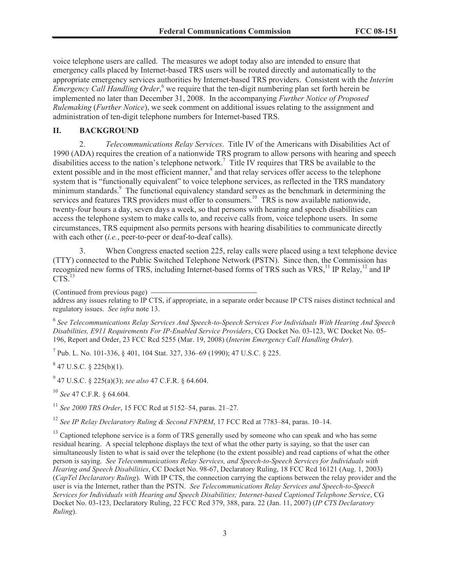voice telephone users are called. The measures we adopt today also are intended to ensure that emergency calls placed by Internet-based TRS users will be routed directly and automatically to the appropriate emergency services authorities by Internet-based TRS providers. Consistent with the *Interim Emergency Call Handling Order*,<sup>6</sup> we require that the ten-digit numbering plan set forth herein be implemented no later than December 31, 2008. In the accompanying *Further Notice of Proposed Rulemaking* (*Further Notice*), we seek comment on additional issues relating to the assignment and administration of ten-digit telephone numbers for Internet-based TRS.

### **II. BACKGROUND**

2. *Telecommunications Relay Services*. Title IV of the Americans with Disabilities Act of 1990 (ADA) requires the creation of a nationwide TRS program to allow persons with hearing and speech disabilities access to the nation's telephone network.<sup>7</sup> Title IV requires that TRS be available to the extent possible and in the most efficient manner,<sup>8</sup> and that relay services offer access to the telephone system that is "functionally equivalent" to voice telephone services, as reflected in the TRS mandatory minimum standards.<sup>9</sup> The functional equivalency standard serves as the benchmark in determining the services and features TRS providers must offer to consumers.<sup>10</sup> TRS is now available nationwide, twenty-four hours a day, seven days a week, so that persons with hearing and speech disabilities can access the telephone system to make calls to, and receive calls from, voice telephone users. In some circumstances, TRS equipment also permits persons with hearing disabilities to communicate directly with each other (*i.e.*, peer-to-peer or deaf-to-deaf calls).

3. When Congress enacted section 225, relay calls were placed using a text telephone device (TTY) connected to the Public Switched Telephone Network (PSTN). Since then, the Commission has recognized new forms of TRS, including Internet-based forms of TRS such as VRS,<sup>11</sup> IP Relay,<sup>12</sup> and IP  $CTS.<sup>13</sup>$ 

(Continued from previous page)

address any issues relating to IP CTS, if appropriate, in a separate order because IP CTS raises distinct technical and regulatory issues. *See infra* note 13.

6 *See Telecommunications Relay Services And Speech-to-Speech Services For Individuals With Hearing And Speech Disabilities, E911 Requirements For IP-Enabled Service Providers*, CG Docket No. 03-123, WC Docket No. 05- 196, Report and Order, 23 FCC Rcd 5255 (Mar. 19, 2008) (*Interim Emergency Call Handling Order*).

7 Pub. L. No. 101-336, § 401, 104 Stat. 327, 336–69 (1990); 47 U.S.C. § 225.

 $847$  U.S.C. § 225(b)(1).

9 47 U.S.C. § 225(a)(3); *see also* 47 C.F.R. § 64.604.

<sup>10</sup> *See* 47 C.F.R. § 64.604.

<sup>11</sup> *See 2000 TRS Order*, 15 FCC Rcd at 5152–54, paras. 21–27.

<sup>12</sup> *See IP Relay Declaratory Ruling & Second FNPRM*, 17 FCC Rcd at 7783–84, paras. 10–14.

<sup>13</sup> Captioned telephone service is a form of TRS generally used by someone who can speak and who has some residual hearing. A special telephone displays the text of what the other party is saying, so that the user can simultaneously listen to what is said over the telephone (to the extent possible) and read captions of what the other person is saying. *See Telecommunications Relay Services, and Speech-to-Speech Services for Individuals with Hearing and Speech Disabilities*, CC Docket No. 98-67, Declaratory Ruling, 18 FCC Rcd 16121 (Aug. 1, 2003) (*CapTel Declaratory Ruling*). With IP CTS, the connection carrying the captions between the relay provider and the user is via the Internet, rather than the PSTN. *See Telecommunications Relay Services and Speech-to-Speech Services for Individuals with Hearing and Speech Disabilities; Internet-based Captioned Telephone Service*, CG Docket No. 03-123, Declaratory Ruling, 22 FCC Rcd 379, 388, para. 22 (Jan. 11, 2007) (*IP CTS Declaratory Ruling*).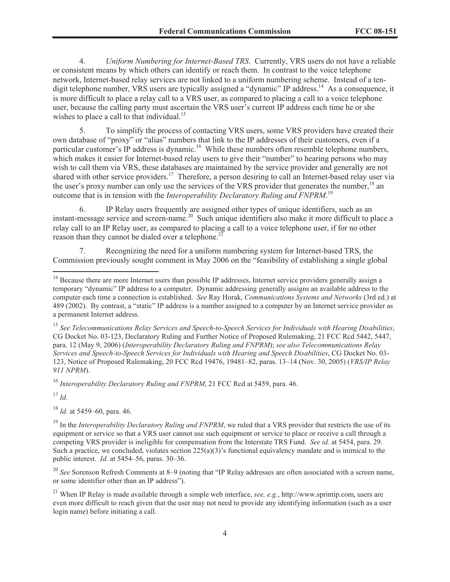4. *Uniform Numbering for Internet-Based TRS*. Currently, VRS users do not have a reliable or consistent means by which others can identify or reach them. In contrast to the voice telephone network, Internet-based relay services are not linked to a uniform numbering scheme. Instead of a tendigit telephone number, VRS users are typically assigned a "dynamic" IP address.<sup>14</sup> As a consequence, it is more difficult to place a relay call to a VRS user, as compared to placing a call to a voice telephone user, because the calling party must ascertain the VRS user's current IP address each time he or she wishes to place a call to that individual.<sup>15</sup>

5. To simplify the process of contacting VRS users, some VRS providers have created their own database of "proxy" or "alias" numbers that link to the IP addresses of their customers, even if a particular customer's IP address is dynamic.<sup>16</sup> While these numbers often resemble telephone numbers, which makes it easier for Internet-based relay users to give their "number" to hearing persons who may wish to call them via VRS, these databases are maintained by the service provider and generally are not shared with other service providers.<sup>17</sup> Therefore, a person desiring to call an Internet-based relay user via the user's proxy number can only use the services of the VRS provider that generates the number,<sup>18</sup> an outcome that is in tension with the *Interoperability Declaratory Ruling and FNPRM*.<sup>19</sup>

6. IP Relay users frequently are assigned other types of unique identifiers, such as an instant-message service and screen-name. <sup>20</sup> Such unique identifiers also make it more difficult to place a relay call to an IP Relay user, as compared to placing a call to a voice telephone user, if for no other reason than they cannot be dialed over a telephone.<sup>2</sup>

7. Recognizing the need for a uniform numbering system for Internet-based TRS, the Commission previously sought comment in May 2006 on the "feasibility of establishing a single global

<sup>16</sup> *Interoperability Declaratory Ruling and FNPRM*, 21 FCC Rcd at 5459, para. 46.

<sup>17</sup> *Id.*

<sup>18</sup> *Id.* at 5459–60, para. 46.

<sup>19</sup> In the *Interoperability Declaratory Ruling and FNPRM*, we ruled that a VRS provider that restricts the use of its equipment or service so that a VRS user cannot use such equipment or service to place or receive a call through a competing VRS provider is ineligible for compensation from the Interstate TRS Fund. *See id.* at 5454, para. 29. Such a practice, we concluded, violates section  $225(a)(3)$ 's functional equivalency mandate and is inimical to the public interest. *Id.* at 5454–56, paras. 30–36.

<sup>20</sup> *See* Sorenson Refresh Comments at 8–9 (noting that "IP Relay addresses are often associated with a screen name, or some identifier other than an IP address").

<sup>21</sup> When IP Relay is made available through a simple web interface, *see, e.g.*, http://www.sprintip.com, users are even more difficult to reach given that the user may not need to provide any identifying information (such as a user login name) before initiating a call.

<sup>&</sup>lt;sup>14</sup> Because there are more Internet users than possible IP addresses, Internet service providers generally assign a temporary "dynamic" IP address to a computer. Dynamic addressing generally assigns an available address to the computer each time a connection is established. *See* Ray Horak, *Communications Systems and Networks* (3rd ed.) at 489 (2002). By contrast, a "static" IP address is a number assigned to a computer by an Internet service provider as a permanent Internet address.

<sup>15</sup> *See Telecommunications Relay Services and Speech-to-Speech Services for Individuals with Hearing Disabilities*, CG Docket No. 03-123, Declaratory Ruling and Further Notice of Proposed Rulemaking, 21 FCC Rcd 5442, 5447, para. 12 (May 9, 2006) (*Interoperability Declaratory Ruling and FNPRM*); *see also Telecommunications Relay Services and Speech-to-Speech Services for Individuals with Hearing and Speech Disabilities*, CG Docket No. 03- 123, Notice of Proposed Rulemaking, 20 FCC Rcd 19476, 19481–82, paras. 13–14 (Nov. 30, 2005) (*VRS/IP Relay 911 NPRM*).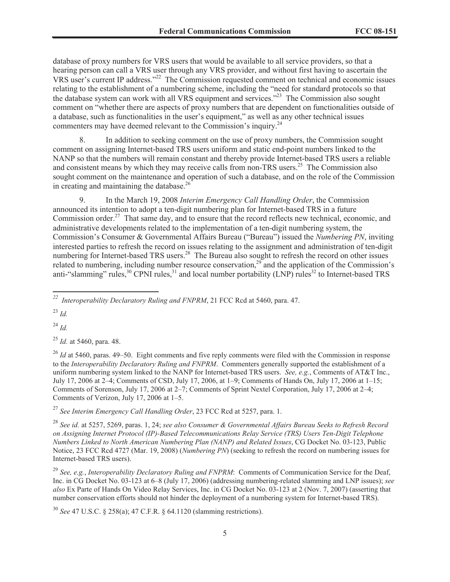database of proxy numbers for VRS users that would be available to all service providers, so that a hearing person can call a VRS user through any VRS provider, and without first having to ascertain the VRS user's current IP address."<sup>22</sup> The Commission requested comment on technical and economic issues relating to the establishment of a numbering scheme, including the "need for standard protocols so that the database system can work with all VRS equipment and services."<sup>23</sup> The Commission also sought comment on "whether there are aspects of proxy numbers that are dependent on functionalities outside of a database, such as functionalities in the user's equipment," as well as any other technical issues commenters may have deemed relevant to the Commission's inquiry.<sup>24</sup>

8. In addition to seeking comment on the use of proxy numbers, the Commission sought comment on assigning Internet-based TRS users uniform and static end-point numbers linked to the NANP so that the numbers will remain constant and thereby provide Internet-based TRS users a reliable and consistent means by which they may receive calls from non-TRS users.<sup>25</sup> The Commission also sought comment on the maintenance and operation of such a database, and on the role of the Commission in creating and maintaining the database.<sup>26</sup>

9. In the March 19, 2008 *Interim Emergency Call Handling Order*, the Commission announced its intention to adopt a ten-digit numbering plan for Internet-based TRS in a future Commission order.<sup>27</sup> That same day, and to ensure that the record reflects new technical, economic, and administrative developments related to the implementation of a ten-digit numbering system, the Commission's Consumer & Governmental Affairs Bureau ("Bureau") issued the *Numbering PN*, inviting interested parties to refresh the record on issues relating to the assignment and administration of ten-digit numbering for Internet-based TRS users.<sup>28</sup> The Bureau also sought to refresh the record on other issues related to numbering, including number resource conservation,<sup>29</sup> and the application of the Commission's anti-"slamming" rules, $30$  CPNI rules, $31$  and local number portability (LNP) rules $32$  to Internet-based TRS

<sup>23</sup> *Id.*

<sup>24</sup> *Id.*

<sup>25</sup> *Id.* at 5460, para. 48.

<sup>26</sup> *Id* at 5460, paras. 49–50. Eight comments and five reply comments were filed with the Commission in response to the *Interoperability Declaratory Ruling and FNPRM*. Commenters generally supported the establishment of a uniform numbering system linked to the NANP for Internet-based TRS users. *See, e.g.*, Comments of AT&T Inc., July 17, 2006 at 2–4; Comments of CSD, July 17, 2006, at 1–9; Comments of Hands On, July 17, 2006 at 1–15; Comments of Sorenson, July 17, 2006 at 2–7; Comments of Sprint Nextel Corporation, July 17, 2006 at 2–4; Comments of Verizon, July 17, 2006 at 1–5.

<sup>27</sup> *See Interim Emergency Call Handling Order*, 23 FCC Rcd at 5257, para. 1.

<sup>28</sup> *See id.* at 5257, 5269, paras. 1, 24; *see also Consumer & Governmental Affairs Bureau Seeks to Refresh Record on Assigning Internet Protocol (IP)-Based Telecommunications Relay Service (TRS) Users Ten-Digit Telephone Numbers Linked to North American Numbering Plan (NANP) and Related Issues*, CG Docket No. 03-123, Public Notice, 23 FCC Rcd 4727 (Mar. 19, 2008) (*Numbering PN*) (seeking to refresh the record on numbering issues for Internet-based TRS users).

<sup>29</sup> *See, e.g.*, *Interoperability Declaratory Ruling and FNPRM*: Comments of Communication Service for the Deaf, Inc. in CG Docket No. 03-123 at 6–8 (July 17, 2006) (addressing numbering-related slamming and LNP issues); *see also* Ex Parte of Hands On Video Relay Services, Inc. in CG Docket No. 03-123 at 2 (Nov. 7, 2007) (asserting that number conservation efforts should not hinder the deployment of a numbering system for Internet-based TRS).

<sup>30</sup> *See* 47 U.S.C. § 258(a); 47 C.F.R. § 64.1120 (slamming restrictions).

*<sup>22</sup> Interoperability Declaratory Ruling and FNPRM*, 21 FCC Rcd at 5460, para. 47.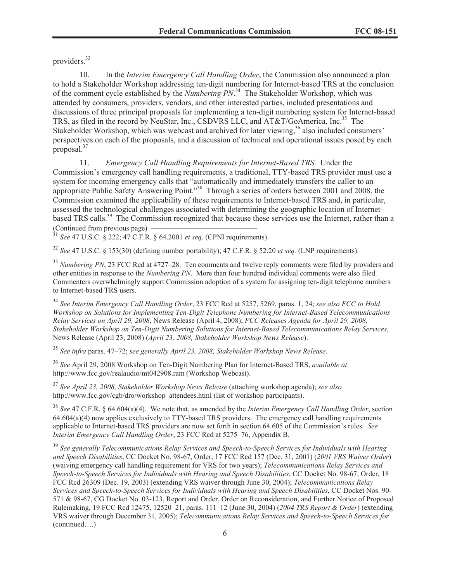providers.<sup>33</sup>

10. In the *Interim Emergency Call Handling Order*, the Commission also announced a plan to hold a Stakeholder Workshop addressing ten-digit numbering for Internet-based TRS at the conclusion of the comment cycle established by the *Numbering PN*. <sup>34</sup> The Stakeholder Workshop, which was attended by consumers, providers, vendors, and other interested parties, included presentations and discussions of three principal proposals for implementing a ten-digit numbering system for Internet-based TRS, as filed in the record by NeuStar, Inc., CSDVRS LLC, and AT&T/GoAmerica, Inc.<sup>35</sup> The Stakeholder Workshop, which was webcast and archived for later viewing,<sup>36</sup> also included consumers' perspectives on each of the proposals, and a discussion of technical and operational issues posed by each proposal.<sup>37</sup>

11. *Emergency Call Handling Requirements for Internet-Based TRS*. Under the Commission's emergency call handling requirements, a traditional, TTY-based TRS provider must use a system for incoming emergency calls that "automatically and immediately transfers the caller to an appropriate Public Safety Answering Point."<sup>38</sup> Through a series of orders between 2001 and 2008, the Commission examined the applicability of these requirements to Internet-based TRS and, in particular, assessed the technological challenges associated with determining the geographic location of Internetbased TRS calls.<sup>39</sup> The Commission recognized that because these services use the Internet, rather than a (Continued from previous page)

<sup>31</sup> *See* 47 U.S.C. § 222; 47 C.F.R. § 64.2001 *et seq*. (CPNI requirements).

<sup>32</sup> *See* 47 U.S.C. § 153(30) (defining number portability); 47 C.F.R. § 52.20 *et seq.* (LNP requirements).

<sup>33</sup> *Numbering PN*, 23 FCC Rcd at 4727–28. Ten comments and twelve reply comments were filed by providers and other entities in response to the *Numbering PN*. More than four hundred individual comments were also filed. Commenters overwhelmingly support Commission adoption of a system for assigning ten-digit telephone numbers to Internet-based TRS users.

<sup>34</sup> *See Interim Emergency Call Handling Order*, 23 FCC Rcd at 5257, 5269, paras. 1, 24; *see also FCC to Hold Workshop on Solutions for Implementing Ten-Digit Telephone Numbering for Internet-Based Telecommunications Relay Services on April 29, 2008*, News Release (April 4, 2008); *FCC Releases Agenda for April 29, 2008, Stakeholder Workshop on Ten-Digit Numbering Solutions for Internet-Based Telecommunications Relay Services*, News Release (April 23, 2008) (*April 23, 2008, Stakeholder Workshop News Release*).

<sup>35</sup> *See infra* paras. 47–72; *see generally April 23, 2008, Stakeholder Workshop News Release*.

<sup>36</sup> *See* April 29, 2008 Workshop on Ten-Digit Numbering Plan for Internet-Based TRS, *available at* http://www.fcc.gov/realaudio/mt042908.ram (Workshop Webcast).

<sup>37</sup> *See April 23, 2008, Stakeholder Workshop News Release* (attaching workshop agenda); *see also*  http://www.fcc.gov/cgb/dro/workshop\_attendees.html (list of workshop participants).

<sup>38</sup> *See* 47 C.F.R. § 64.604(a)(4). We note that, as amended by the *Interim Emergency Call Handling Order*, section 64.604(a)(4) now applies exclusively to TTY-based TRS providers. The emergency call handling requirements applicable to Internet-based TRS providers are now set forth in section 64.605 of the Commission's rules. *See Interim Emergency Call Handling Order*, 23 FCC Rcd at 5275–76, Appendix B.

<sup>39</sup> *See generally Telecommunications Relay Services and Speech-to-Speech Services for Individuals with Hearing and Speech Disabilities*, CC Docket No. 98-67, Order, 17 FCC Rcd 157 (Dec. 31, 2001) (*2001 VRS Waiver Order*) (waiving emergency call handling requirement for VRS for two years); *Telecommunications Relay Services and Speech-to-Speech Services for Individuals with Hearing and Speech Disabilities*, CC Docket No. 98-67, Order, 18 FCC Rcd 26309 (Dec. 19, 2003) (extending VRS waiver through June 30, 2004); *Telecommunications Relay Services and Speech-to-Speech Services for Individuals with Hearing and Speech Disabilities*, CC Docket Nos. 90- 571 & 98-67, CG Docket No. 03-123, Report and Order, Order on Reconsideration, and Further Notice of Proposed Rulemaking, 19 FCC Rcd 12475, 12520–21, paras. 111–12 (June 30, 2004) (*2004 TRS Report & Order*) (extending VRS waiver through December 31, 2005); *Telecommunications Relay Services and Speech-to-Speech Services for*  (continued….)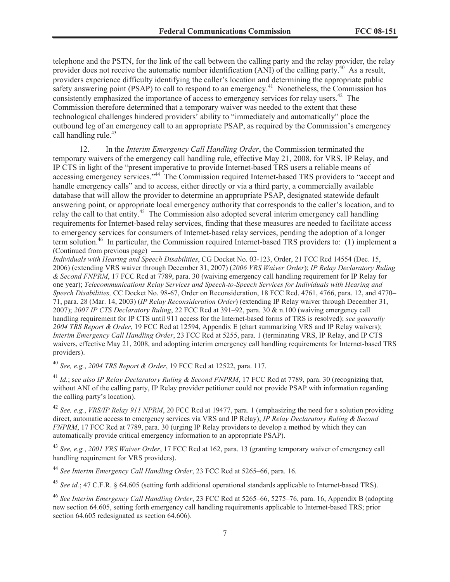telephone and the PSTN, for the link of the call between the calling party and the relay provider, the relay provider does not receive the automatic number identification (ANI) of the calling party.<sup>40</sup> As a result, providers experience difficulty identifying the caller's location and determining the appropriate public safety answering point (PSAP) to call to respond to an emergency.<sup>41</sup> Nonetheless, the Commission has consistently emphasized the importance of access to emergency services for relay users.<sup>42</sup> The Commission therefore determined that a temporary waiver was needed to the extent that these technological challenges hindered providers' ability to "immediately and automatically" place the outbound leg of an emergency call to an appropriate PSAP, as required by the Commission's emergency call handling rule.<sup>43</sup>

12. In the *Interim Emergency Call Handling Order*, the Commission terminated the temporary waivers of the emergency call handling rule, effective May 21, 2008, for VRS, IP Relay, and IP CTS in light of the "present imperative to provide Internet-based TRS users a reliable means of accessing emergency services."<sup>44</sup> The Commission required Internet-based TRS providers to "accept and handle emergency calls" and to access, either directly or via a third party, a commercially available database that will allow the provider to determine an appropriate PSAP, designated statewide default answering point, or appropriate local emergency authority that corresponds to the caller's location, and to relay the call to that entity.<sup>45</sup> The Commission also adopted several interim emergency call handling requirements for Internet-based relay services, finding that these measures are needed to facilitate access to emergency services for consumers of Internet-based relay services, pending the adoption of a longer term solution. <sup>46</sup> In particular, the Commission required Internet-based TRS providers to: (1) implement a (Continued from previous page)

*Individuals with Hearing and Speech Disabilities*, CG Docket No. 03-123, Order, 21 FCC Rcd 14554 (Dec. 15, 2006) (extending VRS waiver through December 31, 2007) (*2006 VRS Waiver Order*); *IP Relay Declaratory Ruling & Second FNPRM*, 17 FCC Rcd at 7789, para. 30 (waiving emergency call handling requirement for IP Relay for one year); *Telecommunications Relay Services and Speech-to-Speech Services for Individuals with Hearing and Speech Disabilities,* CC Docket No. 98-67, Order on Reconsideration, 18 FCC Rcd. 4761, 4766, para. 12, and 4770– 71, para. 28 (Mar. 14, 2003) (*IP Relay Reconsideration Order*) (extending IP Relay waiver through December 31, 2007); *2007 IP CTS Declaratory Ruling*, 22 FCC Rcd at 391–92, para. 30 & n.100 (waiving emergency call handling requirement for IP CTS until 911 access for the Internet-based forms of TRS is resolved); *see generally 2004 TRS Report & Order*, 19 FCC Rcd at 12594, Appendix E (chart summarizing VRS and IP Relay waivers); *Interim Emergency Call Handling Order*, 23 FCC Rcd at 5255, para. 1 (terminating VRS, IP Relay, and IP CTS waivers, effective May 21, 2008, and adopting interim emergency call handling requirements for Internet-based TRS providers).

<sup>40</sup> *See, e.g.*, *2004 TRS Report & Order*, 19 FCC Rcd at 12522, para. 117.

<sup>41</sup> *Id.*; s*ee also IP Relay Declaratory Ruling & Second FNPRM*, 17 FCC Rcd at 7789, para. 30 (recognizing that, without ANI of the calling party, IP Relay provider petitioner could not provide PSAP with information regarding the calling party's location).

<sup>42</sup> *See, e.g.*, *VRS/IP Relay 911 NPRM*, 20 FCC Rcd at 19477, para. 1 (emphasizing the need for a solution providing direct, automatic access to emergency services via VRS and IP Relay); *IP Relay Declaratory Ruling & Second FNPRM*, 17 FCC Rcd at 7789, para. 30 (urging IP Relay providers to develop a method by which they can automatically provide critical emergency information to an appropriate PSAP).

<sup>43</sup> *See, e.g.*, *2001 VRS Waiver Order*, 17 FCC Rcd at 162, para. 13 (granting temporary waiver of emergency call handling requirement for VRS providers).

<sup>44</sup> *See Interim Emergency Call Handling Order*, 23 FCC Rcd at 5265–66, para. 16.

<sup>45</sup> *See id.*; 47 C.F.R. § 64.605 (setting forth additional operational standards applicable to Internet-based TRS).

<sup>46</sup> *See Interim Emergency Call Handling Order*, 23 FCC Rcd at 5265–66, 5275–76, para. 16, Appendix B (adopting new section 64.605, setting forth emergency call handling requirements applicable to Internet-based TRS; prior section 64.605 redesignated as section 64.606).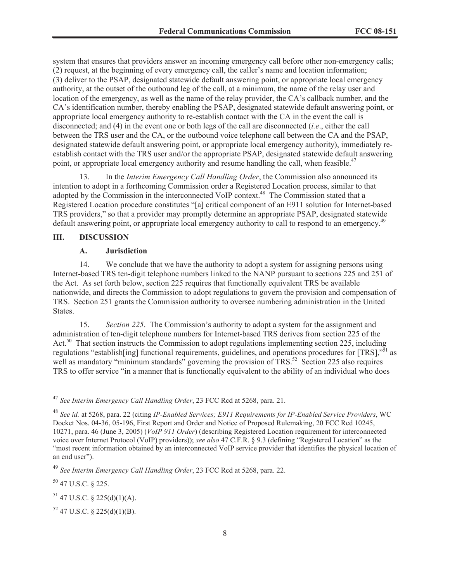system that ensures that providers answer an incoming emergency call before other non-emergency calls; (2) request, at the beginning of every emergency call, the caller's name and location information; (3) deliver to the PSAP, designated statewide default answering point, or appropriate local emergency authority, at the outset of the outbound leg of the call, at a minimum, the name of the relay user and location of the emergency, as well as the name of the relay provider, the CA's callback number, and the CA's identification number, thereby enabling the PSAP, designated statewide default answering point, or appropriate local emergency authority to re-establish contact with the CA in the event the call is disconnected; and (4) in the event one or both legs of the call are disconnected (*i.e*., either the call between the TRS user and the CA, or the outbound voice telephone call between the CA and the PSAP, designated statewide default answering point, or appropriate local emergency authority), immediately reestablish contact with the TRS user and/or the appropriate PSAP, designated statewide default answering point, or appropriate local emergency authority and resume handling the call, when feasible.<sup>47</sup>

13. In the *Interim Emergency Call Handling Order*, the Commission also announced its intention to adopt in a forthcoming Commission order a Registered Location process, similar to that adopted by the Commission in the interconnected VoIP context.<sup>48</sup> The Commission stated that a Registered Location procedure constitutes "[a] critical component of an E911 solution for Internet-based TRS providers," so that a provider may promptly determine an appropriate PSAP, designated statewide default answering point, or appropriate local emergency authority to call to respond to an emergency.<sup>49</sup>

#### **III. DISCUSSION**

#### **A. Jurisdiction**

14. We conclude that we have the authority to adopt a system for assigning persons using Internet-based TRS ten-digit telephone numbers linked to the NANP pursuant to sections 225 and 251 of the Act. As set forth below, section 225 requires that functionally equivalent TRS be available nationwide, and directs the Commission to adopt regulations to govern the provision and compensation of TRS. Section 251 grants the Commission authority to oversee numbering administration in the United States.

15. *Section 225*. The Commission's authority to adopt a system for the assignment and administration of ten-digit telephone numbers for Internet-based TRS derives from section 225 of the Act.<sup>50</sup> That section instructs the Commission to adopt regulations implementing section 225, including regulations "establish[ing] functional requirements, guidelines, and operations procedures for [TRS],"<sup>51</sup> as well as mandatory "minimum standards" governing the provision of TRS.<sup>52</sup> Section 225 also requires TRS to offer service "in a manner that is functionally equivalent to the ability of an individual who does

<sup>50</sup> 47 U.S.C. § 225.

<sup>47</sup> *See Interim Emergency Call Handling Order*, 23 FCC Rcd at 5268, para. 21.

<sup>48</sup> *See id.* at 5268, para. 22 (citing *IP-Enabled Services; E911 Requirements for IP-Enabled Service Providers*, WC Docket Nos. 04-36, 05-196, First Report and Order and Notice of Proposed Rulemaking, 20 FCC Rcd 10245, 10271, para. 46 (June 3, 2005) (*VoIP 911 Order*) (describing Registered Location requirement for interconnected voice over Internet Protocol (VoIP) providers)); *see also* 47 C.F.R. § 9.3 (defining "Registered Location" as the "most recent information obtained by an interconnected VoIP service provider that identifies the physical location of an end user").

<sup>49</sup> *See Interim Emergency Call Handling Order*, 23 FCC Rcd at 5268, para. 22.

 $51$  47 U.S.C. § 225(d)(1)(A).

 $52$  47 U.S.C. § 225(d)(1)(B).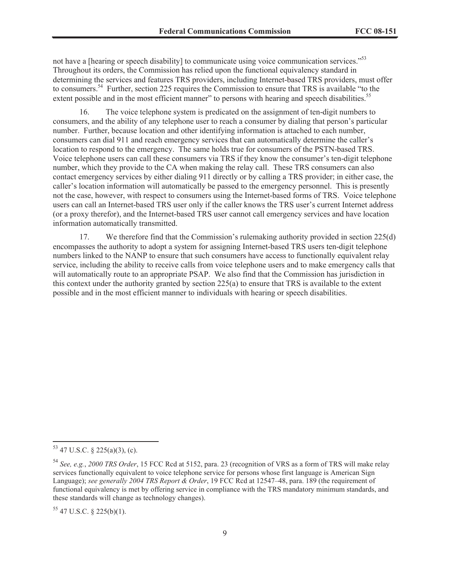not have a [hearing or speech disability] to communicate using voice communication services."<sup>53</sup> Throughout its orders, the Commission has relied upon the functional equivalency standard in determining the services and features TRS providers, including Internet-based TRS providers, must offer to consumers.<sup>54</sup> Further, section 225 requires the Commission to ensure that TRS is available "to the extent possible and in the most efficient manner" to persons with hearing and speech disabilities.<sup>55</sup>

16. The voice telephone system is predicated on the assignment of ten-digit numbers to consumers, and the ability of any telephone user to reach a consumer by dialing that person's particular number. Further, because location and other identifying information is attached to each number, consumers can dial 911 and reach emergency services that can automatically determine the caller's location to respond to the emergency. The same holds true for consumers of the PSTN-based TRS. Voice telephone users can call these consumers via TRS if they know the consumer's ten-digit telephone number, which they provide to the CA when making the relay call. These TRS consumers can also contact emergency services by either dialing 911 directly or by calling a TRS provider; in either case, the caller's location information will automatically be passed to the emergency personnel. This is presently not the case, however, with respect to consumers using the Internet-based forms of TRS. Voice telephone users can call an Internet-based TRS user only if the caller knows the TRS user's current Internet address (or a proxy therefor), and the Internet-based TRS user cannot call emergency services and have location information automatically transmitted.

17. We therefore find that the Commission's rulemaking authority provided in section 225(d) encompasses the authority to adopt a system for assigning Internet-based TRS users ten-digit telephone numbers linked to the NANP to ensure that such consumers have access to functionally equivalent relay service, including the ability to receive calls from voice telephone users and to make emergency calls that will automatically route to an appropriate PSAP. We also find that the Commission has jurisdiction in this context under the authority granted by section 225(a) to ensure that TRS is available to the extent possible and in the most efficient manner to individuals with hearing or speech disabilities.

 $53$  47 U.S.C. § 225(a)(3), (c).

<sup>54</sup> *See, e.g.*, *2000 TRS Order*, 15 FCC Rcd at 5152, para. 23 (recognition of VRS as a form of TRS will make relay services functionally equivalent to voice telephone service for persons whose first language is American Sign Language); *see generally 2004 TRS Report & Order*, 19 FCC Rcd at 12547–48, para. 189 (the requirement of functional equivalency is met by offering service in compliance with the TRS mandatory minimum standards, and these standards will change as technology changes).

 $55$  47 U.S.C. § 225(b)(1).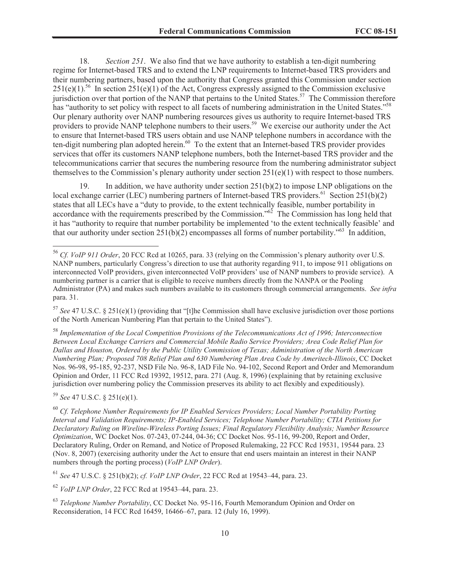18. *Section 251*. We also find that we have authority to establish a ten-digit numbering regime for Internet-based TRS and to extend the LNP requirements to Internet-based TRS providers and their numbering partners, based upon the authority that Congress granted this Commission under section  $251(e)(1)$ <sup>56</sup> In section  $251(e)(1)$  of the Act, Congress expressly assigned to the Commission exclusive jurisdiction over that portion of the NANP that pertains to the United States.<sup>57</sup> The Commission therefore has "authority to set policy with respect to all facets of numbering administration in the United States."<sup>58</sup> Our plenary authority over NANP numbering resources gives us authority to require Internet-based TRS providers to provide NANP telephone numbers to their users.<sup>59</sup> We exercise our authority under the Act to ensure that Internet-based TRS users obtain and use NANP telephone numbers in accordance with the ten-digit numbering plan adopted herein.<sup>60</sup> To the extent that an Internet-based TRS provider provides services that offer its customers NANP telephone numbers, both the Internet-based TRS provider and the telecommunications carrier that secures the numbering resource from the numbering administrator subject themselves to the Commission's plenary authority under section  $251(e)(1)$  with respect to those numbers.

19. In addition, we have authority under section 251(b)(2) to impose LNP obligations on the local exchange carrier (LEC) numbering partners of Internet-based TRS providers.<sup>61</sup> Section 251(b)(2) states that all LECs have a "duty to provide, to the extent technically feasible, number portability in accordance with the requirements prescribed by the Commission.<sup> $562$ </sup> The Commission has long held that it has "authority to require that number portability be implemented 'to the extent technically feasible' and that our authority under section  $251(b)(2)$  encompasses all forms of number portability."<sup>63</sup> In addition,

<sup>57</sup> *See* 47 U.S.C. § 251(e)(1) (providing that "[t]he Commission shall have exclusive jurisdiction over those portions of the North American Numbering Plan that pertain to the United States").

<sup>58</sup> *Implementation of the Local Competition Provisions of the Telecommunications Act of 1996; Interconnection Between Local Exchange Carriers and Commercial Mobile Radio Service Providers; Area Code Relief Plan for Dallas and Houston, Ordered by the Public Utility Commission of Texas; Administration of the North American Numbering Plan; Proposed 708 Relief Plan and 630 Numbering Plan Area Code by Ameritech-Illinois*, CC Docket Nos. 96-98, 95-185, 92-237, NSD File No. 96-8, IAD File No. 94-102, Second Report and Order and Memorandum Opinion and Order, 11 FCC Rcd 19392, 19512, para. 271 (Aug. 8, 1996) (explaining that by retaining exclusive jurisdiction over numbering policy the Commission preserves its ability to act flexibly and expeditiously).

<sup>59</sup> *See* 47 U.S.C. § 251(e)(1).

<sup>60</sup> *Cf. Telephone Number Requirements for IP Enabled Services Providers; Local Number Portability Porting Interval and Validation Requirements; IP-Enabled Services; Telephone Number Portability; CTIA Petitions for Declaratory Ruling on Wireline-Wireless Porting Issues; Final Regulatory Flexibility Analysis; Number Resource Optimization*, WC Docket Nos. 07-243, 07-244, 04-36; CC Docket Nos. 95-116, 99-200, Report and Order, Declaratory Ruling, Order on Remand, and Notice of Proposed Rulemaking, 22 FCC Rcd 19531, 19544 para. 23 (Nov. 8, 2007) (exercising authority under the Act to ensure that end users maintain an interest in their NANP numbers through the porting process) (*VoIP LNP Order*).

<sup>61</sup> *See* 47 U.S.C. § 251(b)(2); *cf. VoIP LNP Order*, 22 FCC Rcd at 19543–44, para. 23.

<sup>62</sup> *VoIP LNP Order*, 22 FCC Rcd at 19543–44, para. 23.

<sup>63</sup> *Telephone Number Portability*, CC Docket No. 95-116, Fourth Memorandum Opinion and Order on Reconsideration, 14 FCC Rcd 16459, 16466–67, para. 12 (July 16, 1999).

<sup>56</sup> *Cf. VoIP 911 Order*, 20 FCC Rcd at 10265, para. 33 (relying on the Commission's plenary authority over U.S. NANP numbers, particularly Congress's direction to use that authority regarding 911, to impose 911 obligations on interconnected VoIP providers, given interconnected VoIP providers' use of NANP numbers to provide service). A numbering partner is a carrier that is eligible to receive numbers directly from the NANPA or the Pooling Administrator (PA) and makes such numbers available to its customers through commercial arrangements. *See infra* para. 31.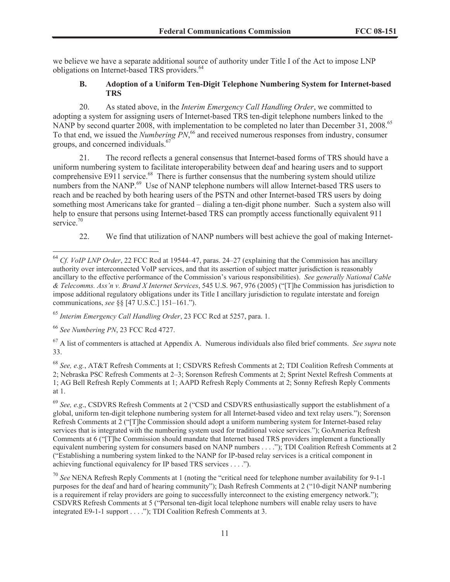we believe we have a separate additional source of authority under Title I of the Act to impose LNP obligations on Internet-based TRS providers.<sup>64</sup>

## **B. Adoption of a Uniform Ten-Digit Telephone Numbering System for Internet-based TRS**

20. As stated above, in the *Interim Emergency Call Handling Order*, we committed to adopting a system for assigning users of Internet-based TRS ten-digit telephone numbers linked to the NANP by second quarter 2008, with implementation to be completed no later than December 31, 2008.<sup>65</sup> To that end, we issued the *Numbering PN*, <sup>66</sup> and received numerous responses from industry, consumer groups, and concerned individuals.<sup>67</sup>

21. The record reflects a general consensus that Internet-based forms of TRS should have a uniform numbering system to facilitate interoperability between deaf and hearing users and to support comprehensive E911 service.<sup>68</sup> There is further consensus that the numbering system should utilize numbers from the NANP.<sup>69</sup> Use of NANP telephone numbers will allow Internet-based TRS users to reach and be reached by both hearing users of the PSTN and other Internet-based TRS users by doing something most Americans take for granted – dialing a ten-digit phone number. Such a system also will help to ensure that persons using Internet-based TRS can promptly access functionally equivalent 911 service.<sup>70</sup>

22. We find that utilization of NANP numbers will best achieve the goal of making Internet-

<sup>65</sup> *Interim Emergency Call Handling Order*, 23 FCC Rcd at 5257, para. 1.

<sup>67</sup> A list of commenters is attached at Appendix A. Numerous individuals also filed brief comments. *See supra* note 33.

<sup>68</sup> *See, e.g.*, AT&T Refresh Comments at 1; CSDVRS Refresh Comments at 2; TDI Coalition Refresh Comments at 2; Nebraska PSC Refresh Comments at 2–3; Sorenson Refresh Comments at 2; Sprint Nextel Refresh Comments at 1; AG Bell Refresh Reply Comments at 1; AAPD Refresh Reply Comments at 2; Sonny Refresh Reply Comments at 1.

<sup>69</sup> *See, e.g*., CSDVRS Refresh Comments at 2 ("CSD and CSDVRS enthusiastically support the establishment of a global, uniform ten-digit telephone numbering system for all Internet-based video and text relay users."); Sorenson Refresh Comments at 2 ("[T]he Commission should adopt a uniform numbering system for Internet-based relay services that is integrated with the numbering system used for traditional voice services."); GoAmerica Refresh Comments at 6 ("[T]he Commission should mandate that Internet based TRS providers implement a functionally equivalent numbering system for consumers based on NANP numbers . . . ."); TDI Coalition Refresh Comments at 2 ("Establishing a numbering system linked to the NANP for IP-based relay services is a critical component in achieving functional equivalency for IP based TRS services . . . .").

<sup>70</sup> *See* NENA Refresh Reply Comments at 1 (noting the "critical need for telephone number availability for 9-1-1 purposes for the deaf and hard of hearing community"); Dash Refresh Comments at 2 ("10-digit NANP numbering is a requirement if relay providers are going to successfully interconnect to the existing emergency network."); CSDVRS Refresh Comments at 5 ("Personal ten-digit local telephone numbers will enable relay users to have integrated E9-1-1 support . . . ."); TDI Coalition Refresh Comments at 3.

<sup>64</sup> *Cf. VoIP LNP Order*, 22 FCC Rcd at 19544–47, paras. 24–27 (explaining that the Commission has ancillary authority over interconnected VoIP services, and that its assertion of subject matter jurisdiction is reasonably ancillary to the effective performance of the Commission's various responsibilities). *See generally National Cable & Telecomms. Ass'n v. Brand X Internet Services*, 545 U.S. 967, 976 (2005) ("[T]he Commission has jurisdiction to impose additional regulatory obligations under its Title I ancillary jurisdiction to regulate interstate and foreign communications, *see* §§ [47 U.S.C.] 151–161.").

<sup>66</sup> *See Numbering PN*, 23 FCC Rcd 4727.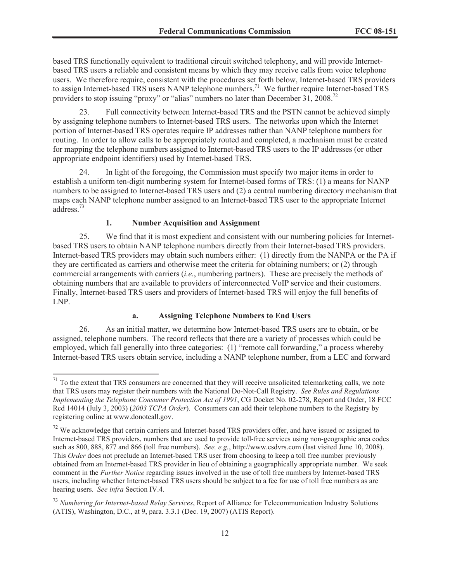based TRS functionally equivalent to traditional circuit switched telephony, and will provide Internetbased TRS users a reliable and consistent means by which they may receive calls from voice telephone users. We therefore require, consistent with the procedures set forth below, Internet-based TRS providers to assign Internet-based TRS users NANP telephone numbers.<sup>71</sup> We further require Internet-based TRS providers to stop issuing "proxy" or "alias" numbers no later than December 31, 2008.<sup>72</sup>

23. Full connectivity between Internet-based TRS and the PSTN cannot be achieved simply by assigning telephone numbers to Internet-based TRS users. The networks upon which the Internet portion of Internet-based TRS operates require IP addresses rather than NANP telephone numbers for routing. In order to allow calls to be appropriately routed and completed, a mechanism must be created for mapping the telephone numbers assigned to Internet-based TRS users to the IP addresses (or other appropriate endpoint identifiers) used by Internet-based TRS.

24. In light of the foregoing, the Commission must specify two major items in order to establish a uniform ten-digit numbering system for Internet-based forms of TRS: (1) a means for NANP numbers to be assigned to Internet-based TRS users and (2) a central numbering directory mechanism that maps each NANP telephone number assigned to an Internet-based TRS user to the appropriate Internet address.<sup>73</sup>

#### **1. Number Acquisition and Assignment**

25. We find that it is most expedient and consistent with our numbering policies for Internetbased TRS users to obtain NANP telephone numbers directly from their Internet-based TRS providers. Internet-based TRS providers may obtain such numbers either: (1) directly from the NANPA or the PA if they are certificated as carriers and otherwise meet the criteria for obtaining numbers; or (2) through commercial arrangements with carriers (*i.e.*, numbering partners). These are precisely the methods of obtaining numbers that are available to providers of interconnected VoIP service and their customers. Finally, Internet-based TRS users and providers of Internet-based TRS will enjoy the full benefits of LNP.

## **a. Assigning Telephone Numbers to End Users**

26. As an initial matter, we determine how Internet-based TRS users are to obtain, or be assigned, telephone numbers. The record reflects that there are a variety of processes which could be employed, which fall generally into three categories: (1) "remote call forwarding," a process whereby Internet-based TRS users obtain service, including a NANP telephone number, from a LEC and forward

 $71$  To the extent that TRS consumers are concerned that they will receive unsolicited telemarketing calls, we note that TRS users may register their numbers with the National Do-Not-Call Registry. *See Rules and Regulations Implementing the Telephone Consumer Protection Act of 1991*, CG Docket No. 02-278, Report and Order, 18 FCC Rcd 14014 (July 3, 2003) (*2003 TCPA Order*). Consumers can add their telephone numbers to the Registry by registering online at www.donotcall.gov.

<sup>&</sup>lt;sup>72</sup> We acknowledge that certain carriers and Internet-based TRS providers offer, and have issued or assigned to Internet-based TRS providers, numbers that are used to provide toll-free services using non-geographic area codes such as 800, 888, 877 and 866 (toll free numbers). *See, e.g.*, http://www.csdvrs.com (last visited June 10, 2008). This *Order* does not preclude an Internet-based TRS user from choosing to keep a toll free number previously obtained from an Internet-based TRS provider in lieu of obtaining a geographically appropriate number. We seek comment in the *Further Notice* regarding issues involved in the use of toll free numbers by Internet-based TRS users, including whether Internet-based TRS users should be subject to a fee for use of toll free numbers as are hearing users. *See infra* Section IV.4.

<sup>73</sup> *Numbering for Internet-based Relay Services*, Report of Alliance for Telecommunication Industry Solutions (ATIS), Washington, D.C., at 9, para. 3.3.1 (Dec. 19, 2007) (ATIS Report).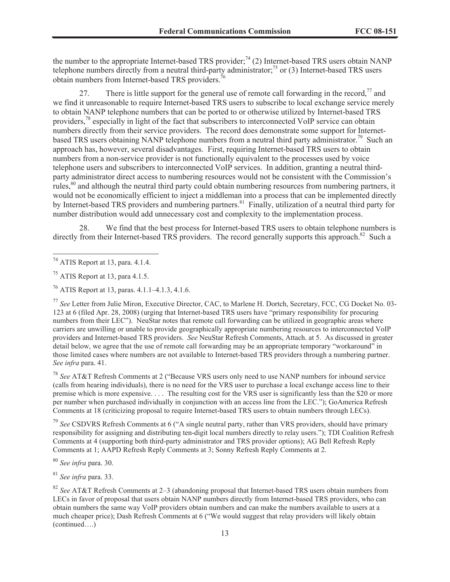the number to the appropriate Internet-based TRS provider;<sup>74</sup> (2) Internet-based TRS users obtain NANP telephone numbers directly from a neutral third-party administrator;<sup>75</sup> or (3) Internet-based TRS users obtain numbers from Internet-based TRS providers.<sup>76</sup>

27. There is little support for the general use of remote call forwarding in the record,<sup>77</sup> and we find it unreasonable to require Internet-based TRS users to subscribe to local exchange service merely to obtain NANP telephone numbers that can be ported to or otherwise utilized by Internet-based TRS providers,<sup>78</sup> especially in light of the fact that subscribers to interconnected VoIP service can obtain numbers directly from their service providers. The record does demonstrate some support for Internetbased TRS users obtaining NANP telephone numbers from a neutral third party administrator.<sup>79</sup> Such an approach has, however, several disadvantages. First, requiring Internet-based TRS users to obtain numbers from a non-service provider is not functionally equivalent to the processes used by voice telephone users and subscribers to interconnected VoIP services. In addition, granting a neutral thirdparty administrator direct access to numbering resources would not be consistent with the Commission's rules,<sup>80</sup> and although the neutral third party could obtain numbering resources from numbering partners, it would not be economically efficient to inject a middleman into a process that can be implemented directly by Internet-based TRS providers and numbering partners.<sup>81</sup> Finally, utilization of a neutral third party for number distribution would add unnecessary cost and complexity to the implementation process.

28. We find that the best process for Internet-based TRS users to obtain telephone numbers is directly from their Internet-based TRS providers. The record generally supports this approach.<sup>82</sup> Such a

<sup>76</sup> ATIS Report at 13, paras. 4.1.1–4.1.3, 4.1.6.

<sup>77</sup> *See* Letter from Julie Miron, Executive Director, CAC, to Marlene H. Dortch, Secretary, FCC, CG Docket No. 03- 123 at 6 (filed Apr. 28, 2008) (urging that Internet-based TRS users have "primary responsibility for procuring numbers from their LEC"). NeuStar notes that remote call forwarding can be utilized in geographic areas where carriers are unwilling or unable to provide geographically appropriate numbering resources to interconnected VoIP providers and Internet-based TRS providers. *See* NeuStar Refresh Comments, Attach. at 5. As discussed in greater detail below, we agree that the use of remote call forwarding may be an appropriate temporary "workaround" in those limited cases where numbers are not available to Internet-based TRS providers through a numbering partner. *See infra* para. 41.

<sup>78</sup> *See* AT&T Refresh Comments at 2 ("Because VRS users only need to use NANP numbers for inbound service (calls from hearing individuals), there is no need for the VRS user to purchase a local exchange access line to their premise which is more expensive. . . . The resulting cost for the VRS user is significantly less than the \$20 or more per number when purchased individually in conjunction with an access line from the LEC."); GoAmerica Refresh Comments at 18 (criticizing proposal to require Internet-based TRS users to obtain numbers through LECs).

<sup>79</sup> *See* CSDVRS Refresh Comments at 6 ("A single neutral party, rather than VRS providers, should have primary responsibility for assigning and distributing ten-digit local numbers directly to relay users."); TDI Coalition Refresh Comments at 4 (supporting both third-party administrator and TRS provider options); AG Bell Refresh Reply Comments at 1; AAPD Refresh Reply Comments at 3; Sonny Refresh Reply Comments at 2.

<sup>80</sup> *See infra* para. 30.

<sup>81</sup> *See infra* para. 33.

<sup>74</sup> ATIS Report at 13, para. 4.1.4.

<sup>75</sup> ATIS Report at 13, para 4.1.5.

<sup>82</sup> *See* AT&T Refresh Comments at 2–3 (abandoning proposal that Internet-based TRS users obtain numbers from LECs in favor of proposal that users obtain NANP numbers directly from Internet-based TRS providers, who can obtain numbers the same way VoIP providers obtain numbers and can make the numbers available to users at a much cheaper price); Dash Refresh Comments at 6 ("We would suggest that relay providers will likely obtain (continued….)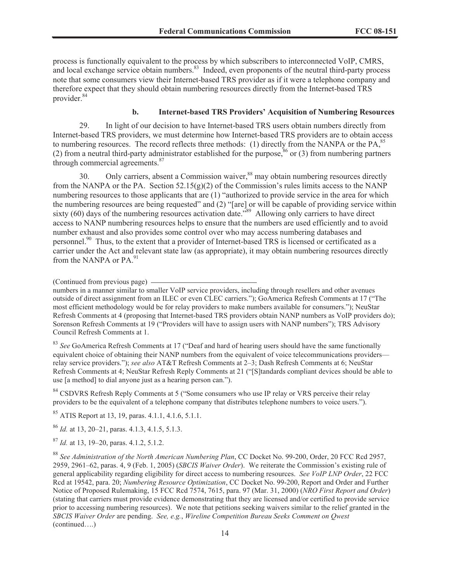process is functionally equivalent to the process by which subscribers to interconnected VoIP, CMRS, and local exchange service obtain numbers.<sup>83</sup> Indeed, even proponents of the neutral third-party process note that some consumers view their Internet-based TRS provider as if it were a telephone company and therefore expect that they should obtain numbering resources directly from the Internet-based TRS provider.<sup>84</sup>

## **b. Internet-based TRS Providers' Acquisition of Numbering Resources**

29. In light of our decision to have Internet-based TRS users obtain numbers directly from Internet-based TRS providers, we must determine how Internet-based TRS providers are to obtain access to numbering resources. The record reflects three methods: (1) directly from the NANPA or the PA $^{85}$ (2) from a neutral third-party administrator established for the purpose,  $86$  or (3) from numbering partners through commercial agreements.<sup>87</sup>

30. Only carriers, absent a Commission waiver,<sup>88</sup> may obtain numbering resources directly from the NANPA or the PA. Section  $52.15(g)(2)$  of the Commission's rules limits access to the NANP numbering resources to those applicants that are (1) "authorized to provide service in the area for which the numbering resources are being requested" and (2) "[are] or will be capable of providing service within sixty (60) days of the numbering resources activation date.<sup>789</sup> Allowing only carriers to have direct access to NANP numbering resources helps to ensure that the numbers are used efficiently and to avoid number exhaust and also provides some control over who may access numbering databases and personnel.<sup>90</sup> Thus, to the extent that a provider of Internet-based TRS is licensed or certificated as a carrier under the Act and relevant state law (as appropriate), it may obtain numbering resources directly from the NANPA or PA $^{91}$ 

(Continued from previous page)

numbers in a manner similar to smaller VoIP service providers, including through resellers and other avenues outside of direct assignment from an ILEC or even CLEC carriers."); GoAmerica Refresh Comments at 17 ("The most efficient methodology would be for relay providers to make numbers available for consumers."); NeuStar Refresh Comments at 4 (proposing that Internet-based TRS providers obtain NANP numbers as VoIP providers do); Sorenson Refresh Comments at 19 ("Providers will have to assign users with NANP numbers"); TRS Advisory Council Refresh Comments at 1.

<sup>83</sup> See GoAmerica Refresh Comments at 17 ("Deaf and hard of hearing users should have the same functionally equivalent choice of obtaining their NANP numbers from the equivalent of voice telecommunications providers relay service providers."); *see also* AT&T Refresh Comments at 2–3; Dash Refresh Comments at 6; NeuStar Refresh Comments at 4; NeuStar Refresh Reply Comments at 21 ("[S]tandards compliant devices should be able to use [a method] to dial anyone just as a hearing person can.").

<sup>84</sup> CSDVRS Refresh Reply Comments at 5 ("Some consumers who use IP relay or VRS perceive their relay providers to be the equivalent of a telephone company that distributes telephone numbers to voice users.").

 $85$  ATIS Report at 13, 19, paras. 4.1.1, 4.1.6, 5.1.1.

<sup>86</sup> *Id.* at 13, 20–21, paras. 4.1.3, 4.1.5, 5.1.3.

<sup>87</sup> *Id.* at 13, 19–20, paras. 4.1.2, 5.1.2.

<sup>88</sup> *See Administration of the North American Numbering Plan*, CC Docket No. 99-200, Order, 20 FCC Rcd 2957, 2959, 2961–62, paras. 4, 9 (Feb. 1, 2005) (*SBCIS Waiver Order*). We reiterate the Commission's existing rule of general applicability regarding eligibility for direct access to numbering resources. *See VoIP LNP Order*, 22 FCC Rcd at 19542, para. 20; *Numbering Resource Optimization*, CC Docket No. 99-200, Report and Order and Further Notice of Proposed Rulemaking, 15 FCC Rcd 7574, 7615, para. 97 (Mar. 31, 2000) (*NRO First Report and Order*) (stating that carriers must provide evidence demonstrating that they are licensed and/or certified to provide service prior to accessing numbering resources). We note that petitions seeking waivers similar to the relief granted in the *SBCIS Waiver Order* are pending. *See, e.g.*, *Wireline Competition Bureau Seeks Comment on Qwest*  (continued….)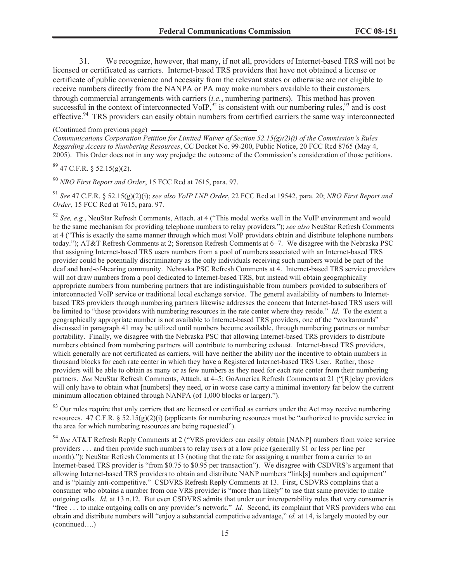31. We recognize, however, that many, if not all, providers of Internet-based TRS will not be licensed or certificated as carriers. Internet-based TRS providers that have not obtained a license or certificate of public convenience and necessity from the relevant states or otherwise are not eligible to receive numbers directly from the NANPA or PA may make numbers available to their customers through commercial arrangements with carriers (*i.e.*, numbering partners). This method has proven successful in the context of interconnected VoIP,  $92$  is consistent with our numbering rules,  $93$  and is cost effective.<sup>94</sup> TRS providers can easily obtain numbers from certified carriers the same way interconnected

(Continued from previous page)

*Communications Corporation Petition for Limited Waiver of Section 52.15(g)(2)(i) of the Commission's Rules Regarding Access to Numbering Resources*, CC Docket No. 99-200, Public Notice, 20 FCC Rcd 8765 (May 4, 2005). This Order does not in any way prejudge the outcome of the Commission's consideration of those petitions.

 $89$  47 C.F.R. § 52.15(g)(2).

<sup>90</sup> *NRO First Report and Order*, 15 FCC Rcd at 7615, para. 97.

<sup>91</sup> *See* 47 C.F.R. § 52.15(g)(2)(i); *see also VoIP LNP Order*, 22 FCC Rcd at 19542, para. 20; *NRO First Report and Order*, 15 FCC Rcd at 7615, para. 97.

<sup>92</sup> See, e.g., NeuStar Refresh Comments, Attach. at 4 ("This model works well in the VoIP environment and would be the same mechanism for providing telephone numbers to relay providers."); *see also* NeuStar Refresh Comments at 4 ("This is exactly the same manner through which most VoIP providers obtain and distribute telephone numbers today."); AT&T Refresh Comments at 2; Sorenson Refresh Comments at 6–7. We disagree with the Nebraska PSC that assigning Internet-based TRS users numbers from a pool of numbers associated with an Internet-based TRS provider could be potentially discriminatory as the only individuals receiving such numbers would be part of the deaf and hard-of-hearing community. Nebraska PSC Refresh Comments at 4. Internet-based TRS service providers will not draw numbers from a pool dedicated to Internet-based TRS, but instead will obtain geographically appropriate numbers from numbering partners that are indistinguishable from numbers provided to subscribers of interconnected VoIP service or traditional local exchange service. The general availability of numbers to Internetbased TRS providers through numbering partners likewise addresses the concern that Internet-based TRS users will be limited to "those providers with numbering resources in the rate center where they reside." *Id.* To the extent a geographically appropriate number is not available to Internet-based TRS providers, one of the "workarounds" discussed in paragraph 41 may be utilized until numbers become available, through numbering partners or number portability. Finally, we disagree with the Nebraska PSC that allowing Internet-based TRS providers to distribute numbers obtained from numbering partners will contribute to numbering exhaust. Internet-based TRS providers, which generally are not certificated as carriers, will have neither the ability nor the incentive to obtain numbers in thousand blocks for each rate center in which they have a Registered Internet-based TRS User. Rather, those providers will be able to obtain as many or as few numbers as they need for each rate center from their numbering partners. *See* NeuStar Refresh Comments, Attach. at 4–5; GoAmerica Refresh Comments at 21 ("[R]elay providers will only have to obtain what [numbers] they need, or in worse case carry a minimal inventory far below the current minimum allocation obtained through NANPA (of 1,000 blocks or larger).").

 $93$  Our rules require that only carriers that are licensed or certified as carriers under the Act may receive numbering resources. 47 C.F.R. § 52.15(g)(2)(i) (applicants for numbering resources must be "authorized to provide service in the area for which numbering resources are being requested").

<sup>94</sup> *See* AT&T Refresh Reply Comments at 2 ("VRS providers can easily obtain [NANP] numbers from voice service providers . . . and then provide such numbers to relay users at a low price (generally \$1 or less per line per month)."); NeuStar Refresh Comments at 13 (noting that the rate for assigning a number from a carrier to an Internet-based TRS provider is "from \$0.75 to \$0.95 per transaction"). We disagree with CSDVRS's argument that allowing Internet-based TRS providers to obtain and distribute NANP numbers "link[s] numbers and equipment" and is "plainly anti-competitive." CSDVRS Refresh Reply Comments at 13. First, CSDVRS complains that a consumer who obtains a number from one VRS provider is "more than likely" to use that same provider to make outgoing calls. *Id.* at 13 n.12. But even CSDVRS admits that under our interoperability rules that very consumer is "free . . . to make outgoing calls on any provider's network." *Id.* Second, its complaint that VRS providers who can obtain and distribute numbers will "enjoy a substantial competitive advantage," *id.* at 14, is largely mooted by our (continued….)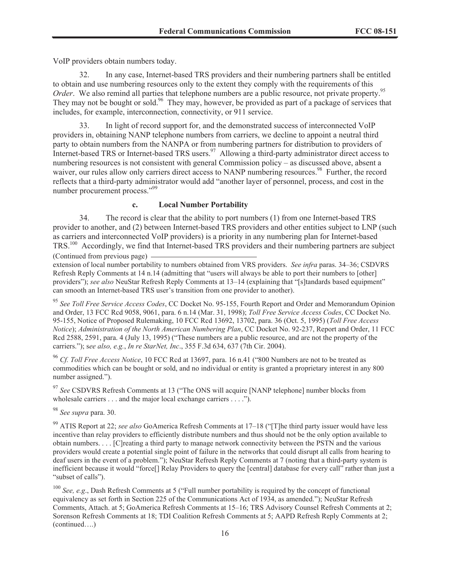VoIP providers obtain numbers today.

32. In any case, Internet-based TRS providers and their numbering partners shall be entitled to obtain and use numbering resources only to the extent they comply with the requirements of this *Order*. We also remind all parties that telephone numbers are a public resource, not private property.<sup>95</sup> They may not be bought or sold.<sup>96</sup> They may, however, be provided as part of a package of services that includes, for example, interconnection, connectivity, or 911 service.

33. In light of record support for, and the demonstrated success of interconnected VoIP providers in, obtaining NANP telephone numbers from carriers, we decline to appoint a neutral third party to obtain numbers from the NANPA or from numbering partners for distribution to providers of Internet-based TRS or Internet-based TRS users.<sup>97</sup> Allowing a third-party administrator direct access to numbering resources is not consistent with general Commission policy – as discussed above, absent a waiver, our rules allow only carriers direct access to NANP numbering resources.<sup>98</sup> Further, the record reflects that a third-party administrator would add "another layer of personnel, process, and cost in the number procurement process."<sup>99</sup>

#### **c. Local Number Portability**

34. The record is clear that the ability to port numbers (1) from one Internet-based TRS provider to another, and (2) between Internet-based TRS providers and other entities subject to LNP (such as carriers and interconnected VoIP providers) is a priority in any numbering plan for Internet-based TRS.<sup>100</sup> Accordingly, we find that Internet-based TRS providers and their numbering partners are subject (Continued from previous page)

extension of local number portability to numbers obtained from VRS providers. *See infra* paras. 34–36; CSDVRS Refresh Reply Comments at 14 n.14 (admitting that "users will always be able to port their numbers to [other] providers"); *see also* NeuStar Refresh Reply Comments at 13–14 (explaining that "[s]tandards based equipment" can smooth an Internet-based TRS user's transition from one provider to another).

<sup>95</sup> *See Toll Free Service Access Codes*, CC Docket No. 95-155, Fourth Report and Order and Memorandum Opinion and Order, 13 FCC Rcd 9058, 9061, para. 6 n.14 (Mar. 31, 1998); *Toll Free Service Access Codes*, CC Docket No. 95-155, Notice of Proposed Rulemaking, 10 FCC Rcd 13692, 13702, para. 36 (Oct. 5, 1995) (*Toll Free Access Notice*); *Administration of the North American Numbering Plan*, CC Docket No. 92-237, Report and Order, 11 FCC Rcd 2588, 2591, para. 4 (July 13, 1995) ("These numbers are a public resource, and are not the property of the carriers."); s*ee also, e.g.*, *In re StarNet, Inc*., 355 F.3d 634, 637 (7th Cir. 2004).

<sup>96</sup> *Cf. Toll Free Access Notice*, 10 FCC Rcd at 13697, para. 16 n.41 ("800 Numbers are not to be treated as commodities which can be bought or sold, and no individual or entity is granted a proprietary interest in any 800 number assigned.").

<sup>97</sup> *See* CSDVRS Refresh Comments at 13 ("The ONS will acquire [NANP telephone] number blocks from wholesale carriers . . . and the major local exchange carriers . . . .").

<sup>98</sup> *See supra* para. 30.

<sup>99</sup> ATIS Report at 22; *see also* GoAmerica Refresh Comments at 17–18 ("[T]he third party issuer would have less incentive than relay providers to efficiently distribute numbers and thus should not be the only option available to obtain numbers. . . . [C]reating a third party to manage network connectivity between the PSTN and the various providers would create a potential single point of failure in the networks that could disrupt all calls from hearing to deaf users in the event of a problem."); NeuStar Refresh Reply Comments at 7 (noting that a third-party system is inefficient because it would "force[] Relay Providers to query the [central] database for every call" rather than just a "subset of calls").

<sup>100</sup> *See, e.g*., Dash Refresh Comments at 5 ("Full number portability is required by the concept of functional equivalency as set forth in Section 225 of the Communications Act of 1934, as amended."); NeuStar Refresh Comments, Attach. at 5; GoAmerica Refresh Comments at 15–16; TRS Advisory Counsel Refresh Comments at 2; Sorenson Refresh Comments at 18; TDI Coalition Refresh Comments at 5; AAPD Refresh Reply Comments at 2; (continued….)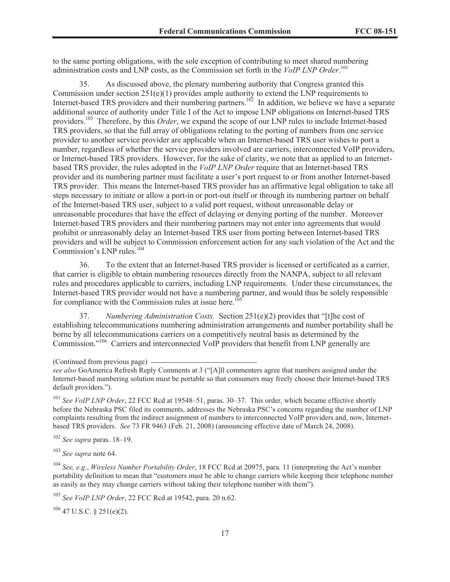to the same porting obligations, with the sole exception of contributing to meet shared numbering administration costs and LNP costs, as the Commission set forth in the *VoIP LNP Order*. 101

35. As discussed above, the plenary numbering authority that Congress granted this Commission under section 251(e)(1) provides ample authority to extend the LNP requirements to Internet-based TRS providers and their numbering partners.<sup>102</sup> In addition, we believe we have a separate additional source of authority under Title I of the Act to impose LNP obligations on Internet-based TRS providers. <sup>103</sup> Therefore, by this *Order*, we expand the scope of our LNP rules to include Internet-based TRS providers, so that the full array of obligations relating to the porting of numbers from one service provider to another service provider are applicable when an Internet-based TRS user wishes to port a number, regardless of whether the service providers involved are carriers, interconnected VoIP providers, or Internet-based TRS providers. However, for the sake of clarity, we note that as applied to an Internetbased TRS provider, the rules adopted in the *VoIP LNP Order* require that an Internet-based TRS provider and its numbering partner must facilitate a user's port request to or from another Internet-based TRS provider. This means the Internet-based TRS provider has an affirmative legal obligation to take all steps necessary to initiate or allow a port-in or port-out itself or through its numbering partner on behalf of the Internet-based TRS user, subject to a valid port request, without unreasonable delay or unreasonable procedures that have the effect of delaying or denying porting of the number. Moreover Internet-based TRS providers and their numbering partners may not enter into agreements that would prohibit or unreasonably delay an Internet-based TRS user from porting between Internet-based TRS providers and will be subject to Commission enforcement action for any such violation of the Act and the Commission's LNP rules.<sup>104</sup>

36. To the extent that an Internet-based TRS provider is licensed or certificated as a carrier, that carrier is eligible to obtain numbering resources directly from the NANPA, subject to all relevant rules and procedures applicable to carriers, including LNP requirements. Under these circumstances, the Internet-based TRS provider would not have a numbering partner, and would thus be solely responsible for compliance with the Commission rules at issue here.<sup>17</sup>

37. *Numbering Administration Costs.* Section 251(e)(2) provides that "[t]he cost of establishing telecommunications numbering administration arrangements and number portability shall be borne by all telecommunications carriers on a competitively neutral basis as determined by the Commission."<sup>106</sup> Carriers and interconnected VoIP providers that benefit from LNP generally are

<sup>101</sup> *See VoIP LNP Order*, 22 FCC Rcd at 19548–51, paras. 30–37. This order, which became effective shortly before the Nebraska PSC filed its comments, addresses the Nebraska PSC's concerns regarding the number of LNP complaints resulting from the indirect assignment of numbers to interconnected VoIP providers and, now, Internetbased TRS providers. *See* 73 FR 9463 (Feb. 21, 2008) (announcing effective date of March 24, 2008).

<sup>102</sup> *See supra* paras. 18–19.

<sup>103</sup> *See supra* note 64.

<sup>104</sup> *See, e.g.*, *Wireless Number Portability Order*, 18 FCC Rcd at 20975, para. 11 (interpreting the Act's number portability definition to mean that "customers must be able to change carriers while keeping their telephone number as easily as they may change carriers without taking their telephone number with them").

<sup>105</sup> *See VoIP LNP Order*, 22 FCC Rcd at 19542, para. 20 n.62.

 $106$  47 U.S.C. § 251(e)(2).

<sup>(</sup>Continued from previous page)

*see also* GoAmerica Refresh Reply Comments at 3 ("[A]ll commenters agree that numbers assigned under the Internet-based numbering solution must be portable so that consumers may freely choose their Internet-based TRS default providers.").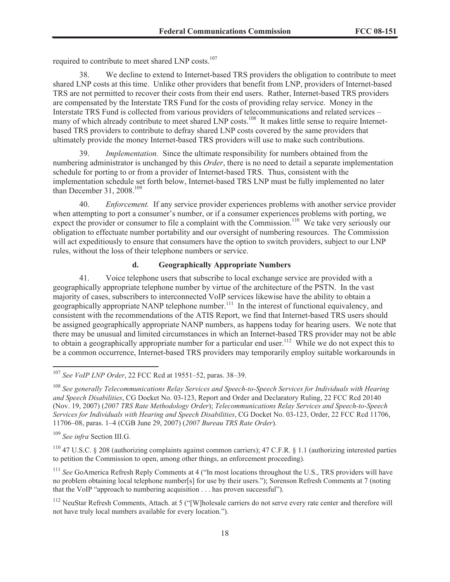required to contribute to meet shared LNP costs.<sup>107</sup>

38. We decline to extend to Internet-based TRS providers the obligation to contribute to meet shared LNP costs at this time. Unlike other providers that benefit from LNP, providers of Internet-based TRS are not permitted to recover their costs from their end users. Rather, Internet-based TRS providers are compensated by the Interstate TRS Fund for the costs of providing relay service. Money in the Interstate TRS Fund is collected from various providers of telecommunications and related services – many of which already contribute to meet shared LNP costs.<sup>108</sup> It makes little sense to require Internetbased TRS providers to contribute to defray shared LNP costs covered by the same providers that ultimately provide the money Internet-based TRS providers will use to make such contributions.

*Implementation.* Since the ultimate responsibility for numbers obtained from the numbering administrator is unchanged by this *Order*, there is no need to detail a separate implementation schedule for porting to or from a provider of Internet-based TRS. Thus, consistent with the implementation schedule set forth below, Internet-based TRS LNP must be fully implemented no later than December 31, 2008.<sup>109</sup>

40. *Enforcement.* If any service provider experiences problems with another service provider when attempting to port a consumer's number, or if a consumer experiences problems with porting, we expect the provider or consumer to file a complaint with the Commission.<sup>110</sup> We take very seriously our obligation to effectuate number portability and our oversight of numbering resources. The Commission will act expeditiously to ensure that consumers have the option to switch providers, subject to our LNP rules, without the loss of their telephone numbers or service.

## **d. Geographically Appropriate Numbers**

41. Voice telephone users that subscribe to local exchange service are provided with a geographically appropriate telephone number by virtue of the architecture of the PSTN. In the vast majority of cases, subscribers to interconnected VoIP services likewise have the ability to obtain a geographically appropriate NANP telephone number.<sup>111</sup> In the interest of functional equivalency, and consistent with the recommendations of the ATIS Report, we find that Internet-based TRS users should be assigned geographically appropriate NANP numbers, as happens today for hearing users. We note that there may be unusual and limited circumstances in which an Internet-based TRS provider may not be able to obtain a geographically appropriate number for a particular end user.<sup>112</sup> While we do not expect this to be a common occurrence, Internet-based TRS providers may temporarily employ suitable workarounds in

<sup>107</sup> *See VoIP LNP Order*, 22 FCC Rcd at 19551–52, paras. 38–39.

<sup>108</sup> *See generally Telecommunications Relay Services and Speech-to-Speech Services for Individuals with Hearing and Speech Disabilities*, CG Docket No. 03-123, Report and Order and Declaratory Ruling, 22 FCC Rcd 20140 (Nov. 19, 2007) (*2007 TRS Rate Methodology Order*); *Telecommunications Relay Services and Speech-to-Speech Services for Individuals with Hearing and Speech Disabilities*, CG Docket No. 03-123, Order, 22 FCC Rcd 11706, 11706–08, paras. 1–4 (CGB June 29, 2007) (*2007 Bureau TRS Rate Order*).

<sup>109</sup> *See infra* Section III.G.

<sup>&</sup>lt;sup>110</sup> 47 U.S.C. § 208 (authorizing complaints against common carriers); 47 C.F.R. § 1.1 (authorizing interested parties to petition the Commission to open, among other things, an enforcement proceeding).

<sup>&</sup>lt;sup>111</sup> See GoAmerica Refresh Reply Comments at 4 ("In most locations throughout the U.S., TRS providers will have no problem obtaining local telephone number[s] for use by their users."); Sorenson Refresh Comments at 7 (noting that the VoIP "approach to numbering acquisition . . . has proven successful").

<sup>&</sup>lt;sup>112</sup> NeuStar Refresh Comments, Attach. at 5 ("[W]holesale carriers do not serve every rate center and therefore will not have truly local numbers available for every location.").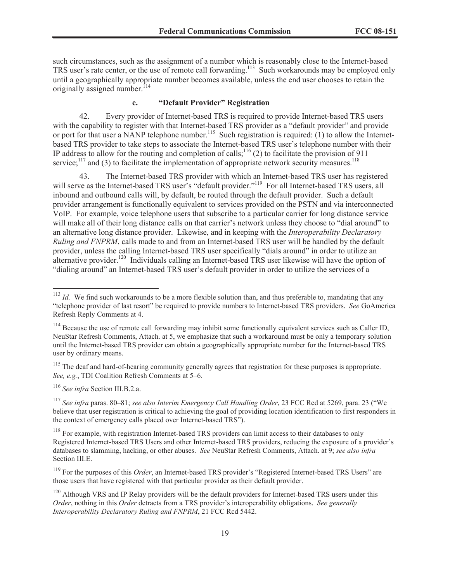such circumstances, such as the assignment of a number which is reasonably close to the Internet-based TRS user's rate center, or the use of remote call forwarding.<sup>113</sup> Such workarounds may be employed only until a geographically appropriate number becomes available, unless the end user chooses to retain the originally assigned number.<sup>[14</sup>

## **e. "Default Provider" Registration**

42. Every provider of Internet-based TRS is required to provide Internet-based TRS users with the capability to register with that Internet-based TRS provider as a "default provider" and provide or port for that user a NANP telephone number.<sup>115</sup> Such registration is required: (1) to allow the Internetbased TRS provider to take steps to associate the Internet-based TRS user's telephone number with their IP address to allow for the routing and completion of calls;<sup>116</sup> (2) to facilitate the provision of 911 service;<sup>117</sup> and (3) to facilitate the implementation of appropriate network security measures.<sup>118</sup>

43. The Internet-based TRS provider with which an Internet-based TRS user has registered will serve as the Internet-based TRS user's "default provider."<sup>119</sup> For all Internet-based TRS users, all inbound and outbound calls will, by default, be routed through the default provider. Such a default provider arrangement is functionally equivalent to services provided on the PSTN and via interconnected VoIP. For example, voice telephone users that subscribe to a particular carrier for long distance service will make all of their long distance calls on that carrier's network unless they choose to "dial around" to an alternative long distance provider. Likewise, and in keeping with the *Interoperability Declaratory Ruling and FNPRM*, calls made to and from an Internet-based TRS user will be handled by the default provider, unless the calling Internet-based TRS user specifically "dials around" in order to utilize an alternative provider.<sup>120</sup> Individuals calling an Internet-based TRS user likewise will have the option of "dialing around" an Internet-based TRS user's default provider in order to utilize the services of a

<sup>116</sup> *See infra* Section III.B.2.a.

<sup>&</sup>lt;sup>113</sup> *Id.* We find such workarounds to be a more flexible solution than, and thus preferable to, mandating that any "telephone provider of last resort" be required to provide numbers to Internet-based TRS providers. *See* GoAmerica Refresh Reply Comments at 4.

<sup>&</sup>lt;sup>114</sup> Because the use of remote call forwarding may inhibit some functionally equivalent services such as Caller ID, NeuStar Refresh Comments, Attach. at 5, we emphasize that such a workaround must be only a temporary solution until the Internet-based TRS provider can obtain a geographically appropriate number for the Internet-based TRS user by ordinary means.

<sup>&</sup>lt;sup>115</sup> The deaf and hard-of-hearing community generally agrees that registration for these purposes is appropriate. *See, e.g.*, TDI Coalition Refresh Comments at 5–6.

<sup>117</sup> *See infra* paras. 80–81; *see also Interim Emergency Call Handling Order*, 23 FCC Rcd at 5269, para. 23 ("We believe that user registration is critical to achieving the goal of providing location identification to first responders in the context of emergency calls placed over Internet-based TRS").

<sup>&</sup>lt;sup>118</sup> For example, with registration Internet-based TRS providers can limit access to their databases to only Registered Internet-based TRS Users and other Internet-based TRS providers, reducing the exposure of a provider's databases to slamming, hacking, or other abuses. *See* NeuStar Refresh Comments, Attach. at 9; *see also infra* Section III.E.

<sup>119</sup> For the purposes of this *Order*, an Internet-based TRS provider's "Registered Internet-based TRS Users" are those users that have registered with that particular provider as their default provider.

<sup>&</sup>lt;sup>120</sup> Although VRS and IP Relay providers will be the default providers for Internet-based TRS users under this *Order*, nothing in this *Order* detracts from a TRS provider's interoperability obligations. *See generally Interoperability Declaratory Ruling and FNPRM*, 21 FCC Rcd 5442.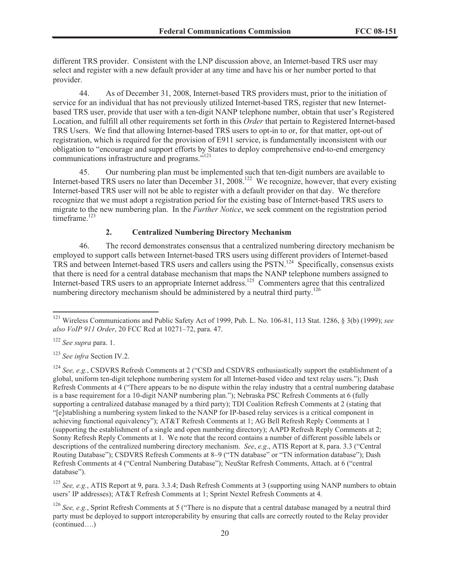different TRS provider. Consistent with the LNP discussion above, an Internet-based TRS user may select and register with a new default provider at any time and have his or her number ported to that provider.

44. As of December 31, 2008, Internet-based TRS providers must, prior to the initiation of service for an individual that has not previously utilized Internet-based TRS, register that new Internetbased TRS user, provide that user with a ten-digit NANP telephone number, obtain that user's Registered Location, and fulfill all other requirements set forth in this *Order* that pertain to Registered Internet-based TRS Users. We find that allowing Internet-based TRS users to opt-in to or, for that matter, opt-out of registration, which is required for the provision of E911 service, is fundamentally inconsistent with our obligation to "encourage and support efforts by States to deploy comprehensive end-to-end emergency communications infrastructure and programs."<sup>121</sup>

45. Our numbering plan must be implemented such that ten-digit numbers are available to Internet-based TRS users no later than December 31, 2008.<sup>122</sup> We recognize, however, that every existing Internet-based TRS user will not be able to register with a default provider on that day. We therefore recognize that we must adopt a registration period for the existing base of Internet-based TRS users to migrate to the new numbering plan. In the *Further Notice*, we seek comment on the registration period timeframe.<sup>123</sup>

## **2. Centralized Numbering Directory Mechanism**

46. The record demonstrates consensus that a centralized numbering directory mechanism be employed to support calls between Internet-based TRS users using different providers of Internet-based TRS and between Internet-based TRS users and callers using the PSTN.<sup>124</sup> Specifically, consensus exists that there is need for a central database mechanism that maps the NANP telephone numbers assigned to Internet-based TRS users to an appropriate Internet address.<sup>125</sup> Commenters agree that this centralized numbering directory mechanism should be administered by a neutral third party.<sup>126</sup>

<sup>126</sup> *See, e.g.*, Sprint Refresh Comments at 5 ("There is no dispute that a central database managed by a neutral third party must be deployed to support interoperability by ensuring that calls are correctly routed to the Relay provider (continued….)

<sup>121</sup> Wireless Communications and Public Safety Act of 1999, Pub. L. No. 106-81, 113 Stat. 1286, § 3(b) (1999); *see also VoIP 911 Order*, 20 FCC Rcd at 10271–72, para. 47.

<sup>122</sup> *See supra* para. 1.

<sup>123</sup> *See infra* Section IV.2.

<sup>&</sup>lt;sup>124</sup> *See, e.g.*, CSDVRS Refresh Comments at 2 ("CSD and CSDVRS enthusiastically support the establishment of a global, uniform ten-digit telephone numbering system for all Internet-based video and text relay users."); Dash Refresh Comments at 4 ("There appears to be no dispute within the relay industry that a central numbering database is a base requirement for a 10-digit NANP numbering plan."); Nebraska PSC Refresh Comments at 6 (fully supporting a centralized database managed by a third party); TDI Coalition Refresh Comments at 2 (stating that "[e]stablishing a numbering system linked to the NANP for IP-based relay services is a critical component in achieving functional equivalency"); AT&T Refresh Comments at 1; AG Bell Refresh Reply Comments at 1 (supporting the establishment of a single and open numbering directory); AAPD Refresh Reply Comments at 2; Sonny Refresh Reply Comments at 1. We note that the record contains a number of different possible labels or descriptions of the centralized numbering directory mechanism. *See*, *e.g*., ATIS Report at 8, para. 3.3 ("Central Routing Database"); CSDVRS Refresh Comments at 8–9 ("TN database" or "TN information database"); Dash Refresh Comments at 4 ("Central Numbering Database"); NeuStar Refresh Comments, Attach. at 6 ("central database").

<sup>125</sup> *See, e.g.*, ATIS Report at 9, para. 3.3.4; Dash Refresh Comments at 3 (supporting using NANP numbers to obtain users' IP addresses); AT&T Refresh Comments at 1; Sprint Nextel Refresh Comments at 4.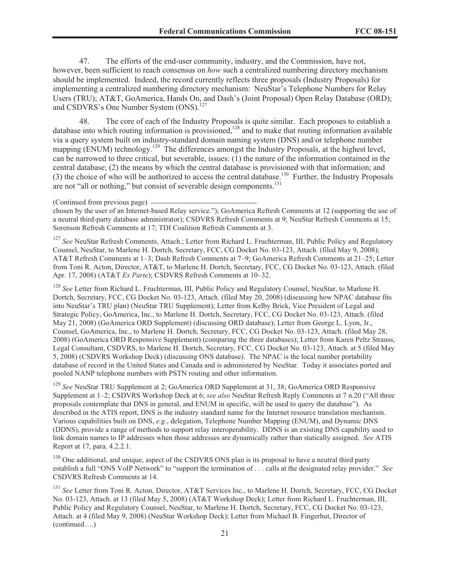47. The efforts of the end-user community, industry, and the Commission, have not, however, been sufficient to reach consensus on *how* such a centralized numbering directory mechanism should be implemented. Indeed, the record currently reflects three proposals (Industry Proposals) for implementing a centralized numbering directory mechanism: NeuStar's Telephone Numbers for Relay Users (TRU); AT&T, GoAmerica, Hands On, and Dash's (Joint Proposal) Open Relay Database (ORD); and CSDVRS's One Number System (ONS).<sup>127</sup>

48. The core of each of the Industry Proposals is quite similar. Each proposes to establish a database into which routing information is provisioned,<sup>128</sup> and to make that routing information available via a query system built on industry-standard domain naming system (DNS) and/or telephone number mapping (ENUM) technology.<sup>129</sup> The differences amongst the Industry Proposals, at the highest level, can be narrowed to three critical, but severable, issues: (1) the nature of the information contained in the central database; (2) the means by which the central database is provisioned with that information; and (3) the choice of who will be authorized to access the central database.<sup>130</sup> Further, the Industry Proposals are not "all or nothing," but consist of severable design components.<sup>131</sup>

#### (Continued from previous page)

chosen by the user of an Internet-based Relay service."); GoAmerica Refresh Comments at 12 (supporting the use of a neutral third-party database administrator); CSDVRS Refresh Comments at 9; NeuStar Refresh Comments at 15; Sorenson Refresh Comments at 17; TDI Coalition Refresh Comments at 3.

<sup>127</sup> See NeuStar Refresh Comments, Attach.; Letter from Richard L. Fruchterman, III, Public Policy and Regulatory Counsel, NeuStar, to Marlene H. Dortch, Secretary, FCC, CG Docket No. 03-123, Attach. (filed May 9, 2008); AT&T Refresh Comments at 1–3; Dash Refresh Comments at 7–9; GoAmerica Refresh Comments at 21–25; Letter from Toni R. Acton, Director, AT&T, to Marlene H. Dortch, Secretary, FCC, CG Docket No. 03-123, Attach. (filed Apr. 17, 2008) (AT&T *Ex Parte*); CSDVRS Refresh Comments at 10–32.

<sup>128</sup> *See* Letter from Richard L. Fruchterman, III, Public Policy and Regulatory Counsel, NeuStar, to Marlene H. Dortch, Secretary, FCC, CG Docket No. 03-123, Attach. (filed May 20, 2008) (discussing how NPAC database fits into NeuStar's TRU plan) (NeuStar TRU Supplement); Letter from Kelby Brick, Vice President of Legal and Strategic Policy, GoAmerica, Inc., to Marlene H. Dortch, Secretary, FCC, CG Docket No. 03-123, Attach. (filed May 21, 2008) (GoAmerica ORD Supplement) (discussing ORD database); Letter from George L. Lyon, Jr., Counsel, GoAmerica, Inc., to Marlene H. Dortch, Secretary, FCC, CG Docket No. 03-123, Attach. (filed May 28, 2008) (GoAmerica ORD Responsive Supplement) (comparing the three databases); Letter from Karen Peltz Strauss, Legal Consultant, CSDVRS, to Marlene H. Dortch, Secretary, FCC, CG Docket No. 03-123, Attach. at 5 (filed May 5, 2008) (CSDVRS Workshop Deck) (discussing ONS database). The NPAC is the local number portability database of record in the United States and Canada and is administered by NeuStar. Today it associates ported and pooled NANP telephone numbers with PSTN routing and other information.

<sup>129</sup> *See* NeuStar TRU Supplement at 2; GoAmerica ORD Supplement at 31, 38; GoAmerica ORD Responsive Supplement at 1–2; CSDVRS Workshop Deck at 6; *see also* NeuStar Refresh Reply Comments at 7 n.20 ("All three proposals contemplate that DNS in general, and ENUM in specific, will be used to query the database"). As described in the ATIS report, DNS is the industry standard name for the Internet resource translation mechanism. Various capabilities built on DNS, *e.g.*, delegation, Telephone Number Mapping (ENUM), and Dynamic DNS (DDNS), provide a range of methods to support relay interoperability. DDNS is an existing DNS capability used to link domain names to IP addresses when those addresses are dynamically rather than statically assigned. *See* ATIS Report at 17, para. 4.2.2.1.

<sup>130</sup> One additional, and unique, aspect of the CSDVRS ONS plan is its proposal to have a neutral third party establish a full "ONS VoIP Network" to "support the termination of . . . calls at the designated relay provider." *See* CSDVRS Refresh Comments at 14.

<sup>131</sup> *See* Letter from Toni R. Acton, Director, AT&T Services Inc., to Marlene H. Dortch, Secretary, FCC, CG Docket No. 03-123, Attach. at 13 (filed May 5, 2008) (AT&T Workshop Deck); Letter from Richard L. Fruchterman, III, Public Policy and Regulatory Counsel, NeuStar, to Marlene H. Dortch, Secretary, FCC, CG Docket No. 03-123, Attach. at 4 (filed May 9, 2008) (NeuStar Workshop Deck); Letter from Michael B. Fingerhut, Director of (continued….)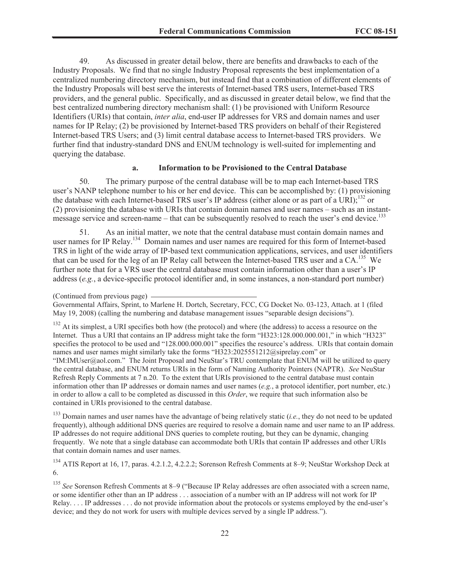49. As discussed in greater detail below, there are benefits and drawbacks to each of the Industry Proposals. We find that no single Industry Proposal represents the best implementation of a centralized numbering directory mechanism, but instead find that a combination of different elements of the Industry Proposals will best serve the interests of Internet-based TRS users, Internet-based TRS providers, and the general public. Specifically, and as discussed in greater detail below, we find that the best centralized numbering directory mechanism shall: (1) be provisioned with Uniform Resource Identifiers (URIs) that contain, *inter alia*, end-user IP addresses for VRS and domain names and user names for IP Relay; (2) be provisioned by Internet-based TRS providers on behalf of their Registered Internet-based TRS Users; and (3) limit central database access to Internet-based TRS providers. We further find that industry-standard DNS and ENUM technology is well-suited for implementing and querying the database.

## **a. Information to be Provisioned to the Central Database**

50. The primary purpose of the central database will be to map each Internet-based TRS user's NANP telephone number to his or her end device. This can be accomplished by: (1) provisioning the database with each Internet-based TRS user's IP address (either alone or as part of a URI);<sup>132</sup> or (2) provisioning the database with URIs that contain domain names and user names – such as an instantmessage service and screen-name – that can be subsequently resolved to reach the user's end device.<sup>133</sup>

51. As an initial matter, we note that the central database must contain domain names and user names for IP Relay.<sup>134</sup> Domain names and user names are required for this form of Internet-based TRS in light of the wide array of IP-based text communication applications, services, and user identifiers that can be used for the leg of an IP Relay call between the Internet-based TRS user and a CA.<sup>135</sup> We further note that for a VRS user the central database must contain information other than a user's IP address (*e.g.*, a device-specific protocol identifier and, in some instances, a non-standard port number)

<sup>132</sup> At its simplest, a URI specifies both how (the protocol) and where (the address) to access a resource on the Internet. Thus a URI that contains an IP address might take the form "H323:128.000.000.001," in which "H323" specifies the protocol to be used and "128.000.000.001" specifies the resource's address. URIs that contain domain names and user names might similarly take the forms "H323:2025551212@siprelay.com" or "IM:IMUser@aol.com." The Joint Proposal and NeuStar's TRU contemplate that ENUM will be utilized to query the central database, and ENUM returns URIs in the form of Naming Authority Pointers (NAPTR). *See* NeuStar Refresh Reply Comments at 7 n.20. To the extent that URIs provisioned to the central database must contain information other than IP addresses or domain names and user names (*e.g.*, a protocol identifier, port number, etc.) in order to allow a call to be completed as discussed in this *Order*, we require that such information also be contained in URIs provisioned to the central database.

<sup>133</sup> Domain names and user names have the advantage of being relatively static (*i.e.*, they do not need to be updated frequently), although additional DNS queries are required to resolve a domain name and user name to an IP address. IP addresses do not require additional DNS queries to complete routing, but they can be dynamic, changing frequently. We note that a single database can accommodate both URIs that contain IP addresses and other URIs that contain domain names and user names.

<sup>134</sup> ATIS Report at 16, 17, paras. 4.2.1.2, 4.2.2.2; Sorenson Refresh Comments at 8–9; NeuStar Workshop Deck at 6.

<sup>135</sup> *See* Sorenson Refresh Comments at 8–9 ("Because IP Relay addresses are often associated with a screen name, or some identifier other than an IP address . . . association of a number with an IP address will not work for IP Relay. . . . IP addresses . . . do not provide information about the protocols or systems employed by the end-user's device; and they do not work for users with multiple devices served by a single IP address.").

<sup>(</sup>Continued from previous page)

Governmental Affairs, Sprint, to Marlene H. Dortch, Secretary, FCC, CG Docket No. 03-123, Attach. at 1 (filed May 19, 2008) (calling the numbering and database management issues "separable design decisions").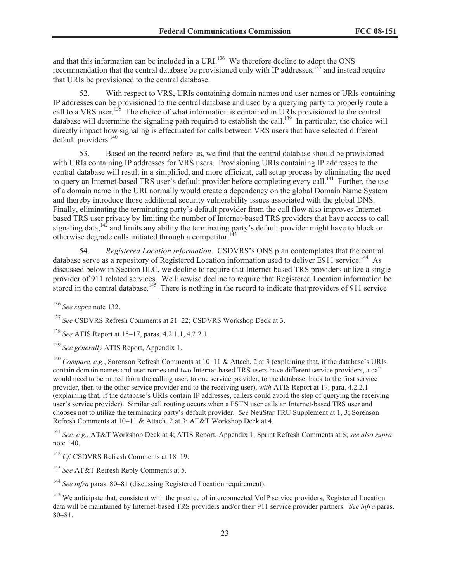and that this information can be included in a URI.<sup>136</sup> We therefore decline to adopt the ONS recommendation that the central database be provisioned only with IP addresses,<sup>137</sup> and instead require that URIs be provisioned to the central database.

52. With respect to VRS, URIs containing domain names and user names or URIs containing IP addresses can be provisioned to the central database and used by a querying party to properly route a call to a VRS user.<sup>138</sup> The choice of what information is contained in URIs provisioned to the central database will determine the signaling path required to establish the call.<sup>139</sup> In particular, the choice will directly impact how signaling is effectuated for calls between VRS users that have selected different default providers.<sup>140</sup>

53. Based on the record before us, we find that the central database should be provisioned with URIs containing IP addresses for VRS users. Provisioning URIs containing IP addresses to the central database will result in a simplified, and more efficient, call setup process by eliminating the need to query an Internet-based TRS user's default provider before completing every call.<sup>141</sup> Further, the use of a domain name in the URI normally would create a dependency on the global Domain Name System and thereby introduce those additional security vulnerability issues associated with the global DNS. Finally, eliminating the terminating party's default provider from the call flow also improves Internetbased TRS user privacy by limiting the number of Internet-based TRS providers that have access to call signaling data, $142$  and limits any ability the terminating party's default provider might have to block or otherwise degrade calls initiated through a competitor.<sup>14</sup>

54. *Registered Location information*. CSDVRS's ONS plan contemplates that the central database serve as a repository of Registered Location information used to deliver E911 service.<sup>144</sup> As discussed below in Section III.C, we decline to require that Internet-based TRS providers utilize a single provider of 911 related services. We likewise decline to require that Registered Location information be stored in the central database.<sup>145</sup> There is nothing in the record to indicate that providers of 911 service

<sup>140</sup> *Compare, e.g.*, Sorenson Refresh Comments at 10–11 & Attach. 2 at 3 (explaining that, if the database's URIs contain domain names and user names and two Internet-based TRS users have different service providers, a call would need to be routed from the calling user, to one service provider, to the database, back to the first service provider, then to the other service provider and to the receiving user), *with* ATIS Report at 17, para. 4.2.2.1 (explaining that, if the database's URIs contain IP addresses, callers could avoid the step of querying the receiving user's service provider). Similar call routing occurs when a PSTN user calls an Internet-based TRS user and chooses not to utilize the terminating party's default provider. *See* NeuStar TRU Supplement at 1, 3; Sorenson Refresh Comments at 10–11 & Attach. 2 at 3; AT&T Workshop Deck at 4.

<sup>141</sup> *See, e.g.*, AT&T Workshop Deck at 4; ATIS Report, Appendix 1; Sprint Refresh Comments at 6; *see also supra* note 140.

<sup>142</sup> *Cf.* CSDVRS Refresh Comments at 18–19.

<sup>143</sup> *See* AT&T Refresh Reply Comments at 5.

<sup>144</sup> *See infra* paras. 80–81 (discussing Registered Location requirement).

<sup>136</sup> *See supra* note 132.

<sup>137</sup> *See* CSDVRS Refresh Comments at 21–22; CSDVRS Workshop Deck at 3.

<sup>138</sup> *See* ATIS Report at 15–17, paras. 4.2.1.1, 4.2.2.1.

<sup>139</sup> *See generally* ATIS Report, Appendix 1.

<sup>&</sup>lt;sup>145</sup> We anticipate that, consistent with the practice of interconnected VoIP service providers, Registered Location data will be maintained by Internet-based TRS providers and/or their 911 service provider partners. *See infra* paras. 80–81.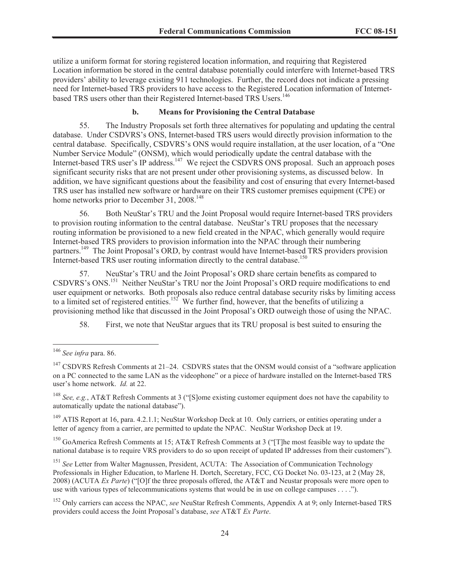utilize a uniform format for storing registered location information, and requiring that Registered Location information be stored in the central database potentially could interfere with Internet-based TRS providers' ability to leverage existing 911 technologies. Further, the record does not indicate a pressing need for Internet-based TRS providers to have access to the Registered Location information of Internetbased TRS users other than their Registered Internet-based TRS Users.<sup>146</sup>

# **b. Means for Provisioning the Central Database**

55. The Industry Proposals set forth three alternatives for populating and updating the central database. Under CSDVRS's ONS, Internet-based TRS users would directly provision information to the central database. Specifically, CSDVRS's ONS would require installation, at the user location, of a "One Number Service Module" (ONSM), which would periodically update the central database with the Internet-based TRS user's IP address.<sup>147</sup> We reject the CSDVRS ONS proposal. Such an approach poses significant security risks that are not present under other provisioning systems, as discussed below. In addition, we have significant questions about the feasibility and cost of ensuring that every Internet-based TRS user has installed new software or hardware on their TRS customer premises equipment (CPE) or home networks prior to December 31, 2008.<sup>148</sup>

56. Both NeuStar's TRU and the Joint Proposal would require Internet-based TRS providers to provision routing information to the central database. NeuStar's TRU proposes that the necessary routing information be provisioned to a new field created in the NPAC, which generally would require Internet-based TRS providers to provision information into the NPAC through their numbering partners.<sup>149</sup> The Joint Proposal's ORD, by contrast would have Internet-based TRS providers provision Internet-based TRS user routing information directly to the central database.<sup>150</sup>

57. NeuStar's TRU and the Joint Proposal's ORD share certain benefits as compared to CSDVRS's ONS.<sup>151</sup> Neither NeuStar's TRU nor the Joint Proposal's ORD require modifications to end user equipment or networks. Both proposals also reduce central database security risks by limiting access to a limited set of registered entities.<sup>152</sup> We further find, however, that the benefits of utilizing a provisioning method like that discussed in the Joint Proposal's ORD outweigh those of using the NPAC.

58. First, we note that NeuStar argues that its TRU proposal is best suited to ensuring the

 $149$  ATIS Report at 16, para. 4.2.1.1; NeuStar Workshop Deck at 10. Only carriers, or entities operating under a letter of agency from a carrier, are permitted to update the NPAC. NeuStar Workshop Deck at 19.

<sup>150</sup> GoAmerica Refresh Comments at 15; AT&T Refresh Comments at 3 ("[T]he most feasible way to update the national database is to require VRS providers to do so upon receipt of updated IP addresses from their customers").

<sup>151</sup> See Letter from Walter Magnussen, President, ACUTA: The Association of Communication Technology Professionals in Higher Education, to Marlene H. Dortch, Secretary, FCC, CG Docket No. 03-123, at 2 (May 28, 2008) (ACUTA *Ex Parte*) ("[O]f the three proposals offered, the AT&T and Neustar proposals were more open to use with various types of telecommunications systems that would be in use on college campuses . . . .").

<sup>152</sup> Only carriers can access the NPAC, *see* NeuStar Refresh Comments, Appendix A at 9; only Internet-based TRS providers could access the Joint Proposal's database, *see* AT&T *Ex Parte*.

<sup>146</sup> *See infra* para. 86.

 $147$  CSDVRS Refresh Comments at 21–24. CSDVRS states that the ONSM would consist of a "software application" on a PC connected to the same LAN as the videophone" or a piece of hardware installed on the Internet-based TRS user's home network. *Id.* at 22.

<sup>148</sup> *See, e.g.*, AT&T Refresh Comments at 3 ("[S]ome existing customer equipment does not have the capability to automatically update the national database").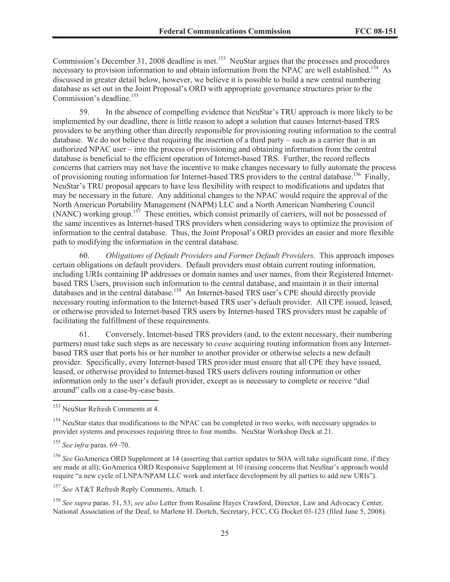Commission's December 31, 2008 deadline is met.<sup>153</sup> NeuStar argues that the processes and procedures necessary to provision information to and obtain information from the NPAC are well established.<sup>154</sup> As discussed in greater detail below, however, we believe it is possible to build a new central numbering database as set out in the Joint Proposal's ORD with appropriate governance structures prior to the Commission's deadline. 155

59. In the absence of compelling evidence that NeuStar's TRU approach is more likely to be implemented by our deadline, there is little reason to adopt a solution that causes Internet-based TRS providers to be anything other than directly responsible for provisioning routing information to the central database. We do not believe that requiring the insertion of a third party – such as a carrier that is an authorized NPAC user – into the process of provisioning and obtaining information from the central database is beneficial to the efficient operation of Internet-based TRS. Further, the record reflects concerns that carriers may not have the incentive to make changes necessary to fully automate the process of provisioning routing information for Internet-based TRS providers to the central database.<sup>156</sup> Finally, NeuStar's TRU proposal appears to have less flexibility with respect to modifications and updates that may be necessary in the future. Any additional changes to the NPAC would require the approval of the North American Portability Management (NAPM) LLC and a North American Numbering Council (NANC) working group.<sup>157</sup> These entities, which consist primarily of carriers, will not be possessed of the same incentives as Internet-based TRS providers when considering ways to optimize the provision of information to the central database. Thus, the Joint Proposal's ORD provides an easier and more flexible path to modifying the information in the central database.

60. *Obligations of Default Providers and Former Default Providers*. This approach imposes certain obligations on default providers. Default providers must obtain current routing information, including URIs containing IP addresses or domain names and user names, from their Registered Internetbased TRS Users, provision such information to the central database, and maintain it in their internal databases and in the central database.<sup>158</sup> An Internet-based TRS user's CPE should directly provide necessary routing information to the Internet-based TRS user's default provider. All CPE issued, leased, or otherwise provided to Internet-based TRS users by Internet-based TRS providers must be capable of facilitating the fulfillment of these requirements.

61. Conversely, Internet-based TRS providers (and, to the extent necessary, their numbering partners) must take such steps as are necessary to *cease* acquiring routing information from any Internetbased TRS user that ports his or her number to another provider or otherwise selects a new default provider. Specifically, every Internet-based TRS provider must ensure that all CPE they have issued, leased, or otherwise provided to Internet-based TRS users delivers routing information or other information only to the user's default provider, except as is necessary to complete or receive "dial around" calls on a case-by-case basis.

<sup>157</sup> *See* AT&T Refresh Reply Comments, Attach. 1.

<sup>158</sup> *See supra* paras. 51, 53; *see also* Letter from Rosaline Hayes Crawford, Director, Law and Advocacy Center, National Association of the Deaf, to Marlene H. Dortch, Secretary, FCC, CG Docket 03-123 (filed June 5, 2008).

<sup>153</sup> NeuStar Refresh Comments at 4.

<sup>&</sup>lt;sup>154</sup> NeuStar states that modifications to the NPAC can be completed in two weeks, with necessary upgrades to provider systems and processes requiring three to four months. NeuStar Workshop Deck at 21.

<sup>155</sup> *See infra* paras. 69–70.

<sup>&</sup>lt;sup>156</sup> See GoAmerica ORD Supplement at 14 (asserting that carrier updates to SOA will take significant time, if they are made at all); GoAmerica ORD Responsive Supplement at 10 (raising concerns that NeuStar's approach would require "a new cycle of LNPA/NPAM LLC work and interface development by all parties to add new URIs").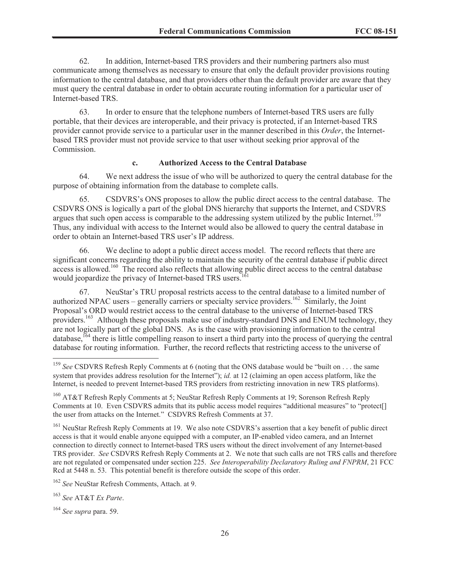62. In addition, Internet-based TRS providers and their numbering partners also must communicate among themselves as necessary to ensure that only the default provider provisions routing information to the central database, and that providers other than the default provider are aware that they must query the central database in order to obtain accurate routing information for a particular user of Internet-based TRS.

63. In order to ensure that the telephone numbers of Internet-based TRS users are fully portable, that their devices are interoperable, and their privacy is protected, if an Internet-based TRS provider cannot provide service to a particular user in the manner described in this *Order*, the Internetbased TRS provider must not provide service to that user without seeking prior approval of the Commission.

#### **c. Authorized Access to the Central Database**

64. We next address the issue of who will be authorized to query the central database for the purpose of obtaining information from the database to complete calls.

65. CSDVRS's ONS proposes to allow the public direct access to the central database. The CSDVRS ONS is logically a part of the global DNS hierarchy that supports the Internet, and CSDVRS argues that such open access is comparable to the addressing system utilized by the public Internet.<sup>159</sup> Thus, any individual with access to the Internet would also be allowed to query the central database in order to obtain an Internet-based TRS user's IP address.

66. We decline to adopt a public direct access model. The record reflects that there are significant concerns regarding the ability to maintain the security of the central database if public direct access is allowed.<sup>160</sup> The record also reflects that allowing public direct access to the central database would jeopardize the privacy of Internet-based TRS users. 161

67. NeuStar's TRU proposal restricts access to the central database to a limited number of authorized NPAC users – generally carriers or specialty service providers.<sup>162</sup> Similarly, the Joint Proposal's ORD would restrict access to the central database to the universe of Internet-based TRS providers.<sup>163</sup> Although these proposals make use of industry-standard DNS and ENUM technology, they are not logically part of the global DNS. As is the case with provisioning information to the central database, <sup>164</sup> there is little compelling reason to insert a third party into the process of querying the central database for routing information. Further, the record reflects that restricting access to the universe of

<sup>161</sup> NeuStar Refresh Reply Comments at 19. We also note CSDVRS's assertion that a key benefit of public direct access is that it would enable anyone equipped with a computer, an IP-enabled video camera, and an Internet connection to directly connect to Internet-based TRS users without the direct involvement of any Internet-based TRS provider. *See* CSDVRS Refresh Reply Comments at 2. We note that such calls are not TRS calls and therefore are not regulated or compensated under section 225. *See Interoperability Declaratory Ruling and FNPRM*, 21 FCC Rcd at 5448 n. 53. This potential benefit is therefore outside the scope of this order.

<sup>162</sup> *See* NeuStar Refresh Comments, Attach. at 9.

<sup>163</sup> *See* AT&T *Ex Parte*.

<sup>&</sup>lt;sup>159</sup> See CSDVRS Refresh Reply Comments at 6 (noting that the ONS database would be "built on . . . the same system that provides address resolution for the Internet"); *id.* at 12 (claiming an open access platform, like the Internet, is needed to prevent Internet-based TRS providers from restricting innovation in new TRS platforms).

<sup>&</sup>lt;sup>160</sup> AT&T Refresh Reply Comments at 5; NeuStar Refresh Reply Comments at 19; Sorenson Refresh Reply Comments at 10. Even CSDVRS admits that its public access model requires "additional measures" to "protect[] the user from attacks on the Internet." CSDVRS Refresh Comments at 37.

<sup>164</sup> *See supra* para. 59.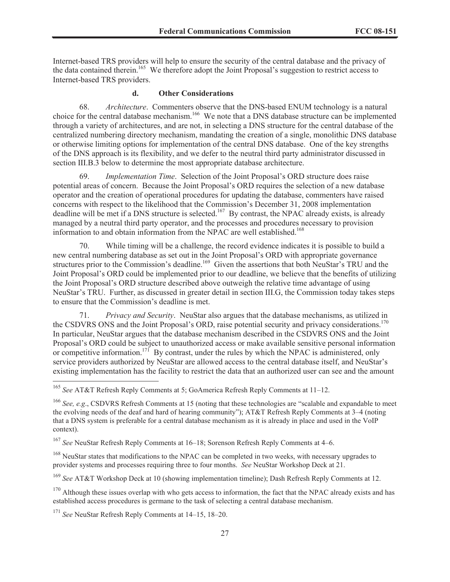Internet-based TRS providers will help to ensure the security of the central database and the privacy of the data contained therein.<sup>165</sup> We therefore adopt the Joint Proposal's suggestion to restrict access to Internet-based TRS providers.

## **d. Other Considerations**

68. *Architecture*. Commenters observe that the DNS-based ENUM technology is a natural choice for the central database mechanism.<sup>166</sup> We note that a DNS database structure can be implemented through a variety of architectures, and are not, in selecting a DNS structure for the central database of the centralized numbering directory mechanism, mandating the creation of a single, monolithic DNS database or otherwise limiting options for implementation of the central DNS database. One of the key strengths of the DNS approach is its flexibility, and we defer to the neutral third party administrator discussed in section III.B.3 below to determine the most appropriate database architecture.

69. *Implementation Time*. Selection of the Joint Proposal's ORD structure does raise potential areas of concern. Because the Joint Proposal's ORD requires the selection of a new database operator and the creation of operational procedures for updating the database, commenters have raised concerns with respect to the likelihood that the Commission's December 31, 2008 implementation deadline will be met if a DNS structure is selected.<sup>167</sup> By contrast, the NPAC already exists, is already managed by a neutral third party operator, and the processes and procedures necessary to provision information to and obtain information from the NPAC are well established.<sup>168</sup>

70. While timing will be a challenge, the record evidence indicates it is possible to build a new central numbering database as set out in the Joint Proposal's ORD with appropriate governance structures prior to the Commission's deadline.<sup>169</sup> Given the assertions that both NeuStar's TRU and the Joint Proposal's ORD could be implemented prior to our deadline, we believe that the benefits of utilizing the Joint Proposal's ORD structure described above outweigh the relative time advantage of using NeuStar's TRU. Further, as discussed in greater detail in section III.G, the Commission today takes steps to ensure that the Commission's deadline is met.

71. *Privacy and Security*. NeuStar also argues that the database mechanisms, as utilized in the CSDVRS ONS and the Joint Proposal's ORD, raise potential security and privacy considerations.<sup>170</sup> In particular, NeuStar argues that the database mechanism described in the CSDVRS ONS and the Joint Proposal's ORD could be subject to unauthorized access or make available sensitive personal information or competitive information.<sup>171</sup> By contrast, under the rules by which the NPAC is administered, only service providers authorized by NeuStar are allowed access to the central database itself, and NeuStar's existing implementation has the facility to restrict the data that an authorized user can see and the amount

<sup>165</sup> *See* AT&T Refresh Reply Comments at 5; GoAmerica Refresh Reply Comments at 11–12.

<sup>166</sup> *See, e.g*., CSDVRS Refresh Comments at 15 (noting that these technologies are "scalable and expandable to meet the evolving needs of the deaf and hard of hearing community"); AT&T Refresh Reply Comments at 3–4 (noting that a DNS system is preferable for a central database mechanism as it is already in place and used in the VoIP context).

<sup>167</sup> *See* NeuStar Refresh Reply Comments at 16–18; Sorenson Refresh Reply Comments at 4–6.

<sup>&</sup>lt;sup>168</sup> NeuStar states that modifications to the NPAC can be completed in two weeks, with necessary upgrades to provider systems and processes requiring three to four months. *See* NeuStar Workshop Deck at 21.

<sup>169</sup> *See* AT&T Workshop Deck at 10 (showing implementation timeline); Dash Refresh Reply Comments at 12.

 $170$  Although these issues overlap with who gets access to information, the fact that the NPAC already exists and has established access procedures is germane to the task of selecting a central database mechanism.

<sup>171</sup> *See* NeuStar Refresh Reply Comments at 14–15, 18–20.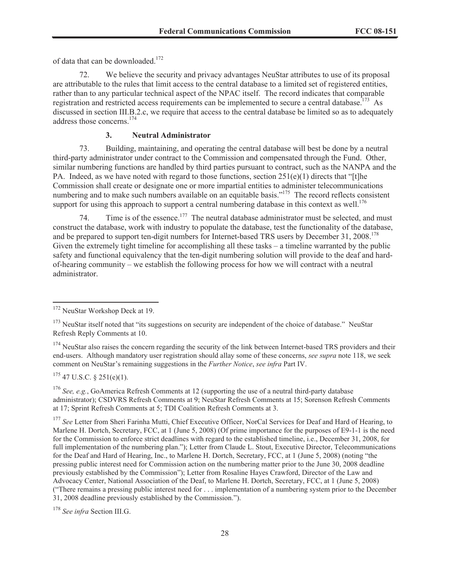of data that can be downloaded.<sup>172</sup>

72. We believe the security and privacy advantages NeuStar attributes to use of its proposal are attributable to the rules that limit access to the central database to a limited set of registered entities, rather than to any particular technical aspect of the NPAC itself. The record indicates that comparable registration and restricted access requirements can be implemented to secure a central database.<sup>173</sup> As discussed in section III.B.2.c, we require that access to the central database be limited so as to adequately address those concerns.<sup>174</sup>

#### **3. Neutral Administrator**

73. Building, maintaining, and operating the central database will best be done by a neutral third-party administrator under contract to the Commission and compensated through the Fund. Other, similar numbering functions are handled by third parties pursuant to contract, such as the NANPA and the PA. Indeed, as we have noted with regard to those functions, section  $251(e)(1)$  directs that "[t]he Commission shall create or designate one or more impartial entities to administer telecommunications numbering and to make such numbers available on an equitable basis."<sup>175</sup> The record reflects consistent support for using this approach to support a central numbering database in this context as well.<sup>176</sup>

74. Time is of the essence.<sup>177</sup> The neutral database administrator must be selected, and must construct the database, work with industry to populate the database, test the functionality of the database, and be prepared to support ten-digit numbers for Internet-based TRS users by December 31, 2008.<sup>178</sup> Given the extremely tight timeline for accomplishing all these tasks – a timeline warranted by the public safety and functional equivalency that the ten-digit numbering solution will provide to the deaf and hardof-hearing community – we establish the following process for how we will contract with a neutral administrator.

 $175$  47 U.S.C. § 251(e)(1).

<sup>176</sup> *See, e.g.*, GoAmerica Refresh Comments at 12 (supporting the use of a neutral third-party database administrator); CSDVRS Refresh Comments at 9; NeuStar Refresh Comments at 15; Sorenson Refresh Comments at 17; Sprint Refresh Comments at 5; TDI Coalition Refresh Comments at 3.

<sup>172</sup> NeuStar Workshop Deck at 19.

<sup>&</sup>lt;sup>173</sup> NeuStar itself noted that "its suggestions on security are independent of the choice of database." NeuStar Refresh Reply Comments at 10.

 $174$  NeuStar also raises the concern regarding the security of the link between Internet-based TRS providers and their end-users. Although mandatory user registration should allay some of these concerns, *see supra* note 118, we seek comment on NeuStar's remaining suggestions in the *Further Notice*, *see infra* Part IV.

<sup>&</sup>lt;sup>177</sup> See Letter from Sheri Farinha Mutti, Chief Executive Officer, NorCal Services for Deaf and Hard of Hearing, to Marlene H. Dortch, Secretary, FCC, at 1 (June 5, 2008) (Of prime importance for the purposes of E9-1-1 is the need for the Commission to enforce strict deadlines with regard to the established timeline, i.e., December 31, 2008, for full implementation of the numbering plan."); Letter from Claude L. Stout, Executive Director, Telecommunications for the Deaf and Hard of Hearing, Inc., to Marlene H. Dortch, Secretary, FCC, at 1 (June 5, 2008) (noting "the pressing public interest need for Commission action on the numbering matter prior to the June 30, 2008 deadline previously established by the Commission"); Letter from Rosaline Hayes Crawford, Director of the Law and Advocacy Center, National Association of the Deaf, to Marlene H. Dortch, Secretary, FCC, at 1 (June 5, 2008) ("There remains a pressing public interest need for . . . implementation of a numbering system prior to the December 31, 2008 deadline previously established by the Commission.").

<sup>178</sup> *See infra* Section III.G.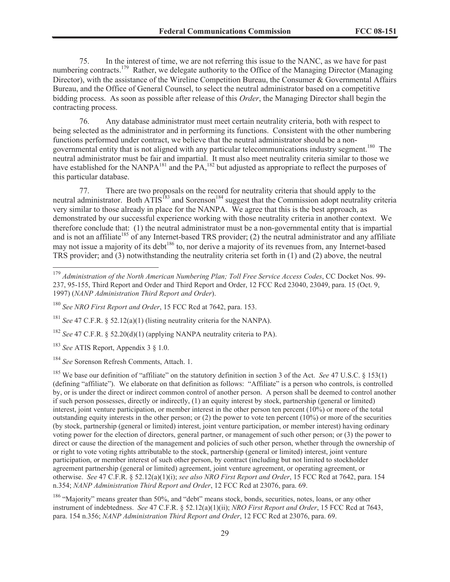75. In the interest of time, we are not referring this issue to the NANC, as we have for past numbering contracts.<sup>179</sup> Rather, we delegate authority to the Office of the Managing Director (Managing Director), with the assistance of the Wireline Competition Bureau, the Consumer & Governmental Affairs Bureau, and the Office of General Counsel, to select the neutral administrator based on a competitive bidding process. As soon as possible after release of this *Order*, the Managing Director shall begin the contracting process.

76. Any database administrator must meet certain neutrality criteria, both with respect to being selected as the administrator and in performing its functions. Consistent with the other numbering functions performed under contract, we believe that the neutral administrator should be a nongovernmental entity that is not aligned with any particular telecommunications industry segment.<sup>180</sup> The neutral administrator must be fair and impartial. It must also meet neutrality criteria similar to those we have established for the NANPA<sup>181</sup> and the PA,<sup>182</sup> but adjusted as appropriate to reflect the purposes of this particular database.

77. There are two proposals on the record for neutrality criteria that should apply to the neutral administrator. Both ATIS<sup>183</sup> and Sorenson<sup>184</sup> suggest that the Commission adopt neutrality criteria very similar to those already in place for the NANPA. We agree that this is the best approach, as demonstrated by our successful experience working with those neutrality criteria in another context. We therefore conclude that: (1) the neutral administrator must be a non-governmental entity that is impartial and is not an affiliate<sup>185</sup> of any Internet-based TRS provider; (2) the neutral administrator and any affiliate may not issue a majority of its debt<sup>186</sup> to, nor derive a majority of its revenues from, any Internet-based TRS provider; and (3) notwithstanding the neutrality criteria set forth in (1) and (2) above, the neutral

<sup>181</sup> *See* 47 C.F.R. § 52.12(a)(1) (listing neutrality criteria for the NANPA).

<sup>182</sup> *See* 47 C.F.R. § 52.20(d)(1) (applying NANPA neutrality criteria to PA).

<sup>183</sup> *See* ATIS Report, Appendix 3 § 1.0.

<sup>184</sup> *See* Sorenson Refresh Comments, Attach. 1.

<sup>185</sup> We base our definition of "affiliate" on the statutory definition in section 3 of the Act. *See* 47 U.S.C. § 153(1) (defining "affiliate"). We elaborate on that definition as follows: "Affiliate" is a person who controls, is controlled by, or is under the direct or indirect common control of another person. A person shall be deemed to control another if such person possesses, directly or indirectly, (1) an equity interest by stock, partnership (general or limited) interest, joint venture participation, or member interest in the other person ten percent (10%) or more of the total outstanding equity interests in the other person; or  $(2)$  the power to vote ten percent  $(10\%)$  or more of the securities (by stock, partnership (general or limited) interest, joint venture participation, or member interest) having ordinary voting power for the election of directors, general partner, or management of such other person; or (3) the power to direct or cause the direction of the management and policies of such other person, whether through the ownership of or right to vote voting rights attributable to the stock, partnership (general or limited) interest, joint venture participation, or member interest of such other person, by contract (including but not limited to stockholder agreement partnership (general or limited) agreement, joint venture agreement, or operating agreement, or otherwise. *See* 47 C.F.R. § 52.12(a)(1)(i); *see also NRO First Report and Order*, 15 FCC Rcd at 7642, para. 154 n.354; *NANP Administration Third Report and Order*, 12 FCC Rcd at 23076, para. 69.

<sup>186</sup> "Majority" means greater than 50%, and "debt" means stock, bonds, securities, notes, loans, or any other instrument of indebtedness. *See* 47 C.F.R. § 52.12(a)(1)(ii); *NRO First Report and Order*, 15 FCC Rcd at 7643, para. 154 n.356; *NANP Administration Third Report and Order*, 12 FCC Rcd at 23076, para. 69.

<sup>179</sup> *Administration of the North American Numbering Plan; Toll Free Service Access Codes*, CC Docket Nos. 99- 237, 95-155, Third Report and Order and Third Report and Order, 12 FCC Rcd 23040, 23049, para. 15 (Oct. 9, 1997) (*NANP Administration Third Report and Order*).

<sup>180</sup> *See NRO First Report and Order*, 15 FCC Rcd at 7642, para. 153.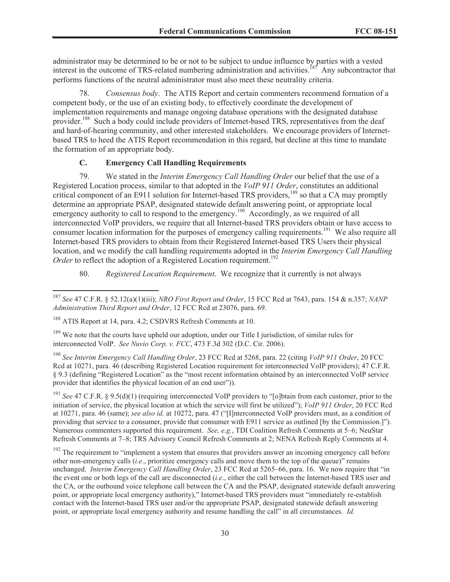administrator may be determined to be or not to be subject to undue influence by parties with a vested interest in the outcome of TRS-related numbering administration and activities.<sup>187</sup> Any subcontractor that performs functions of the neutral administrator must also meet these neutrality criteria.

78. *Consensus body*. The ATIS Report and certain commenters recommend formation of a competent body, or the use of an existing body, to effectively coordinate the development of implementation requirements and manage ongoing database operations with the designated database provider.<sup>188</sup> Such a body could include providers of Internet-based TRS, representatives from the deaf and hard-of-hearing community, and other interested stakeholders. We encourage providers of Internetbased TRS to heed the ATIS Report recommendation in this regard, but decline at this time to mandate the formation of an appropriate body.

## **C. Emergency Call Handling Requirements**

79. We stated in the *Interim Emergency Call Handling Order* our belief that the use of a Registered Location process, similar to that adopted in the *VoIP 911 Order*, constitutes an additional critical component of an E911 solution for Internet-based TRS providers,<sup>189</sup> so that a CA may promptly determine an appropriate PSAP, designated statewide default answering point, or appropriate local emergency authority to call to respond to the emergency.<sup>190</sup> Accordingly, as we required of all interconnected VoIP providers, we require that all Internet-based TRS providers obtain or have access to consumer location information for the purposes of emergency calling requirements.<sup>191</sup> We also require all Internet-based TRS providers to obtain from their Registered Internet-based TRS Users their physical location, and we modify the call handling requirements adopted in the *Interim Emergency Call Handling Order* to reflect the adoption of a Registered Location requirement.<sup>192</sup>

80. *Registered Location Requirement*. We recognize that it currently is not always

<sup>187</sup> *See* 47 C.F.R. § 52.12(a)(1)(iii); *NRO First Report and Order*, 15 FCC Rcd at 7643, para. 154 & n.357; *NANP Administration Third Report and Order*, 12 FCC Rcd at 23076, para. 69.

<sup>188</sup> ATIS Report at 14, para. 4.2; CSDVRS Refresh Comments at 10.

<sup>&</sup>lt;sup>189</sup> We note that the courts have upheld our adoption, under our Title I jurisdiction, of similar rules for interconnected VoIP. *See Nuvio Corp. v. FCC*, 473 F.3d 302 (D.C. Cir. 2006).

<sup>190</sup> *See Interim Emergency Call Handling Order*, 23 FCC Rcd at 5268, para. 22 (citing *VoIP 911 Order*, 20 FCC Rcd at 10271, para. 46 (describing Registered Location requirement for interconnected VoIP providers); 47 C.F.R. § 9.3 (defining "Registered Location" as the "most recent information obtained by an interconnected VoIP service provider that identifies the physical location of an end user")).

<sup>191</sup> *See* 47 C.F.R. § 9.5(d)(1) (requiring interconnected VoIP providers to "[o]btain from each customer, prior to the initiation of service, the physical location at which the service will first be utilized"); *VoIP 911 Order*, 20 FCC Rcd at 10271, para. 46 (same); *see also id.* at 10272, para. 47 ("[I]nterconnected VoIP providers must, as a condition of providing that service to a consumer, provide that consumer with E911 service as outlined [by the Commission.]"). Numerous commenters supported this requirement. *See, e.g.*, TDI Coalition Refresh Comments at 5–6; NeuStar Refresh Comments at 7–8; TRS Advisory Council Refresh Comments at 2; NENA Refresh Reply Comments at 4.

<sup>&</sup>lt;sup>192</sup> The requirement to "implement a system that ensures that providers answer an incoming emergency call before other non-emergency calls (*i.e*., prioritize emergency calls and move them to the top of the queue)" remains unchanged. *Interim Emergency Call Handling Order*, 23 FCC Rcd at 5265–66, para. 16. We now require that "in the event one or both legs of the call are disconnected (*i.e*., either the call between the Internet-based TRS user and the CA, or the outbound voice telephone call between the CA and the PSAP, designated statewide default answering point, or appropriate local emergency authority)," Internet-based TRS providers must "immediately re-establish contact with the Internet-based TRS user and/or the appropriate PSAP, designated statewide default answering point, or appropriate local emergency authority and resume handling the call" in all circumstances. *Id.*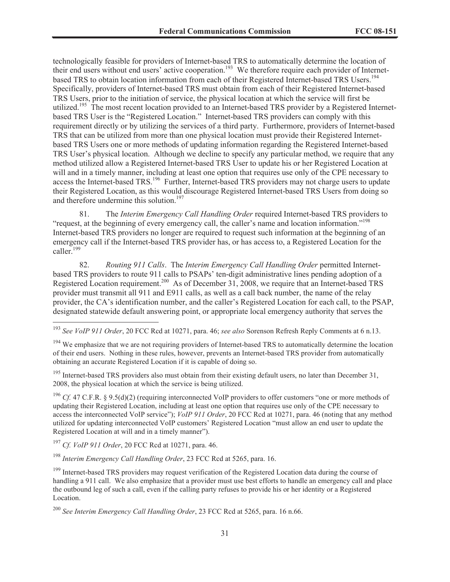technologically feasible for providers of Internet-based TRS to automatically determine the location of their end users without end users' active cooperation.<sup>193</sup> We therefore require each provider of Internetbased TRS to obtain location information from each of their Registered Internet-based TRS Users.<sup>194</sup> Specifically, providers of Internet-based TRS must obtain from each of their Registered Internet-based TRS Users, prior to the initiation of service, the physical location at which the service will first be utilized.<sup>195</sup> The most recent location provided to an Internet-based TRS provider by a Registered Internetbased TRS User is the "Registered Location." Internet-based TRS providers can comply with this requirement directly or by utilizing the services of a third party. Furthermore, providers of Internet-based TRS that can be utilized from more than one physical location must provide their Registered Internetbased TRS Users one or more methods of updating information regarding the Registered Internet-based TRS User's physical location. Although we decline to specify any particular method, we require that any method utilized allow a Registered Internet-based TRS User to update his or her Registered Location at will and in a timely manner, including at least one option that requires use only of the CPE necessary to access the Internet-based TRS.<sup>196</sup> Further, Internet-based TRS providers may not charge users to update their Registered Location, as this would discourage Registered Internet-based TRS Users from doing so and therefore undermine this solution.<sup>197</sup>

81. The *Interim Emergency Call Handling Order* required Internet-based TRS providers to "request, at the beginning of every emergency call, the caller's name and location information."<sup>198</sup> Internet-based TRS providers no longer are required to request such information at the beginning of an emergency call if the Internet-based TRS provider has, or has access to, a Registered Location for the caller.<sup>199</sup>

82. *Routing 911 Calls*. The *Interim Emergency Call Handling Order* permitted Internetbased TRS providers to route 911 calls to PSAPs' ten-digit administrative lines pending adoption of a Registered Location requirement.<sup>200</sup> As of December 31, 2008, we require that an Internet-based TRS provider must transmit all 911 and E911 calls, as well as a call back number, the name of the relay provider, the CA's identification number, and the caller's Registered Location for each call, to the PSAP, designated statewide default answering point, or appropriate local emergency authority that serves the

<sup>196</sup> *Cf.* 47 C.F.R. § 9.5(d)(2) (requiring interconnected VoIP providers to offer customers "one or more methods of updating their Registered Location, including at least one option that requires use only of the CPE necessary to access the interconnected VoIP service"); *VoIP 911 Order*, 20 FCC Rcd at 10271, para. 46 (noting that any method utilized for updating interconnected VoIP customers' Registered Location "must allow an end user to update the Registered Location at will and in a timely manner").

<sup>197</sup> *Cf. VoIP 911 Order*, 20 FCC Rcd at 10271, para. 46.

<sup>198</sup> *Interim Emergency Call Handling Order*, 23 FCC Rcd at 5265, para. 16.

<sup>199</sup> Internet-based TRS providers may request verification of the Registered Location data during the course of handling a 911 call. We also emphasize that a provider must use best efforts to handle an emergency call and place the outbound leg of such a call, even if the calling party refuses to provide his or her identity or a Registered Location.

<sup>193</sup> *See VoIP 911 Order*, 20 FCC Rcd at 10271, para. 46; *see also* Sorenson Refresh Reply Comments at 6 n.13.

<sup>&</sup>lt;sup>194</sup> We emphasize that we are not requiring providers of Internet-based TRS to automatically determine the location of their end users. Nothing in these rules, however, prevents an Internet-based TRS provider from automatically obtaining an accurate Registered Location if it is capable of doing so.

<sup>&</sup>lt;sup>195</sup> Internet-based TRS providers also must obtain from their existing default users, no later than December 31, 2008, the physical location at which the service is being utilized.

<sup>200</sup> *See Interim Emergency Call Handling Order*, 23 FCC Rcd at 5265, para. 16 n.66.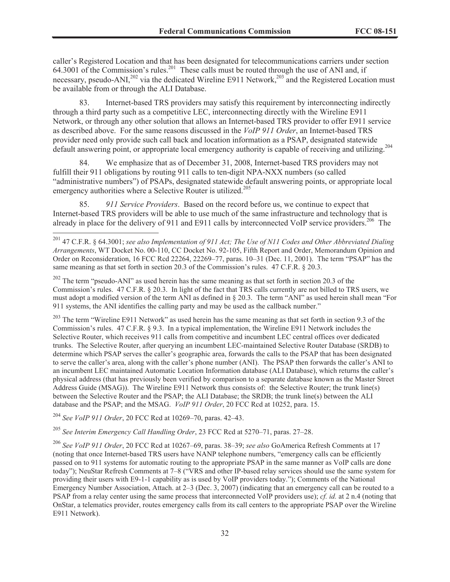caller's Registered Location and that has been designated for telecommunications carriers under section 64.3001 of the Commission's rules.<sup>201</sup> These calls must be routed through the use of ANI and, if necessary, pseudo-ANI,<sup>202</sup> via the dedicated Wireline E911 Network,<sup>203</sup> and the Registered Location must be available from or through the ALI Database.

83. Internet-based TRS providers may satisfy this requirement by interconnecting indirectly through a third party such as a competitive LEC, interconnecting directly with the Wireline E911 Network, or through any other solution that allows an Internet-based TRS provider to offer E911 service as described above. For the same reasons discussed in the *VoIP 911 Order*, an Internet-based TRS provider need only provide such call back and location information as a PSAP, designated statewide default answering point, or appropriate local emergency authority is capable of receiving and utilizing.<sup>204</sup>

84. We emphasize that as of December 31, 2008, Internet-based TRS providers may not fulfill their 911 obligations by routing 911 calls to ten-digit NPA-NXX numbers (so called "administrative numbers") of PSAPs, designated statewide default answering points, or appropriate local emergency authorities where a Selective Router is utilized.<sup>205</sup>

85. *911 Service Providers*. Based on the record before us, we continue to expect that Internet-based TRS providers will be able to use much of the same infrastructure and technology that is already in place for the delivery of 911 and E911 calls by interconnected VoIP service providers.<sup>206</sup> The

<sup>202</sup> The term "pseudo-ANI" as used herein has the same meaning as that set forth in section 20.3 of the Commission's rules. 47 C.F.R. § 20.3. In light of the fact that TRS calls currently are not billed to TRS users, we must adopt a modified version of the term ANI as defined in § 20.3. The term "ANI" as used herein shall mean "For 911 systems, the ANI identifies the calling party and may be used as the callback number."

<sup>203</sup> The term "Wireline E911 Network" as used herein has the same meaning as that set forth in section 9.3 of the Commission's rules. 47 C.F.R. § 9.3. In a typical implementation, the Wireline E911 Network includes the Selective Router, which receives 911 calls from competitive and incumbent LEC central offices over dedicated trunks. The Selective Router, after querying an incumbent LEC-maintained Selective Router Database (SRDB) to determine which PSAP serves the caller's geographic area, forwards the calls to the PSAP that has been designated to serve the caller's area, along with the caller's phone number (ANI). The PSAP then forwards the caller's ANI to an incumbent LEC maintained Automatic Location Information database (ALI Database), which returns the caller's physical address (that has previously been verified by comparison to a separate database known as the Master Street Address Guide (MSAG)). The Wireline E911 Network thus consists of: the Selective Router; the trunk line(s) between the Selective Router and the PSAP; the ALI Database; the SRDB; the trunk line(s) between the ALI database and the PSAP; and the MSAG. *VoIP 911 Order*, 20 FCC Rcd at 10252, para. 15.

<sup>204</sup> *See VoIP 911 Order*, 20 FCC Rcd at 10269–70, paras. 42–43.

<sup>205</sup> *See Interim Emergency Call Handling Order*, 23 FCC Rcd at 5270–71, paras. 27–28.

<sup>206</sup> *See VoIP 911 Order*, 20 FCC Rcd at 10267–69, paras. 38–39; *see also* GoAmerica Refresh Comments at 17 (noting that once Internet-based TRS users have NANP telephone numbers, "emergency calls can be efficiently passed on to 911 systems for automatic routing to the appropriate PSAP in the same manner as VoIP calls are done today"); NeuStar Refresh Comments at 7–8 ("VRS and other IP-based relay services should use the same system for providing their users with E9-1-1 capability as is used by VoIP providers today."); Comments of the National Emergency Number Association, Attach. at  $2-3$  (Dec. 3, 2007) (indicating that an emergency call can be routed to a PSAP from a relay center using the same process that interconnected VoIP providers use); *cf. id.* at 2 n.4 (noting that OnStar, a telematics provider, routes emergency calls from its call centers to the appropriate PSAP over the Wireline E911 Network).

<sup>201</sup> 47 C.F.R. § 64.3001; *see also Implementation of 911 Act; The Use of N11 Codes and Other Abbreviated Dialing Arrangements*, WT Docket No. 00-110, CC Docket No. 92-105, Fifth Report and Order, Memorandum Opinion and Order on Reconsideration, 16 FCC Rcd 22264, 22269–77, paras. 10–31 (Dec. 11, 2001). The term "PSAP" has the same meaning as that set forth in section 20.3 of the Commission's rules. 47 C.F.R. § 20.3.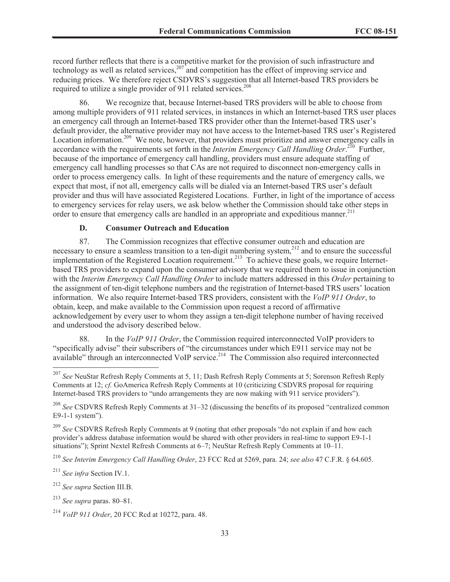record further reflects that there is a competitive market for the provision of such infrastructure and technology as well as related services,  $207<sup>2</sup>$  and competition has the effect of improving service and reducing prices. We therefore reject CSDVRS's suggestion that all Internet-based TRS providers be required to utilize a single provider of 911 related services.<sup>208</sup>

86. We recognize that, because Internet-based TRS providers will be able to choose from among multiple providers of 911 related services, in instances in which an Internet-based TRS user places an emergency call through an Internet-based TRS provider other than the Internet-based TRS user's default provider, the alternative provider may not have access to the Internet-based TRS user's Registered Location information.<sup>209</sup> We note, however, that providers must prioritize and answer emergency calls in accordance with the requirements set forth in the *Interim Emergency Call Handling Order*.<sup>210</sup> Further, because of the importance of emergency call handling, providers must ensure adequate staffing of emergency call handling processes so that CAs are not required to disconnect non-emergency calls in order to process emergency calls. In light of these requirements and the nature of emergency calls, we expect that most, if not all, emergency calls will be dialed via an Internet-based TRS user's default provider and thus will have associated Registered Locations. Further, in light of the importance of access to emergency services for relay users, we ask below whether the Commission should take other steps in order to ensure that emergency calls are handled in an appropriate and expeditious manner.<sup>211</sup>

#### **D. Consumer Outreach and Education**

87. The Commission recognizes that effective consumer outreach and education are necessary to ensure a seamless transition to a ten-digit numbering system,<sup>212</sup> and to ensure the successful implementation of the Registered Location requirement.<sup>213</sup> To achieve these goals, we require Internetbased TRS providers to expand upon the consumer advisory that we required them to issue in conjunction with the *Interim Emergency Call Handling Order* to include matters addressed in this *Order* pertaining to the assignment of ten-digit telephone numbers and the registration of Internet-based TRS users' location information. We also require Internet-based TRS providers, consistent with the *VoIP 911 Order*, to obtain, keep, and make available to the Commission upon request a record of affirmative acknowledgement by every user to whom they assign a ten-digit telephone number of having received and understood the advisory described below.

88. In the *VoIP 911 Order*, the Commission required interconnected VoIP providers to "specifically advise" their subscribers of "the circumstances under which E911 service may not be available" through an interconnected VoIP service.<sup>214</sup> The Commission also required interconnected

<sup>211</sup> *See infra* Section IV.1.

<sup>212</sup> *See supra* Section III.B.

<sup>207</sup> *See* NeuStar Refresh Reply Comments at 5, 11; Dash Refresh Reply Comments at 5; Sorenson Refresh Reply Comments at 12; *cf.* GoAmerica Refresh Reply Comments at 10 (criticizing CSDVRS proposal for requiring Internet-based TRS providers to "undo arrangements they are now making with 911 service providers").

<sup>208</sup> *See* CSDVRS Refresh Reply Comments at 31–32 (discussing the benefits of its proposed "centralized common E9-1-1 system").

<sup>209</sup> *See* CSDVRS Refresh Reply Comments at 9 (noting that other proposals "do not explain if and how each provider's address database information would be shared with other providers in real-time to support E9-1-1 situations"); Sprint Nextel Refresh Comments at 6–7; NeuStar Refresh Reply Comments at 10–11.

<sup>210</sup> *See Interim Emergency Call Handling Order*, 23 FCC Rcd at 5269, para. 24; *see also* 47 C.F.R. § 64.605.

<sup>213</sup> *See supra* paras. 80–81.

<sup>214</sup> *VoIP 911 Order*, 20 FCC Rcd at 10272, para. 48.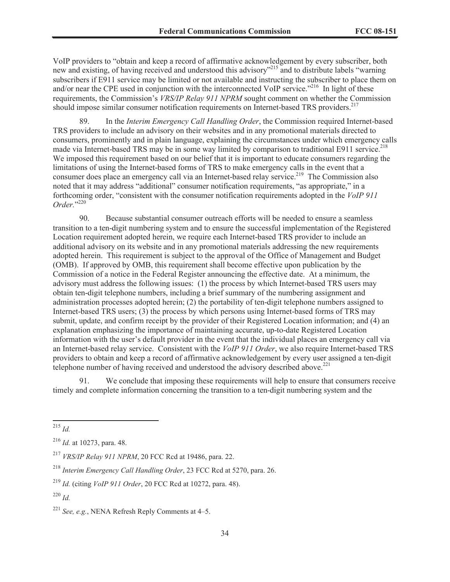VoIP providers to "obtain and keep a record of affirmative acknowledgement by every subscriber, both new and existing, of having received and understood this advisory"<sup>215</sup> and to distribute labels "warning subscribers if E911 service may be limited or not available and instructing the subscriber to place them on and/or near the CPE used in conjunction with the interconnected VoIP service."<sup>216</sup> In light of these requirements, the Commission's *VRS/IP Relay 911 NPRM* sought comment on whether the Commission should impose similar consumer notification requirements on Internet-based TRS providers.<sup>217</sup>

89. In the *Interim Emergency Call Handling Order*, the Commission required Internet-based TRS providers to include an advisory on their websites and in any promotional materials directed to consumers, prominently and in plain language, explaining the circumstances under which emergency calls made via Internet-based TRS may be in some way limited by comparison to traditional E911 service.<sup>218</sup> We imposed this requirement based on our belief that it is important to educate consumers regarding the limitations of using the Internet-based forms of TRS to make emergency calls in the event that a consumer does place an emergency call via an Internet-based relay service.<sup>219</sup> The Commission also noted that it may address "additional" consumer notification requirements, "as appropriate," in a forthcoming order, "consistent with the consumer notification requirements adopted in the *VoIP 911 Order.*" 220

90. Because substantial consumer outreach efforts will be needed to ensure a seamless transition to a ten-digit numbering system and to ensure the successful implementation of the Registered Location requirement adopted herein, we require each Internet-based TRS provider to include an additional advisory on its website and in any promotional materials addressing the new requirements adopted herein. This requirement is subject to the approval of the Office of Management and Budget (OMB). If approved by OMB, this requirement shall become effective upon publication by the Commission of a notice in the Federal Register announcing the effective date. At a minimum, the advisory must address the following issues: (1) the process by which Internet-based TRS users may obtain ten-digit telephone numbers, including a brief summary of the numbering assignment and administration processes adopted herein; (2) the portability of ten-digit telephone numbers assigned to Internet-based TRS users; (3) the process by which persons using Internet-based forms of TRS may submit, update, and confirm receipt by the provider of their Registered Location information; and (4) an explanation emphasizing the importance of maintaining accurate, up-to-date Registered Location information with the user's default provider in the event that the individual places an emergency call via an Internet-based relay service. Consistent with the *VoIP 911 Order*, we also require Internet-based TRS providers to obtain and keep a record of affirmative acknowledgement by every user assigned a ten-digit telephone number of having received and understood the advisory described above.<sup>221</sup>

91. We conclude that imposing these requirements will help to ensure that consumers receive timely and complete information concerning the transition to a ten-digit numbering system and the

<sup>215</sup> *Id.*

<sup>216</sup> *Id.* at 10273, para. 48.

<sup>217</sup> *VRS/IP Relay 911 NPRM*, 20 FCC Rcd at 19486, para. 22.

<sup>218</sup> *Interim Emergency Call Handling Order*, 23 FCC Rcd at 5270, para. 26.

<sup>219</sup> *Id.* (citing *VoIP 911 Order*, 20 FCC Rcd at 10272, para. 48).

<sup>220</sup> *Id.*

<sup>221</sup> *See, e.g.*, NENA Refresh Reply Comments at 4–5.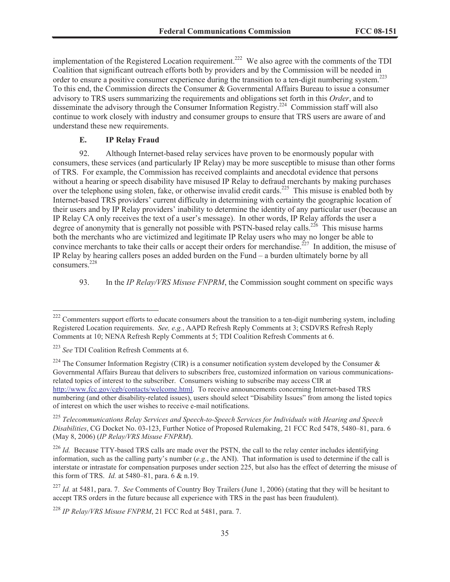implementation of the Registered Location requirement.<sup>222</sup> We also agree with the comments of the TDI Coalition that significant outreach efforts both by providers and by the Commission will be needed in order to ensure a positive consumer experience during the transition to a ten-digit numbering system.<sup>223</sup> To this end, the Commission directs the Consumer & Governmental Affairs Bureau to issue a consumer advisory to TRS users summarizing the requirements and obligations set forth in this *Order*, and to disseminate the advisory through the Consumer Information Registry.<sup>224</sup> Commission staff will also continue to work closely with industry and consumer groups to ensure that TRS users are aware of and understand these new requirements.

#### **E. IP Relay Fraud**

92. Although Internet-based relay services have proven to be enormously popular with consumers, these services (and particularly IP Relay) may be more susceptible to misuse than other forms of TRS. For example, the Commission has received complaints and anecdotal evidence that persons without a hearing or speech disability have misused IP Relay to defraud merchants by making purchases over the telephone using stolen, fake, or otherwise invalid credit cards.<sup>225</sup> This misuse is enabled both by Internet-based TRS providers' current difficulty in determining with certainty the geographic location of their users and by IP Relay providers' inability to determine the identity of any particular user (because an IP Relay CA only receives the text of a user's message). In other words, IP Relay affords the user a degree of anonymity that is generally not possible with PSTN-based relay calls.<sup>226</sup> This misuse harms both the merchants who are victimized and legitimate IP Relay users who may no longer be able to convince merchants to take their calls or accept their orders for merchandise.<sup>227</sup> In addition, the misuse of IP Relay by hearing callers poses an added burden on the Fund – a burden ultimately borne by all consumers.<sup>228</sup>

93. In the *IP Relay/VRS Misuse FNPRM*, the Commission sought comment on specific ways

<sup>&</sup>lt;sup>222</sup> Commenters support efforts to educate consumers about the transition to a ten-digit numbering system, including Registered Location requirements. *See, e.g.*, AAPD Refresh Reply Comments at 3; CSDVRS Refresh Reply Comments at 10; NENA Refresh Reply Comments at 5; TDI Coalition Refresh Comments at 6.

<sup>223</sup> *See* TDI Coalition Refresh Comments at 6.

<sup>&</sup>lt;sup>224</sup> The Consumer Information Registry (CIR) is a consumer notification system developed by the Consumer & Governmental Affairs Bureau that delivers to subscribers free, customized information on various communicationsrelated topics of interest to the subscriber. Consumers wishing to subscribe may access CIR at http://www.fcc.gov/cgb/contacts/welcome.html. To receive announcements concerning Internet-based TRS numbering (and other disability-related issues), users should select "Disability Issues" from among the listed topics of interest on which the user wishes to receive e-mail notifications.

<sup>225</sup> *Telecommunications Relay Services and Speech-to-Speech Services for Individuals with Hearing and Speech Disabilities*, CG Docket No. 03-123, Further Notice of Proposed Rulemaking, 21 FCC Rcd 5478, 5480–81, para. 6 (May 8, 2006) (*IP Relay/VRS Misuse FNPRM*).

<sup>&</sup>lt;sup>226</sup> *Id.* Because TTY-based TRS calls are made over the PSTN, the call to the relay center includes identifying information, such as the calling party's number (*e.g.*, the ANI). That information is used to determine if the call is interstate or intrastate for compensation purposes under section 225, but also has the effect of deterring the misuse of this form of TRS. *Id.* at 5480–81, para. 6 & n.19.

<sup>227</sup> *Id.* at 5481, para. 7. *See* Comments of Country Boy Trailers (June 1, 2006) (stating that they will be hesitant to accept TRS orders in the future because all experience with TRS in the past has been fraudulent).

<sup>228</sup> *IP Relay/VRS Misuse FNPRM*, 21 FCC Rcd at 5481, para. 7.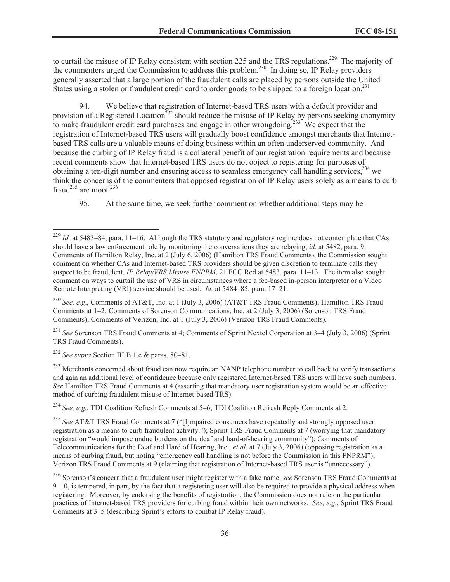to curtail the misuse of IP Relay consistent with section 225 and the TRS regulations.<sup>229</sup> The majority of the commenters urged the Commission to address this problem.<sup>230</sup> In doing so, IP Relay providers generally asserted that a large portion of the fraudulent calls are placed by persons outside the United States using a stolen or fraudulent credit card to order goods to be shipped to a foreign location.<sup>231</sup>

94. We believe that registration of Internet-based TRS users with a default provider and provision of a Registered Location<sup>232</sup> should reduce the misuse of IP Relay by persons seeking anonymity to make fraudulent credit card purchases and engage in other wrongdoing.<sup>233</sup> We expect that the registration of Internet-based TRS users will gradually boost confidence amongst merchants that Internetbased TRS calls are a valuable means of doing business within an often underserved community. And because the curbing of IP Relay fraud is a collateral benefit of our registration requirements and because recent comments show that Internet-based TRS users do not object to registering for purposes of obtaining a ten-digit number and ensuring access to seamless emergency call handling services,<sup>234</sup> we think the concerns of the commenters that opposed registration of IP Relay users solely as a means to curb fraud<sup>235</sup> are moot.<sup>236</sup>

95. At the same time, we seek further comment on whether additional steps may be

<sup>230</sup> *See, e.g*., Comments of AT&T, Inc. at 1 (July 3, 2006) (AT&T TRS Fraud Comments); Hamilton TRS Fraud Comments at 1–2; Comments of Sorenson Communications, Inc. at 2 (July 3, 2006) (Sorenson TRS Fraud Comments); Comments of Verizon, Inc. at 1 (July 3, 2006) (Verizon TRS Fraud Comments).

<sup>231</sup> *See* Sorenson TRS Fraud Comments at 4; Comments of Sprint Nextel Corporation at 3–4 (July 3, 2006) (Sprint TRS Fraud Comments).

<sup>232</sup> *See supra* Section III.B.1.e & paras. 80–81.

 $^{233}$  Merchants concerned about fraud can now require an NANP telephone number to call back to verify transactions and gain an additional level of confidence because only registered Internet-based TRS users will have such numbers. *See* Hamilton TRS Fraud Comments at 4 (asserting that mandatory user registration system would be an effective method of curbing fraudulent misuse of Internet-based TRS).

<sup>234</sup> *See, e.g.*, TDI Coalition Refresh Comments at 5–6; TDI Coalition Refresh Reply Comments at 2.

<sup>235</sup> *See* AT&T TRS Fraud Comments at 7 ("[I]mpaired consumers have repeatedly and strongly opposed user registration as a means to curb fraudulent activity."); Sprint TRS Fraud Comments at 7 (worrying that mandatory registration "would impose undue burdens on the deaf and hard-of-hearing community"); Comments of Telecommunications for the Deaf and Hard of Hearing, Inc., *et al.* at 7 (July 3, 2006) (opposing registration as a means of curbing fraud, but noting "emergency call handling is not before the Commission in this FNPRM"); Verizon TRS Fraud Comments at 9 (claiming that registration of Internet-based TRS user is "unnecessary").

<sup>229</sup> *Id.* at 5483–84, para. 11–16. Although the TRS statutory and regulatory regime does not contemplate that CAs should have a law enforcement role by monitoring the conversations they are relaying, *id.* at 5482, para. 9; Comments of Hamilton Relay, Inc. at 2 (July 6, 2006) (Hamilton TRS Fraud Comments), the Commission sought comment on whether CAs and Internet-based TRS providers should be given discretion to terminate calls they suspect to be fraudulent, *IP Relay/VRS Misuse FNPRM*, 21 FCC Rcd at 5483, para. 11–13. The item also sought comment on ways to curtail the use of VRS in circumstances where a fee-based in-person interpreter or a Video Remote Interpreting (VRI) service should be used. *Id.* at 5484–85, para. 17–21.

<sup>236</sup> Sorenson's concern that a fraudulent user might register with a fake name, *see* Sorenson TRS Fraud Comments at 9–10, is tempered, in part, by the fact that a registering user will also be required to provide a physical address when registering. Moreover, by endorsing the benefits of registration, the Commission does not rule on the particular practices of Internet-based TRS providers for curbing fraud within their own networks. *See, e.g.*, Sprint TRS Fraud Comments at 3–5 (describing Sprint's efforts to combat IP Relay fraud).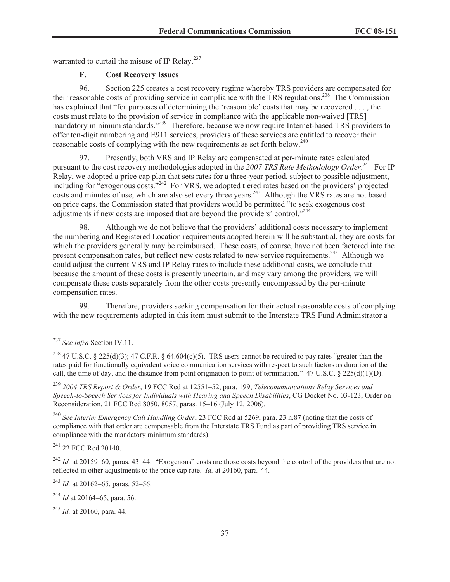warranted to curtail the misuse of IP Relay.<sup>237</sup>

# **F. Cost Recovery Issues**

96. Section 225 creates a cost recovery regime whereby TRS providers are compensated for their reasonable costs of providing service in compliance with the TRS regulations.<sup>238</sup> The Commission has explained that "for purposes of determining the 'reasonable' costs that may be recovered . . . , the costs must relate to the provision of service in compliance with the applicable non-waived [TRS] mandatory minimum standards."<sup>239</sup> Therefore, because we now require Internet-based TRS providers to offer ten-digit numbering and E911 services, providers of these services are entitled to recover their reasonable costs of complying with the new requirements as set forth below.<sup>240</sup>

97. Presently, both VRS and IP Relay are compensated at per-minute rates calculated pursuant to the cost recovery methodologies adopted in the *2007 TRS Rate Methodology Order*. <sup>241</sup> For IP Relay, we adopted a price cap plan that sets rates for a three-year period, subject to possible adjustment, including for "exogenous costs."<sup>242</sup> For VRS, we adopted tiered rates based on the providers' projected costs and minutes of use, which are also set every three years.<sup>243</sup> Although the VRS rates are not based on price caps, the Commission stated that providers would be permitted "to seek exogenous cost adjustments if new costs are imposed that are beyond the providers' control."<sup>244</sup>

Although we do not believe that the providers' additional costs necessary to implement the numbering and Registered Location requirements adopted herein will be substantial, they are costs for which the providers generally may be reimbursed. These costs, of course, have not been factored into the present compensation rates, but reflect new costs related to new service requirements.<sup>245</sup> Although we could adjust the current VRS and IP Relay rates to include these additional costs, we conclude that because the amount of these costs is presently uncertain, and may vary among the providers, we will compensate these costs separately from the other costs presently encompassed by the per-minute compensation rates.

99. Therefore, providers seeking compensation for their actual reasonable costs of complying with the new requirements adopted in this item must submit to the Interstate TRS Fund Administrator a

<sup>239</sup> *2004 TRS Report & Order*, 19 FCC Rcd at 12551–52, para. 199; *Telecommunications Relay Services and Speech-to-Speech Services for Individuals with Hearing and Speech Disabilities*, CG Docket No. 03-123, Order on Reconsideration, 21 FCC Rcd 8050, 8057, paras. 15–16 (July 12, 2006).

<sup>240</sup> *See Interim Emergency Call Handling Order*, 23 FCC Rcd at 5269, para. 23 n.87 (noting that the costs of compliance with that order are compensable from the Interstate TRS Fund as part of providing TRS service in compliance with the mandatory minimum standards).

<sup>241</sup> 22 FCC Rcd 20140.

<sup>242</sup> *Id.* at 20159–60, paras. 43–44. "Exogenous" costs are those costs beyond the control of the providers that are not reflected in other adjustments to the price cap rate. *Id.* at 20160, para. 44.

<sup>243</sup> *Id.* at 20162–65, paras. 52–56.

<sup>244</sup> *Id* at 20164–65, para. 56.

<sup>245</sup> *Id.* at 20160, para. 44.

<sup>237</sup> *See infra* Section IV.11.

<sup>&</sup>lt;sup>238</sup> 47 U.S.C. § 225(d)(3); 47 C.F.R. § 64.604(c)(5). TRS users cannot be required to pay rates "greater than the rates paid for functionally equivalent voice communication services with respect to such factors as duration of the call, the time of day, and the distance from point origination to point of termination." 47 U.S.C. § 225(d)(1)(D).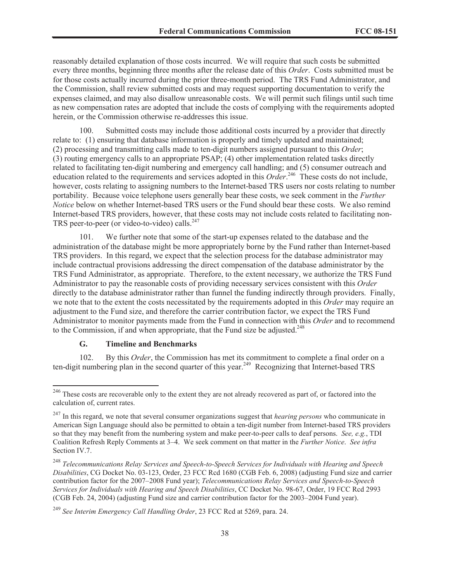reasonably detailed explanation of those costs incurred. We will require that such costs be submitted every three months, beginning three months after the release date of this *Order*. Costs submitted must be for those costs actually incurred during the prior three-month period. The TRS Fund Administrator, and the Commission, shall review submitted costs and may request supporting documentation to verify the expenses claimed, and may also disallow unreasonable costs. We will permit such filings until such time as new compensation rates are adopted that include the costs of complying with the requirements adopted herein, or the Commission otherwise re-addresses this issue.

100. Submitted costs may include those additional costs incurred by a provider that directly relate to: (1) ensuring that database information is properly and timely updated and maintained; (2) processing and transmitting calls made to ten-digit numbers assigned pursuant to this *Order*; (3) routing emergency calls to an appropriate PSAP; (4) other implementation related tasks directly related to facilitating ten-digit numbering and emergency call handling; and (5) consumer outreach and education related to the requirements and services adopted in this *Order*.<sup>246</sup> These costs do not include, however, costs relating to assigning numbers to the Internet-based TRS users nor costs relating to number portability. Because voice telephone users generally bear these costs, we seek comment in the *Further Notice* below on whether Internet-based TRS users or the Fund should bear these costs. We also remind Internet-based TRS providers, however, that these costs may not include costs related to facilitating non-TRS peer-to-peer (or video-to-video) calls. $247$ 

101. We further note that some of the start-up expenses related to the database and the administration of the database might be more appropriately borne by the Fund rather than Internet-based TRS providers. In this regard, we expect that the selection process for the database administrator may include contractual provisions addressing the direct compensation of the database administrator by the TRS Fund Administrator, as appropriate. Therefore, to the extent necessary, we authorize the TRS Fund Administrator to pay the reasonable costs of providing necessary services consistent with this *Order* directly to the database administrator rather than funnel the funding indirectly through providers. Finally, we note that to the extent the costs necessitated by the requirements adopted in this *Order* may require an adjustment to the Fund size, and therefore the carrier contribution factor, we expect the TRS Fund Administrator to monitor payments made from the Fund in connection with this *Order* and to recommend to the Commission, if and when appropriate, that the Fund size be adjusted.<sup>248</sup>

# **G. Timeline and Benchmarks**

102. By this *Order*, the Commission has met its commitment to complete a final order on a ten-digit numbering plan in the second quarter of this year.<sup>249</sup> Recognizing that Internet-based TRS

<sup>&</sup>lt;sup>246</sup> These costs are recoverable only to the extent they are not already recovered as part of, or factored into the calculation of, current rates.

<sup>247</sup> In this regard, we note that several consumer organizations suggest that *hearing persons* who communicate in American Sign Language should also be permitted to obtain a ten-digit number from Internet-based TRS providers so that they may benefit from the numbering system and make peer-to-peer calls to deaf persons. *See, e.g.*, TDI Coalition Refresh Reply Comments at 3–4. We seek comment on that matter in the *Further Notice*. *See infra* Section IV.7.

<sup>248</sup> *Telecommunications Relay Services and Speech-to-Speech Services for Individuals with Hearing and Speech Disabilities*, CG Docket No. 03-123, Order, 23 FCC Rcd 1680 (CGB Feb. 6, 2008) (adjusting Fund size and carrier contribution factor for the 2007–2008 Fund year); *Telecommunications Relay Services and Speech-to-Speech Services for Individuals with Hearing and Speech Disabilities*, CC Docket No. 98-67, Order, 19 FCC Rcd 2993 (CGB Feb. 24, 2004) (adjusting Fund size and carrier contribution factor for the 2003–2004 Fund year).

<sup>249</sup> *See Interim Emergency Call Handling Order*, 23 FCC Rcd at 5269, para. 24.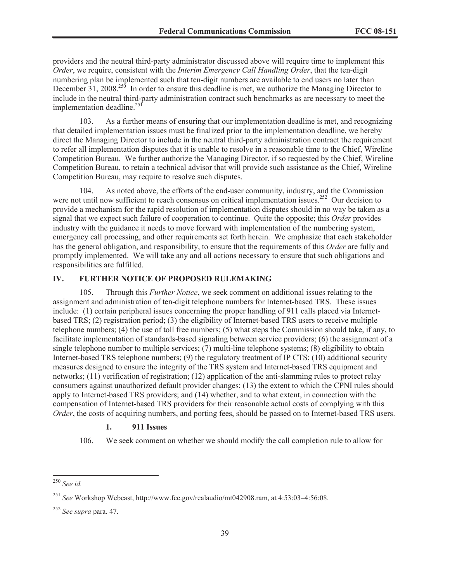providers and the neutral third-party administrator discussed above will require time to implement this *Order*, we require, consistent with the *Interim Emergency Call Handling Order*, that the ten-digit numbering plan be implemented such that ten-digit numbers are available to end users no later than December  $31$ , 2008.<sup>250</sup> In order to ensure this deadline is met, we authorize the Managing Director to include in the neutral third-party administration contract such benchmarks as are necessary to meet the implementation deadline. $^{25}$ <sup>[1]</sup>

103. As a further means of ensuring that our implementation deadline is met, and recognizing that detailed implementation issues must be finalized prior to the implementation deadline, we hereby direct the Managing Director to include in the neutral third-party administration contract the requirement to refer all implementation disputes that it is unable to resolve in a reasonable time to the Chief, Wireline Competition Bureau. We further authorize the Managing Director, if so requested by the Chief, Wireline Competition Bureau, to retain a technical advisor that will provide such assistance as the Chief, Wireline Competition Bureau, may require to resolve such disputes.

104. As noted above, the efforts of the end-user community, industry, and the Commission were not until now sufficient to reach consensus on critical implementation issues.<sup>252</sup> Our decision to provide a mechanism for the rapid resolution of implementation disputes should in no way be taken as a signal that we expect such failure of cooperation to continue. Quite the opposite; this *Order* provides industry with the guidance it needs to move forward with implementation of the numbering system, emergency call processing, and other requirements set forth herein. We emphasize that each stakeholder has the general obligation, and responsibility, to ensure that the requirements of this *Order* are fully and promptly implemented. We will take any and all actions necessary to ensure that such obligations and responsibilities are fulfilled.

# **IV. FURTHER NOTICE OF PROPOSED RULEMAKING**

105. Through this *Further Notice*, we seek comment on additional issues relating to the assignment and administration of ten-digit telephone numbers for Internet-based TRS. These issues include: (1) certain peripheral issues concerning the proper handling of 911 calls placed via Internetbased TRS; (2) registration period; (3) the eligibility of Internet-based TRS users to receive multiple telephone numbers; (4) the use of toll free numbers; (5) what steps the Commission should take, if any, to facilitate implementation of standards-based signaling between service providers; (6) the assignment of a single telephone number to multiple services; (7) multi-line telephone systems; (8) eligibility to obtain Internet-based TRS telephone numbers; (9) the regulatory treatment of IP CTS; (10) additional security measures designed to ensure the integrity of the TRS system and Internet-based TRS equipment and networks; (11) verification of registration; (12) application of the anti-slamming rules to protect relay consumers against unauthorized default provider changes; (13) the extent to which the CPNI rules should apply to Internet-based TRS providers; and (14) whether, and to what extent, in connection with the compensation of Internet-based TRS providers for their reasonable actual costs of complying with this *Order*, the costs of acquiring numbers, and porting fees, should be passed on to Internet-based TRS users.

#### **1. 911 Issues**

106. We seek comment on whether we should modify the call completion rule to allow for

<sup>250</sup> *See id.*

<sup>251</sup> *See* Workshop Webcast, http://www.fcc.gov/realaudio/mt042908.ram, at 4:53:03–4:56:08.

<sup>252</sup> *See supra* para. 47.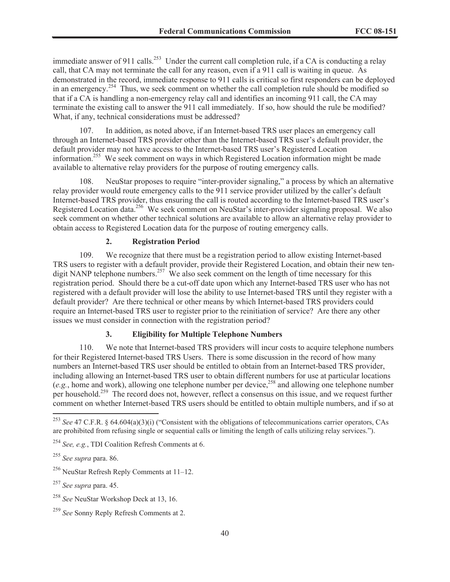immediate answer of 911 calls.<sup>253</sup> Under the current call completion rule, if a CA is conducting a relay call, that CA may not terminate the call for any reason, even if a 911 call is waiting in queue. As demonstrated in the record, immediate response to 911 calls is critical so first responders can be deployed in an emergency.<sup>254</sup> Thus, we seek comment on whether the call completion rule should be modified so that if a CA is handling a non-emergency relay call and identifies an incoming 911 call, the CA may terminate the existing call to answer the 911 call immediately. If so, how should the rule be modified? What, if any, technical considerations must be addressed?

107. In addition, as noted above, if an Internet-based TRS user places an emergency call through an Internet-based TRS provider other than the Internet-based TRS user's default provider, the default provider may not have access to the Internet-based TRS user's Registered Location information. <sup>255</sup> We seek comment on ways in which Registered Location information might be made available to alternative relay providers for the purpose of routing emergency calls.

108. NeuStar proposes to require "inter-provider signaling," a process by which an alternative relay provider would route emergency calls to the 911 service provider utilized by the caller's default Internet-based TRS provider, thus ensuring the call is routed according to the Internet-based TRS user's Registered Location data.<sup>256</sup> We seek comment on NeuStar's inter-provider signaling proposal. We also seek comment on whether other technical solutions are available to allow an alternative relay provider to obtain access to Registered Location data for the purpose of routing emergency calls.

# **2. Registration Period**

109. We recognize that there must be a registration period to allow existing Internet-based TRS users to register with a default provider, provide their Registered Location, and obtain their new tendigit NANP telephone numbers.<sup>257</sup> We also seek comment on the length of time necessary for this registration period. Should there be a cut-off date upon which any Internet-based TRS user who has not registered with a default provider will lose the ability to use Internet-based TRS until they register with a default provider? Are there technical or other means by which Internet-based TRS providers could require an Internet-based TRS user to register prior to the reinitiation of service? Are there any other issues we must consider in connection with the registration period?

# **3. Eligibility for Multiple Telephone Numbers**

110. We note that Internet-based TRS providers will incur costs to acquire telephone numbers for their Registered Internet-based TRS Users. There is some discussion in the record of how many numbers an Internet-based TRS user should be entitled to obtain from an Internet-based TRS provider, including allowing an Internet-based TRS user to obtain different numbers for use at particular locations  $(e.g., home and work)$ , allowing one telephone number per device,<sup>258</sup> and allowing one telephone number per household.<sup>259</sup> The record does not, however, reflect a consensus on this issue, and we request further comment on whether Internet-based TRS users should be entitled to obtain multiple numbers, and if so at

<sup>253</sup> *See* 47 C.F.R. § 64.604(a)(3)(i) ("Consistent with the obligations of telecommunications carrier operators, CAs are prohibited from refusing single or sequential calls or limiting the length of calls utilizing relay services.").

<sup>254</sup> *See, e.g.*, TDI Coalition Refresh Comments at 6.

<sup>255</sup> *See supra* para. 86.

<sup>256</sup> NeuStar Refresh Reply Comments at 11–12.

<sup>257</sup> *See supra* para. 45.

<sup>258</sup> *See* NeuStar Workshop Deck at 13, 16.

<sup>259</sup> *See* Sonny Reply Refresh Comments at 2.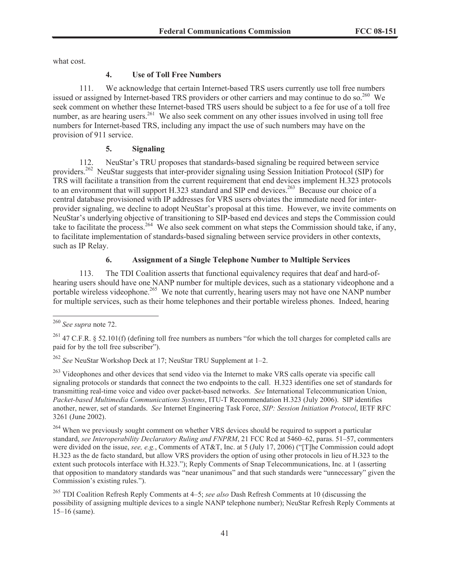what cost.

### **4. Use of Toll Free Numbers**

111. We acknowledge that certain Internet-based TRS users currently use toll free numbers issued or assigned by Internet-based TRS providers or other carriers and may continue to do so.<sup>260</sup> We seek comment on whether these Internet-based TRS users should be subject to a fee for use of a toll free number, as are hearing users.<sup>261</sup> We also seek comment on any other issues involved in using toll free numbers for Internet-based TRS, including any impact the use of such numbers may have on the provision of 911 service.

## **5. Signaling**

112. NeuStar's TRU proposes that standards-based signaling be required between service providers.<sup>262</sup> NeuStar suggests that inter-provider signaling using Session Initiation Protocol (SIP) for TRS will facilitate a transition from the current requirement that end devices implement H.323 protocols to an environment that will support H.323 standard and SIP end devices.<sup>263</sup> Because our choice of a central database provisioned with IP addresses for VRS users obviates the immediate need for interprovider signaling, we decline to adopt NeuStar's proposal at this time. However, we invite comments on NeuStar's underlying objective of transitioning to SIP-based end devices and steps the Commission could take to facilitate the process.<sup>264</sup> We also seek comment on what steps the Commission should take, if any, to facilitate implementation of standards-based signaling between service providers in other contexts, such as IP Relay.

# **6. Assignment of a Single Telephone Number to Multiple Services**

113. The TDI Coalition asserts that functional equivalency requires that deaf and hard-ofhearing users should have one NANP number for multiple devices, such as a stationary videophone and a portable wireless videophone.<sup>265</sup> We note that currently, hearing users may not have one NANP number for multiple services, such as their home telephones and their portable wireless phones. Indeed, hearing

<sup>260</sup> *See supra* note 72.

<sup>&</sup>lt;sup>261</sup> 47 C.F.R. § 52.101(f) (defining toll free numbers as numbers "for which the toll charges for completed calls are paid for by the toll free subscriber").

<sup>262</sup> *See* NeuStar Workshop Deck at 17; NeuStar TRU Supplement at 1–2.

<sup>&</sup>lt;sup>263</sup> Videophones and other devices that send video via the Internet to make VRS calls operate via specific call signaling protocols or standards that connect the two endpoints to the call. H.323 identifies one set of standards for transmitting real-time voice and video over packet-based networks. *See* International Telecommunication Union, *Packet-based Multimedia Communications Systems*, ITU-T Recommendation H.323 (July 2006). SIP identifies another, newer, set of standards. *See* Internet Engineering Task Force, *SIP: Session Initiation Protocol*, IETF RFC 3261 (June 2002).

<sup>&</sup>lt;sup>264</sup> When we previously sought comment on whether VRS devices should be required to support a particular standard, *see Interoperability Declaratory Ruling and FNPRM*, 21 FCC Rcd at 5460–62, paras. 51–57, commenters were divided on the issue, *see, e.g.*, Comments of AT&T, Inc. at 5 (July 17, 2006) ("[T]he Commission could adopt H.323 as the de facto standard, but allow VRS providers the option of using other protocols in lieu of H.323 to the extent such protocols interface with H.323."); Reply Comments of Snap Telecommunications, Inc. at 1 (asserting that opposition to mandatory standards was "near unanimous" and that such standards were "unnecessary" given the Commission's existing rules.").

<sup>265</sup> TDI Coalition Refresh Reply Comments at 4–5; *see also* Dash Refresh Comments at 10 (discussing the possibility of assigning multiple devices to a single NANP telephone number); NeuStar Refresh Reply Comments at 15–16 (same).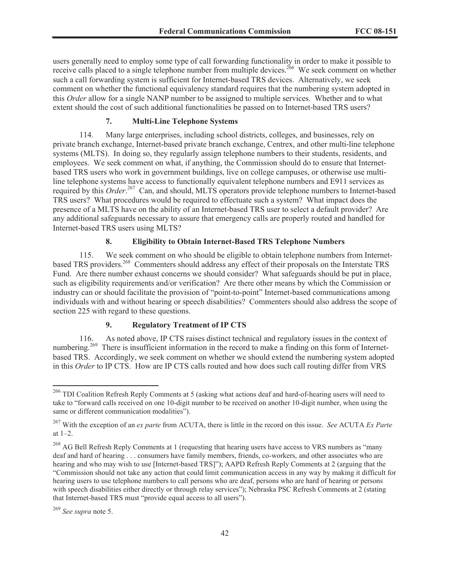users generally need to employ some type of call forwarding functionality in order to make it possible to receive calls placed to a single telephone number from multiple devices.<sup>266</sup> We seek comment on whether such a call forwarding system is sufficient for Internet-based TRS devices. Alternatively, we seek comment on whether the functional equivalency standard requires that the numbering system adopted in this *Order* allow for a single NANP number to be assigned to multiple services. Whether and to what extent should the cost of such additional functionalities be passed on to Internet-based TRS users?

# **7. Multi-Line Telephone Systems**

114. Many large enterprises, including school districts, colleges, and businesses, rely on private branch exchange, Internet-based private branch exchange, Centrex, and other multi-line telephone systems (MLTS). In doing so, they regularly assign telephone numbers to their students, residents, and employees. We seek comment on what, if anything, the Commission should do to ensure that Internetbased TRS users who work in government buildings, live on college campuses, or otherwise use multiline telephone systems have access to functionally equivalent telephone numbers and E911 services as required by this *Order*. <sup>267</sup> Can, and should, MLTS operators provide telephone numbers to Internet-based TRS users? What procedures would be required to effectuate such a system? What impact does the presence of a MLTS have on the ability of an Internet-based TRS user to select a default provider? Are any additional safeguards necessary to assure that emergency calls are properly routed and handled for Internet-based TRS users using MLTS?

## **8. Eligibility to Obtain Internet-Based TRS Telephone Numbers**

115. We seek comment on who should be eligible to obtain telephone numbers from Internetbased TRS providers.<sup>268</sup> Commenters should address any effect of their proposals on the Interstate TRS Fund. Are there number exhaust concerns we should consider? What safeguards should be put in place, such as eligibility requirements and/or verification? Are there other means by which the Commission or industry can or should facilitate the provision of "point-to-point" Internet-based communications among individuals with and without hearing or speech disabilities? Commenters should also address the scope of section 225 with regard to these questions.

# **9. Regulatory Treatment of IP CTS**

116. As noted above, IP CTS raises distinct technical and regulatory issues in the context of numbering.<sup>269</sup> There is insufficient information in the record to make a finding on this form of Internetbased TRS. Accordingly, we seek comment on whether we should extend the numbering system adopted in this *Order* to IP CTS. How are IP CTS calls routed and how does such call routing differ from VRS

<sup>266</sup> TDI Coalition Refresh Reply Comments at 5 (asking what actions deaf and hard-of-hearing users will need to take to "forward calls received on one 10-digit number to be received on another 10-digit number, when using the same or different communication modalities").

<sup>267</sup> With the exception of an *ex parte* from ACUTA, there is little in the record on this issue. *See* ACUTA *Ex Parte* at 1–2.

<sup>&</sup>lt;sup>268</sup> AG Bell Refresh Reply Comments at 1 (requesting that hearing users have access to VRS numbers as "many deaf and hard of hearing . . . consumers have family members, friends, co-workers, and other associates who are hearing and who may wish to use [Internet-based TRS]"); AAPD Refresh Reply Comments at 2 (arguing that the "Commission should not take any action that could limit communication access in any way by making it difficult for hearing users to use telephone numbers to call persons who are deaf, persons who are hard of hearing or persons with speech disabilities either directly or through relay services"); Nebraska PSC Refresh Comments at 2 (stating that Internet-based TRS must "provide equal access to all users").

<sup>269</sup> *See supra* note 5.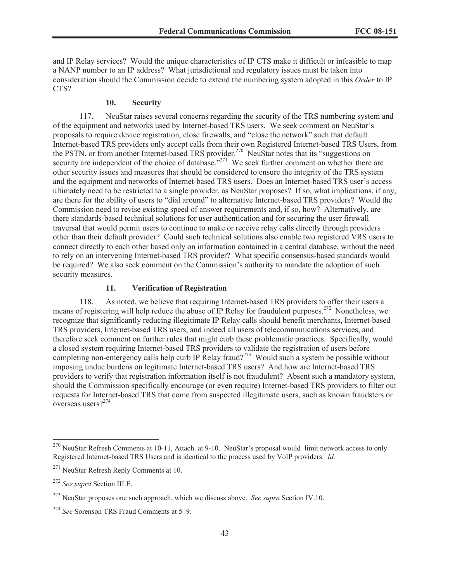and IP Relay services? Would the unique characteristics of IP CTS make it difficult or infeasible to map a NANP number to an IP address? What jurisdictional and regulatory issues must be taken into consideration should the Commission decide to extend the numbering system adopted in this *Order* to IP CTS?

#### **10. Security**

117. NeuStar raises several concerns regarding the security of the TRS numbering system and of the equipment and networks used by Internet-based TRS users. We seek comment on NeuStar's proposals to require device registration, close firewalls, and "close the network" such that default Internet-based TRS providers only accept calls from their own Registered Internet-based TRS Users, from the PSTN, or from another Internet-based TRS provider.<sup>270</sup> NeuStar notes that its "suggestions on security are independent of the choice of database."<sup>271</sup> We seek further comment on whether there are other security issues and measures that should be considered to ensure the integrity of the TRS system and the equipment and networks of Internet-based TRS users. Does an Internet-based TRS user's access ultimately need to be restricted to a single provider, as NeuStar proposes? If so, what implications, if any, are there for the ability of users to "dial around" to alternative Internet-based TRS providers? Would the Commission need to revise existing speed of answer requirements and, if so, how? Alternatively, are there standards-based technical solutions for user authentication and for securing the user firewall traversal that would permit users to continue to make or receive relay calls directly through providers other than their default provider? Could such technical solutions also enable two registered VRS users to connect directly to each other based only on information contained in a central database, without the need to rely on an intervening Internet-based TRS provider? What specific consensus-based standards would be required? We also seek comment on the Commission's authority to mandate the adoption of such security measures.

# **11. Verification of Registration**

118. As noted, we believe that requiring Internet-based TRS providers to offer their users a means of registering will help reduce the abuse of IP Relay for fraudulent purposes.<sup>272</sup> Nonetheless, we recognize that significantly reducing illegitimate IP Relay calls should benefit merchants, Internet-based TRS providers, Internet-based TRS users, and indeed all users of telecommunications services, and therefore seek comment on further rules that might curb these problematic practices. Specifically, would a closed system requiring Internet-based TRS providers to validate the registration of users before completing non-emergency calls help curb IP Relay fraud?<sup>273</sup> Would such a system be possible without imposing undue burdens on legitimate Internet-based TRS users? And how are Internet-based TRS providers to verify that registration information itself is not fraudulent? Absent such a mandatory system, should the Commission specifically encourage (or even require) Internet-based TRS providers to filter out requests for Internet-based TRS that come from suspected illegitimate users, such as known fraudsters or overseas users?<sup>274</sup>

<sup>270</sup> NeuStar Refresh Comments at 10-11, Attach. at 9-10. NeuStar's proposal would limit network access to only Registered Internet-based TRS Users and is identical to the process used by VoIP providers. *Id.*

<sup>271</sup> NeuStar Refresh Reply Comments at 10.

<sup>272</sup> *See supra* Section III.E.

<sup>273</sup> NeuStar proposes one such approach, which we discuss above. *See supra* Section IV.10.

<sup>274</sup> *See* Sorenson TRS Fraud Comments at 5–9.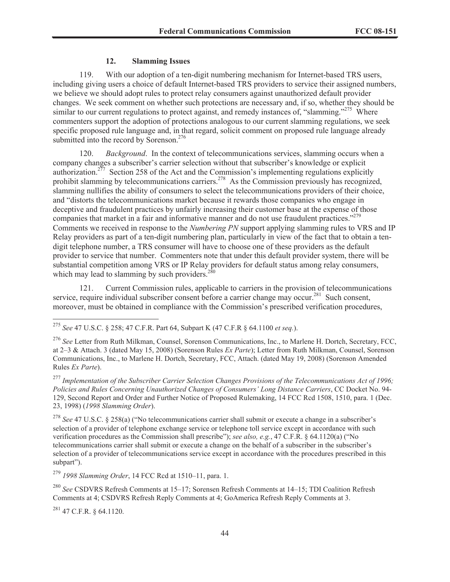# **12. Slamming Issues**

119. With our adoption of a ten-digit numbering mechanism for Internet-based TRS users, including giving users a choice of default Internet-based TRS providers to service their assigned numbers, we believe we should adopt rules to protect relay consumers against unauthorized default provider changes. We seek comment on whether such protections are necessary and, if so, whether they should be similar to our current regulations to protect against, and remedy instances of, "slamming."<sup>275</sup> Where commenters support the adoption of protections analogous to our current slamming regulations, we seek specific proposed rule language and, in that regard, solicit comment on proposed rule language already submitted into the record by Sorenson.<sup>276</sup>

120. *Background*. In the context of telecommunications services, slamming occurs when a company changes a subscriber's carrier selection without that subscriber's knowledge or explicit authorization.<sup>277</sup> Section 258 of the Act and the Commission's implementing regulations explicitly prohibit slamming by telecommunications carriers.<sup>278</sup> As the Commission previously has recognized, slamming nullifies the ability of consumers to select the telecommunications providers of their choice, and "distorts the telecommunications market because it rewards those companies who engage in deceptive and fraudulent practices by unfairly increasing their customer base at the expense of those companies that market in a fair and informative manner and do not use fraudulent practices."<sup>279</sup> Comments we received in response to the *Numbering PN* support applying slamming rules to VRS and IP Relay providers as part of a ten-digit numbering plan, particularly in view of the fact that to obtain a tendigit telephone number, a TRS consumer will have to choose one of these providers as the default provider to service that number. Commenters note that under this default provider system, there will be substantial competition among VRS or IP Relay providers for default status among relay consumers, which may lead to slamming by such providers. $280$ 

121. Current Commission rules, applicable to carriers in the provision of telecommunications service, require individual subscriber consent before a carrier change may occur.<sup>281</sup> Such consent, moreover, must be obtained in compliance with the Commission's prescribed verification procedures,

<sup>278</sup> *See* 47 U.S.C. § 258(a) ("No telecommunications carrier shall submit or execute a change in a subscriber's selection of a provider of telephone exchange service or telephone toll service except in accordance with such verification procedures as the Commission shall prescribe"); *see also, e.g.*, 47 C.F.R. § 64.1120(a) ("No telecommunications carrier shall submit or execute a change on the behalf of a subscriber in the subscriber's selection of a provider of telecommunications service except in accordance with the procedures prescribed in this subpart").

<sup>279</sup> *1998 Slamming Order*, 14 FCC Rcd at 1510–11, para. 1.

<sup>280</sup> *See* CSDVRS Refresh Comments at 15–17; Sorensen Refresh Comments at 14–15; TDI Coalition Refresh Comments at 4; CSDVRS Refresh Reply Comments at 4; GoAmerica Refresh Reply Comments at 3.

 $^{281}$  47 C.F.R. § 64.1120.

<sup>275</sup> *See* 47 U.S.C. § 258; 47 C.F.R. Part 64, Subpart K (47 C.F.R § 64.1100 *et seq.*).

<sup>276</sup> *See* Letter from Ruth Milkman, Counsel, Sorenson Communications, Inc., to Marlene H. Dortch, Secretary, FCC, at 2–3 & Attach. 3 (dated May 15, 2008) (Sorenson Rules *Ex Parte*); Letter from Ruth Milkman, Counsel, Sorenson Communications, Inc., to Marlene H. Dortch, Secretary, FCC, Attach. (dated May 19, 2008) (Sorenson Amended Rules *Ex Parte*).

<sup>277</sup> *Implementation of the Subscriber Carrier Selection Changes Provisions of the Telecommunications Act of 1996; Policies and Rules Concerning Unauthorized Changes of Consumers' Long Distance Carriers*, CC Docket No. 94- 129, Second Report and Order and Further Notice of Proposed Rulemaking, 14 FCC Rcd 1508, 1510, para. 1 (Dec. 23, 1998) (*1998 Slamming Order*).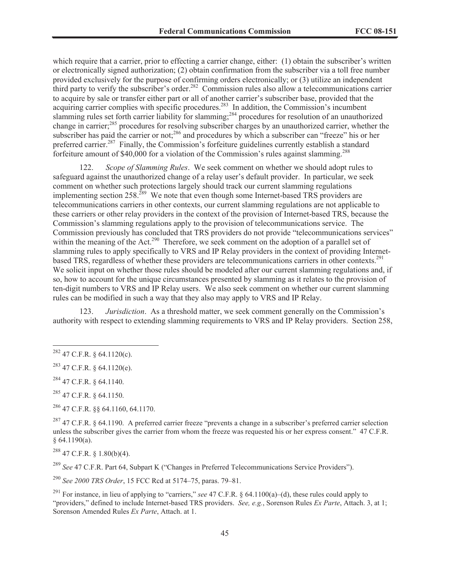which require that a carrier, prior to effecting a carrier change, either: (1) obtain the subscriber's written or electronically signed authorization; (2) obtain confirmation from the subscriber via a toll free number provided exclusively for the purpose of confirming orders electronically; or (3) utilize an independent third party to verify the subscriber's order.<sup>282</sup> Commission rules also allow a telecommunications carrier to acquire by sale or transfer either part or all of another carrier's subscriber base, provided that the acquiring carrier complies with specific procedures.<sup>283</sup> In addition, the Commission's incumbent slamming rules set forth carrier liability for slamming;<sup>284</sup> procedures for resolution of an unauthorized change in carrier;<sup>285</sup> procedures for resolving subscriber charges by an unauthorized carrier, whether the subscriber has paid the carrier or not;<sup>286</sup> and procedures by which a subscriber can "freeze" his or her preferred carrier.<sup>287</sup> Finally, the Commission's forfeiture guidelines currently establish a standard forfeiture amount of \$40,000 for a violation of the Commission's rules against slamming.<sup>288</sup>

122. *Scope of Slamming Rules*. We seek comment on whether we should adopt rules to safeguard against the unauthorized change of a relay user's default provider. In particular, we seek comment on whether such protections largely should track our current slamming regulations implementing section 258.<sup>289</sup> We note that even though some Internet-based TRS providers are telecommunications carriers in other contexts, our current slamming regulations are not applicable to these carriers or other relay providers in the context of the provision of Internet-based TRS, because the Commission's slamming regulations apply to the provision of telecommunications service. The Commission previously has concluded that TRS providers do not provide "telecommunications services" within the meaning of the Act.<sup>290</sup> Therefore, we seek comment on the adoption of a parallel set of slamming rules to apply specifically to VRS and IP Relay providers in the context of providing Internetbased TRS, regardless of whether these providers are telecommunications carriers in other contexts.<sup>291</sup> We solicit input on whether those rules should be modeled after our current slamming regulations and, if so, how to account for the unique circumstances presented by slamming as it relates to the provision of ten-digit numbers to VRS and IP Relay users. We also seek comment on whether our current slamming rules can be modified in such a way that they also may apply to VRS and IP Relay.

123. *Jurisdiction*. As a threshold matter, we seek comment generally on the Commission's authority with respect to extending slamming requirements to VRS and IP Relay providers. Section 258,

 $^{285}$  47 C.F.R. § 64.1150.

<sup>286</sup> 47 C.F.R. §§ 64.1160, 64.1170.

 $287$  47 C.F.R. § 64.1190. A preferred carrier freeze "prevents a change in a subscriber's preferred carrier selection unless the subscriber gives the carrier from whom the freeze was requested his or her express consent." 47 C.F.R. § 64.1190(a).

 $288$  47 C.F.R. § 1.80(b)(4).

<sup>289</sup> *See* 47 C.F.R. Part 64, Subpart K ("Changes in Preferred Telecommunications Service Providers").

<sup>290</sup> *See 2000 TRS Order*, 15 FCC Rcd at 5174–75, paras. 79–81.

<sup>291</sup> For instance, in lieu of applying to "carriers," *see* 47 C.F.R. § 64.1100(a)–(d), these rules could apply to "providers," defined to include Internet-based TRS providers. *See, e.g.*, Sorenson Rules *Ex Parte*, Attach. 3, at 1; Sorenson Amended Rules *Ex Parte*, Attach. at 1.

 $^{282}$  47 C.F.R. § 64.1120(c).

 $^{283}$  47 C.F.R. § 64.1120(e).

<sup>284</sup> 47 C.F.R. § 64.1140.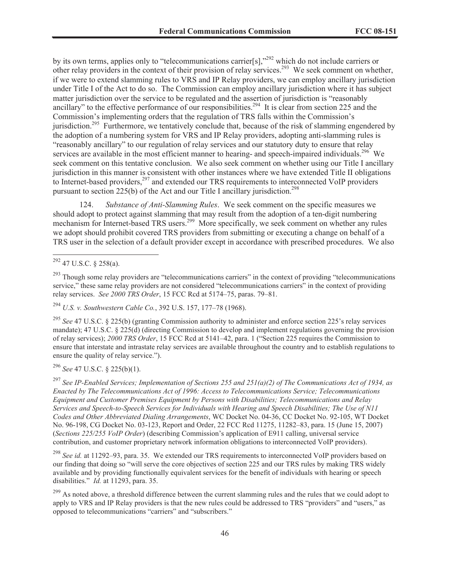by its own terms, applies only to "telecommunications carrier[s],"<sup>292</sup> which do not include carriers or other relay providers in the context of their provision of relay services.<sup>293</sup> We seek comment on whether, if we were to extend slamming rules to VRS and IP Relay providers, we can employ ancillary jurisdiction under Title I of the Act to do so. The Commission can employ ancillary jurisdiction where it has subject matter jurisdiction over the service to be regulated and the assertion of jurisdiction is "reasonably ancillary" to the effective performance of our responsibilities.<sup>294</sup> It is clear from section 225 and the Commission's implementing orders that the regulation of TRS falls within the Commission's jurisdiction.<sup>295</sup> Furthermore, we tentatively conclude that, because of the risk of slamming engendered by the adoption of a numbering system for VRS and IP Relay providers, adopting anti-slamming rules is "reasonably ancillary" to our regulation of relay services and our statutory duty to ensure that relay services are available in the most efficient manner to hearing- and speech-impaired individuals.<sup>296</sup> We seek comment on this tentative conclusion. We also seek comment on whether using our Title I ancillary jurisdiction in this manner is consistent with other instances where we have extended Title II obligations to Internet-based providers,<sup>297</sup> and extended our TRS requirements to interconnected VoIP providers pursuant to section 225(b) of the Act and our Title I ancillary jurisdiction.<sup>298</sup>

124. *Substance of Anti-Slamming Rules*. We seek comment on the specific measures we should adopt to protect against slamming that may result from the adoption of a ten-digit numbering mechanism for Internet-based TRS users.<sup>299</sup> More specifically, we seek comment on whether any rules we adopt should prohibit covered TRS providers from submitting or executing a change on behalf of a TRS user in the selection of a default provider except in accordance with prescribed procedures. We also

<sup>294</sup> *U.S. v. Southwestern Cable Co.*, 392 U.S. 157, 177–78 (1968).

<sup>295</sup> *See* 47 U.S.C. § 225(b) (granting Commission authority to administer and enforce section 225's relay services mandate); 47 U.S.C. § 225(d) (directing Commission to develop and implement regulations governing the provision of relay services); *2000 TRS Order*, 15 FCC Rcd at 5141–42, para. 1 ("Section 225 requires the Commission to ensure that interstate and intrastate relay services are available throughout the country and to establish regulations to ensure the quality of relay service.").

<sup>296</sup> *See* 47 U.S.C. § 225(b)(1).

<sup>297</sup> *See IP-Enabled Services; Implementation of Sections 255 and 251(a)(2) of The Communications Act of 1934, as Enacted by The Telecommunications Act of 1996: Access to Telecommunications Service; Telecommunications Equipment and Customer Premises Equipment by Persons with Disabilities; Telecommunications and Relay Services and Speech-to-Speech Services for Individuals with Hearing and Speech Disabilities; The Use of N11 Codes and Other Abbreviated Dialing Arrangements*, WC Docket No. 04-36, CC Docket No. 92-105, WT Docket No. 96-198, CG Docket No. 03-123, Report and Order, 22 FCC Rcd 11275, 11282–83, para. 15 (June 15, 2007) (*Sections 225/255 VoIP Order*) (describing Commission's application of E911 calling, universal service contribution, and customer proprietary network information obligations to interconnected VoIP providers).

<sup>298</sup> *See id.* at 11292–93, para. 35. We extended our TRS requirements to interconnected VoIP providers based on our finding that doing so "will serve the core objectives of section 225 and our TRS rules by making TRS widely available and by providing functionally equivalent services for the benefit of individuals with hearing or speech disabilities." *Id.* at 11293, para. 35.

 $^{299}$  As noted above, a threshold difference between the current slamming rules and the rules that we could adopt to apply to VRS and IP Relay providers is that the new rules could be addressed to TRS "providers" and "users," as opposed to telecommunications "carriers" and "subscribers."

 $^{292}$  47 U.S.C. § 258(a).

 $293$  Though some relay providers are "telecommunications carriers" in the context of providing "telecommunications" service," these same relay providers are not considered "telecommunications carriers" in the context of providing relay services. *See 2000 TRS Order*, 15 FCC Rcd at 5174–75, paras. 79–81.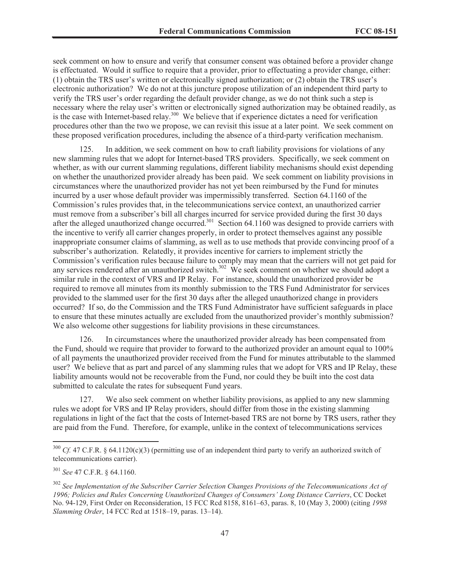seek comment on how to ensure and verify that consumer consent was obtained before a provider change is effectuated. Would it suffice to require that a provider, prior to effectuating a provider change, either: (1) obtain the TRS user's written or electronically signed authorization; or (2) obtain the TRS user's electronic authorization? We do not at this juncture propose utilization of an independent third party to verify the TRS user's order regarding the default provider change, as we do not think such a step is necessary where the relay user's written or electronically signed authorization may be obtained readily, as is the case with Internet-based relay.<sup>300</sup> We believe that if experience dictates a need for verification procedures other than the two we propose, we can revisit this issue at a later point. We seek comment on these proposed verification procedures, including the absence of a third-party verification mechanism.

125. In addition, we seek comment on how to craft liability provisions for violations of any new slamming rules that we adopt for Internet-based TRS providers. Specifically, we seek comment on whether, as with our current slamming regulations, different liability mechanisms should exist depending on whether the unauthorized provider already has been paid. We seek comment on liability provisions in circumstances where the unauthorized provider has not yet been reimbursed by the Fund for minutes incurred by a user whose default provider was impermissibly transferred. Section 64.1160 of the Commission's rules provides that, in the telecommunications service context, an unauthorized carrier must remove from a subscriber's bill all charges incurred for service provided during the first 30 days after the alleged unauthorized change occurred.<sup>301</sup> Section 64.1160 was designed to provide carriers with the incentive to verify all carrier changes properly, in order to protect themselves against any possible inappropriate consumer claims of slamming, as well as to use methods that provide convincing proof of a subscriber's authorization. Relatedly, it provides incentive for carriers to implement strictly the Commission's verification rules because failure to comply may mean that the carriers will not get paid for any services rendered after an unauthorized switch.<sup>302</sup> We seek comment on whether we should adopt a similar rule in the context of VRS and IP Relay. For instance, should the unauthorized provider be required to remove all minutes from its monthly submission to the TRS Fund Administrator for services provided to the slammed user for the first 30 days after the alleged unauthorized change in providers occurred? If so, do the Commission and the TRS Fund Administrator have sufficient safeguards in place to ensure that these minutes actually are excluded from the unauthorized provider's monthly submission? We also welcome other suggestions for liability provisions in these circumstances.

126. In circumstances where the unauthorized provider already has been compensated from the Fund, should we require that provider to forward to the authorized provider an amount equal to 100% of all payments the unauthorized provider received from the Fund for minutes attributable to the slammed user? We believe that as part and parcel of any slamming rules that we adopt for VRS and IP Relay, these liability amounts would not be recoverable from the Fund, nor could they be built into the cost data submitted to calculate the rates for subsequent Fund years.

We also seek comment on whether liability provisions, as applied to any new slamming rules we adopt for VRS and IP Relay providers, should differ from those in the existing slamming regulations in light of the fact that the costs of Internet-based TRS are not borne by TRS users, rather they are paid from the Fund. Therefore, for example, unlike in the context of telecommunications services

<sup>&</sup>lt;sup>300</sup> *Cf.* 47 C.F.R. § 64.1120(c)(3) (permitting use of an independent third party to verify an authorized switch of telecommunications carrier).

<sup>301</sup> *See* 47 C.F.R. § 64.1160.

<sup>302</sup> *See Implementation of the Subscriber Carrier Selection Changes Provisions of the Telecommunications Act of 1996; Policies and Rules Concerning Unauthorized Changes of Consumers' Long Distance Carriers*, CC Docket No. 94-129, First Order on Reconsideration, 15 FCC Rcd 8158, 8161–63, paras. 8, 10 (May 3, 2000) (citing *1998 Slamming Order*, 14 FCC Rcd at 1518–19, paras. 13–14).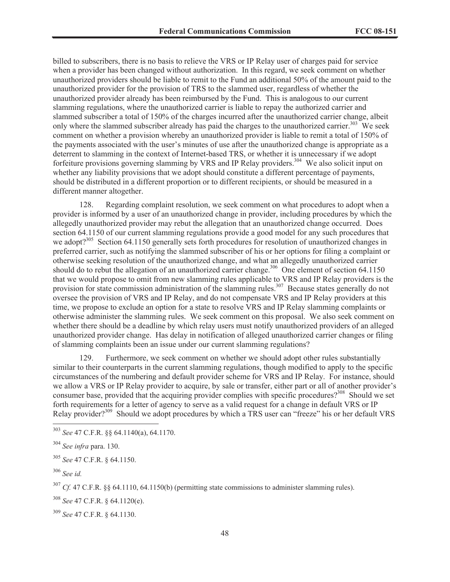billed to subscribers, there is no basis to relieve the VRS or IP Relay user of charges paid for service when a provider has been changed without authorization. In this regard, we seek comment on whether unauthorized providers should be liable to remit to the Fund an additional 50% of the amount paid to the unauthorized provider for the provision of TRS to the slammed user, regardless of whether the unauthorized provider already has been reimbursed by the Fund. This is analogous to our current slamming regulations, where the unauthorized carrier is liable to repay the authorized carrier and slammed subscriber a total of 150% of the charges incurred after the unauthorized carrier change, albeit only where the slammed subscriber already has paid the charges to the unauthorized carrier.<sup>303</sup> We seek comment on whether a provision whereby an unauthorized provider is liable to remit a total of 150% of the payments associated with the user's minutes of use after the unauthorized change is appropriate as a deterrent to slamming in the context of Internet-based TRS, or whether it is unnecessary if we adopt forfeiture provisions governing slamming by VRS and IP Relay providers.<sup>304</sup> We also solicit input on whether any liability provisions that we adopt should constitute a different percentage of payments, should be distributed in a different proportion or to different recipients, or should be measured in a different manner altogether.

128. Regarding complaint resolution, we seek comment on what procedures to adopt when a provider is informed by a user of an unauthorized change in provider, including procedures by which the allegedly unauthorized provider may rebut the allegation that an unauthorized change occurred. Does section 64.1150 of our current slamming regulations provide a good model for any such procedures that we adopt?<sup>305</sup> Section 64.1150 generally sets forth procedures for resolution of unauthorized changes in preferred carrier, such as notifying the slammed subscriber of his or her options for filing a complaint or otherwise seeking resolution of the unauthorized change, and what an allegedly unauthorized carrier should do to rebut the allegation of an unauthorized carrier change.<sup>306</sup> One element of section 64.1150 that we would propose to omit from new slamming rules applicable to VRS and IP Relay providers is the provision for state commission administration of the slamming rules.<sup>307</sup> Because states generally do not oversee the provision of VRS and IP Relay, and do not compensate VRS and IP Relay providers at this time, we propose to exclude an option for a state to resolve VRS and IP Relay slamming complaints or otherwise administer the slamming rules. We seek comment on this proposal. We also seek comment on whether there should be a deadline by which relay users must notify unauthorized providers of an alleged unauthorized provider change. Has delay in notification of alleged unauthorized carrier changes or filing of slamming complaints been an issue under our current slamming regulations?

129. Furthermore, we seek comment on whether we should adopt other rules substantially similar to their counterparts in the current slamming regulations, though modified to apply to the specific circumstances of the numbering and default provider scheme for VRS and IP Relay. For instance, should we allow a VRS or IP Relay provider to acquire, by sale or transfer, either part or all of another provider's consumer base, provided that the acquiring provider complies with specific procedures?<sup>308</sup> Should we set forth requirements for a letter of agency to serve as a valid request for a change in default VRS or IP Relay provider?<sup>309</sup> Should we adopt procedures by which a TRS user can "freeze" his or her default VRS

<sup>303</sup> *See* 47 C.F.R. §§ 64.1140(a), 64.1170.

<sup>304</sup> *See infra* para. 130.

<sup>305</sup> *See* 47 C.F.R. § 64.1150.

<sup>306</sup> *See id.*

<sup>307</sup> *Cf.* 47 C.F.R. §§ 64.1110, 64.1150(b) (permitting state commissions to administer slamming rules).

<sup>308</sup> *See* 47 C.F.R. § 64.1120(e).

<sup>309</sup> *See* 47 C.F.R. § 64.1130.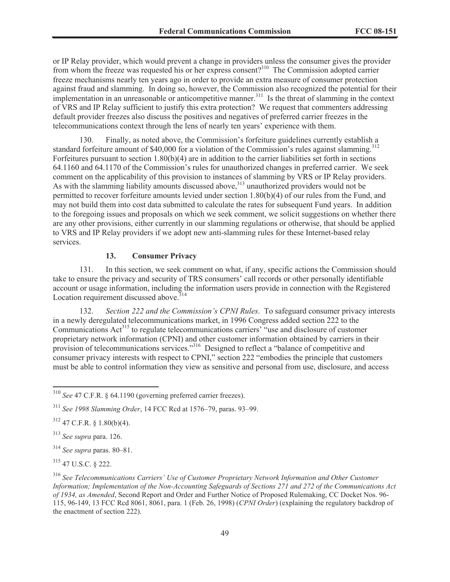or IP Relay provider, which would prevent a change in providers unless the consumer gives the provider from whom the freeze was requested his or her express consent?<sup>310</sup> The Commission adopted carrier freeze mechanisms nearly ten years ago in order to provide an extra measure of consumer protection against fraud and slamming. In doing so, however, the Commission also recognized the potential for their implementation in an unreasonable or anticompetitive manner.<sup>311</sup> Is the threat of slamming in the context of VRS and IP Relay sufficient to justify this extra protection? We request that commenters addressing default provider freezes also discuss the positives and negatives of preferred carrier freezes in the telecommunications context through the lens of nearly ten years' experience with them.

130. Finally, as noted above, the Commission's forfeiture guidelines currently establish a standard forfeiture amount of \$40,000 for a violation of the Commission's rules against slamming.<sup>312</sup> Forfeitures pursuant to section 1.80(b)(4) are in addition to the carrier liabilities set forth in sections 64.1160 and 64.1170 of the Commission's rules for unauthorized changes in preferred carrier. We seek comment on the applicability of this provision to instances of slamming by VRS or IP Relay providers. As with the slamming liability amounts discussed above,  $313$  unauthorized providers would not be permitted to recover forfeiture amounts levied under section 1.80(b)(4) of our rules from the Fund, and may not build them into cost data submitted to calculate the rates for subsequent Fund years. In addition to the foregoing issues and proposals on which we seek comment, we solicit suggestions on whether there are any other provisions, either currently in our slamming regulations or otherwise, that should be applied to VRS and IP Relay providers if we adopt new anti-slamming rules for these Internet-based relay services.

# **13. Consumer Privacy**

131. In this section, we seek comment on what, if any, specific actions the Commission should take to ensure the privacy and security of TRS consumers' call records or other personally identifiable account or usage information, including the information users provide in connection with the Registered Location requirement discussed above.<sup>314</sup>

132. *Section 222 and the Commission's CPNI Rules*. To safeguard consumer privacy interests in a newly deregulated telecommunications market, in 1996 Congress added section 222 to the Communications Act<sup>315</sup> to regulate telecommunications carriers' "use and disclosure of customer proprietary network information (CPNI) and other customer information obtained by carriers in their provision of telecommunications services."<sup>316</sup> Designed to reflect a "balance of competitive and consumer privacy interests with respect to CPNI," section 222 "embodies the principle that customers must be able to control information they view as sensitive and personal from use, disclosure, and access

<sup>310</sup> *See* 47 C.F.R. § 64.1190 (governing preferred carrier freezes).

<sup>311</sup> *See 1998 Slamming Order*, 14 FCC Rcd at 1576–79, paras. 93–99.

<sup>312</sup> 47 C.F.R. § 1.80(b)(4).

<sup>313</sup> *See supra* para. 126.

<sup>314</sup> *See supra* paras. 80–81.

<sup>315</sup> 47 U.S.C. § 222.

<sup>316</sup> *See Telecommunications Carriers' Use of Customer Proprietary Network Information and Other Customer Information; Implementation of the Non-Accounting Safeguards of Sections 271 and 272 of the Communications Act of 1934, as Amended*, Second Report and Order and Further Notice of Proposed Rulemaking, CC Docket Nos. 96- 115, 96-149, 13 FCC Rcd 8061, 8061, para. 1 (Feb. 26, 1998) (*CPNI Order*) (explaining the regulatory backdrop of the enactment of section 222).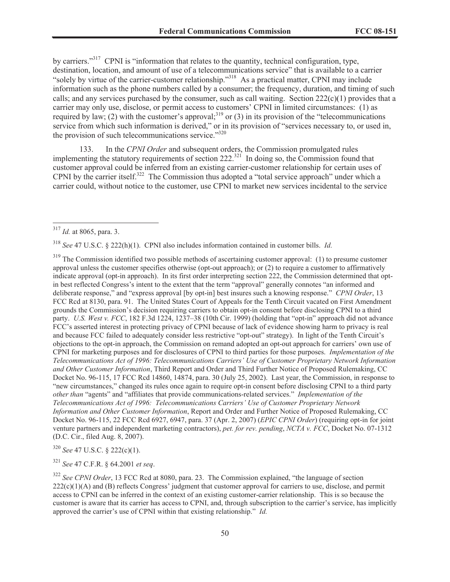by carriers."<sup>317</sup> CPNI is "information that relates to the quantity, technical configuration, type, destination, location, and amount of use of a telecommunications service" that is available to a carrier "solely by virtue of the carrier-customer relationship."<sup>318</sup> As a practical matter, CPNI may include information such as the phone numbers called by a consumer; the frequency, duration, and timing of such calls; and any services purchased by the consumer, such as call waiting. Section  $222(c)(1)$  provides that a carrier may only use, disclose, or permit access to customers' CPNI in limited circumstances: (1) as required by law; (2) with the customer's approval;<sup>319</sup> or (3) in its provision of the "telecommunications" service from which such information is derived," or in its provision of "services necessary to, or used in, the provision of such telecommunications service."<sup>320</sup>

133. In the *CPNI Order* and subsequent orders, the Commission promulgated rules implementing the statutory requirements of section 222.<sup>321</sup> In doing so, the Commission found that customer approval could be inferred from an existing carrier-customer relationship for certain uses of CPNI by the carrier itself.<sup>322</sup> The Commission thus adopted a "total service approach" under which a carrier could, without notice to the customer, use CPNI to market new services incidental to the service

<sup>318</sup> *See* 47 U.S.C. § 222(h)(1). CPNI also includes information contained in customer bills. *Id.*

<sup>319</sup> The Commission identified two possible methods of ascertaining customer approval: (1) to presume customer approval unless the customer specifies otherwise (opt-out approach); or (2) to require a customer to affirmatively indicate approval (opt-in approach). In its first order interpreting section 222, the Commission determined that optin best reflected Congress's intent to the extent that the term "approval" generally connotes "an informed and deliberate response," and "express approval [by opt-in] best insures such a knowing response." *CPNI Order*, 13 FCC Rcd at 8130, para. 91. The United States Court of Appeals for the Tenth Circuit vacated on First Amendment grounds the Commission's decision requiring carriers to obtain opt-in consent before disclosing CPNI to a third party. *U.S. West v. FCC*, 182 F.3d 1224, 1237–38 (10th Cir. 1999) (holding that "opt-in" approach did not advance FCC's asserted interest in protecting privacy of CPNI because of lack of evidence showing harm to privacy is real and because FCC failed to adequately consider less restrictive "opt-out" strategy). In light of the Tenth Circuit's objections to the opt-in approach, the Commission on remand adopted an opt-out approach for carriers' own use of CPNI for marketing purposes and for disclosures of CPNI to third parties for those purposes. *Implementation of the Telecommunications Act of 1996: Telecommunications Carriers' Use of Customer Proprietary Network Information and Other Customer Information*, Third Report and Order and Third Further Notice of Proposed Rulemaking, CC Docket No. 96-115, 17 FCC Rcd 14860, 14874, para. 30 (July 25, 2002). Last year, the Commission, in response to "new circumstances," changed its rules once again to require opt-in consent before disclosing CPNI to a third party *other than* "agents" and "affiliates that provide communications-related services." *Implementation of the Telecommunications Act of 1996: Telecommunications Carriers' Use of Customer Proprietary Network Information and Other Customer Information*, Report and Order and Further Notice of Proposed Rulemaking, CC Docket No. 96-115, 22 FCC Rcd 6927, 6947, para. 37 (Apr. 2, 2007) (*EPIC CPNI Order*) (requiring opt-in for joint venture partners and independent marketing contractors), *pet. for rev. pending*, *NCTA v. FCC*, Docket No. 07-1312 (D.C. Cir., filed Aug. 8, 2007).

<sup>320</sup> *See* 47 U.S.C. § 222(c)(1).

<sup>321</sup> *See* 47 C.F.R. § 64.2001 *et seq*.

<sup>317</sup> *Id.* at 8065, para. 3.

<sup>322</sup> *See CPNI Order*, 13 FCC Rcd at 8080, para. 23. The Commission explained, "the language of section  $222(c)(1)(A)$  and (B) reflects Congress' judgment that customer approval for carriers to use, disclose, and permit access to CPNI can be inferred in the context of an existing customer-carrier relationship. This is so because the customer is aware that its carrier has access to CPNI, and, through subscription to the carrier's service, has implicitly approved the carrier's use of CPNI within that existing relationship." *Id.*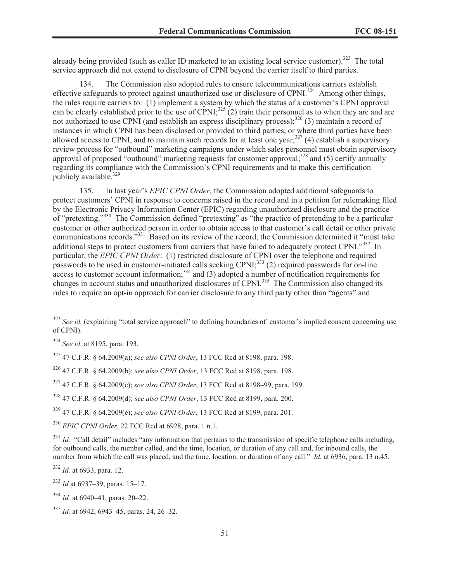already being provided (such as caller ID marketed to an existing local service customer).<sup>323</sup> The total service approach did not extend to disclosure of CPNI beyond the carrier itself to third parties.

134. The Commission also adopted rules to ensure telecommunications carriers establish effective safeguards to protect against unauthorized use or disclosure of CPNI.<sup>324</sup> Among other things, the rules require carriers to: (1) implement a system by which the status of a customer's CPNI approval can be clearly established prior to the use of CPNI;<sup>325</sup> (2) train their personnel as to when they are and are not authorized to use CPNI (and establish an express disciplinary process);<sup>326</sup> (3) maintain a record of instances in which CPNI has been disclosed or provided to third parties, or where third parties have been allowed access to CPNI, and to maintain such records for at least one year;<sup>327</sup> (4) establish a supervisory review process for "outbound" marketing campaigns under which sales personnel must obtain supervisory approval of proposed "outbound" marketing requests for customer approval; $^{328}$  and (5) certify annually regarding its compliance with the Commission's CPNI requirements and to make this certification publicly available.<sup>329</sup>

135. In last year's *EPIC CPNI Order*, the Commission adopted additional safeguards to protect customers' CPNI in response to concerns raised in the record and in a petition for rulemaking filed by the Electronic Privacy Information Center (EPIC) regarding unauthorized disclosure and the practice of "pretexting."<sup>330</sup> The Commission defined "pretexting" as "the practice of pretending to be a particular customer or other authorized person in order to obtain access to that customer's call detail or other private communications records."<sup>331</sup> Based on its review of the record, the Commission determined it "must take additional steps to protect customers from carriers that have failed to adequately protect CPNI."332 In particular, the *EPIC CPNI Order*: (1) restricted disclosure of CPNI over the telephone and required passwords to be used in customer-initiated calls seeking CPNI;<sup>333</sup> (2) required passwords for on-line passwords to be used in equivalent information;<sup>334</sup> and (3) adopted a number of notification requirements for changes in account status and unauthorized disclosures of CPNI.<sup>335</sup> The Commission also changed its rules to require an opt-in approach for carrier disclosure to any third party other than "agents" and

<sup>332</sup> *Id.* at 6933, para. 12.

<sup>&</sup>lt;sup>323</sup> *See id.* (explaining "total service approach" to defining boundaries of customer's implied consent concerning use of CPNI).

<sup>324</sup> *See id.* at 8195, para. 193.

<sup>325</sup> 47 C.F.R. § 64.2009(a); *see also CPNI Order*, 13 FCC Rcd at 8198, para. 198.

<sup>326</sup> 47 C.F.R. § 64.2009(b); *see also CPNI Order*, 13 FCC Rcd at 8198, para. 198.

<sup>327</sup> 47 C.F.R. § 64.2009(c); *see also CPNI Order*, 13 FCC Rcd at 8198–99, para. 199.

<sup>328</sup> 47 C.F.R. § 64.2009(d); *see also CPNI Order*, 13 FCC Rcd at 8199, para. 200.

<sup>329</sup> 47 C.F.R. § 64.2009(e); *see also CPNI Order*, 13 FCC Rcd at 8199, para. 201.

<sup>330</sup> *EPIC CPNI Order*, 22 FCC Rcd at 6928, para. 1 n.1.

 $331$  *Id.* "Call detail" includes "any information that pertains to the transmission of specific telephone calls including, for outbound calls, the number called, and the time, location, or duration of any call and, for inbound calls, the number from which the call was placed, and the time, location, or duration of any call." *Id.* at 6936, para. 13 n.45.

<sup>333</sup> *Id* at 6937–39, paras. 15–17.

<sup>334</sup> *Id.* at 6940–41, paras. 20–22.

<sup>335</sup> *Id.* at 6942, 6943–45, paras. 24, 26–32.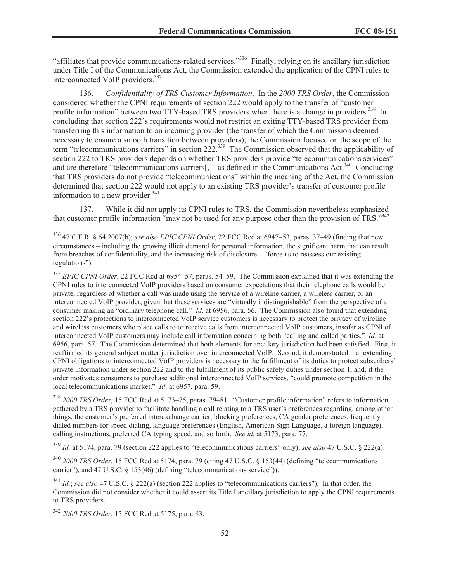"affiliates that provide communications-related services."<sup>336</sup> Finally, relying on its ancillary jurisdiction under Title I of the Communications Act, the Commission extended the application of the CPNI rules to interconnected VoIP providers.<sup>337</sup>

136. *Confidentiality of TRS Customer Information*. In the *2000 TRS Order*, the Commission considered whether the CPNI requirements of section 222 would apply to the transfer of "customer profile information" between two TTY-based TRS providers when there is a change in providers.<sup>338</sup> In concluding that section 222's requirements would not restrict an exiting TTY-based TRS provider from transferring this information to an incoming provider (the transfer of which the Commission deemed necessary to ensure a smooth transition between providers), the Commission focused on the scope of the term "telecommunications carriers" in section 222.<sup>339</sup> The Commission observed that the applicability of section 222 to TRS providers depends on whether TRS providers provide "telecommunications services" and are therefore "telecommunications carriers[,]" as defined in the Communications Act.<sup>340</sup> Concluding that TRS providers do not provide "telecommunications" within the meaning of the Act, the Commission determined that section 222 would not apply to an existing TRS provider's transfer of customer profile information to a new provider. $341$ 

137. While it did not apply its CPNI rules to TRS, the Commission nevertheless emphasized that customer profile information "may not be used for any purpose other than the provision of  $TRS$ ."<sup>342</sup>

<sup>337</sup> *EPIC CPNI Order*, 22 FCC Rcd at 6954–57, paras. 54–59. The Commission explained that it was extending the CPNI rules to interconnected VoIP providers based on consumer expectations that their telephone calls would be private, regardless of whether a call was made using the service of a wireline carrier, a wireless carrier, or an interconnected VoIP provider, given that these services are "virtually indistinguishable" from the perspective of a consumer making an "ordinary telephone call." *Id*. at 6956, para. 56. The Commission also found that extending section 222's protections to interconnected VoIP service customers is necessary to protect the privacy of wireline and wireless customers who place calls to or receive calls from interconnected VoIP customers, insofar as CPNI of interconnected VoIP customers may include call information concerning both "calling and called parties." *Id*. at 6956, para. 57. The Commission determined that both elements for ancillary jurisdiction had been satisfied. First, it reaffirmed its general subject matter jurisdiction over interconnected VoIP. Second, it demonstrated that extending CPNI obligations to interconnected VoIP providers is necessary to the fulfillment of its duties to protect subscribers' private information under section 222 and to the fulfillment of its public safety duties under section 1, and, if the order motivates consumers to purchase additional interconnected VoIP services, "could promote competition in the local telecommunications market." *Id*. at 6957, para. 59.

<sup>338</sup> *2000 TRS Order*, 15 FCC Rcd at 5173–75, paras. 79–81. "Customer profile information" refers to information gathered by a TRS provider to facilitate handling a call relating to a TRS user's preferences regarding, among other things, the customer's preferred interexchange carrier, blocking preferences, CA gender preferences, frequently dialed numbers for speed dialing, language preferences (English, American Sign Language, a foreign language), calling instructions, preferred CA typing speed, and so forth. *See id.* at 5173, para. 77.

<sup>339</sup> *Id.* at 5174, para. 79 (section 222 applies to "telecommunications carriers" only); *see also* 47 U.S.C. § 222(a).

<sup>340</sup> *2000 TRS Order*, 15 FCC Rcd at 5174, para. 79 (citing 47 U.S.C. § 153(44) (defining "telecommunications carrier"), and 47 U.S.C. § 153(46) (defining "telecommunications service")).

<sup>341</sup> *Id.*; *see also* 47 U.S.C. § 222(a) (section 222 applies to "telecommunications carriers"). In that order, the Commission did not consider whether it could assert its Title I ancillary jurisdiction to apply the CPNI requirements to TRS providers.

<sup>336</sup> 47 C.F.R. § 64.2007(b); *see also EPIC CPNI Order*, 22 FCC Rcd at 6947–53, paras. 37–49 (finding that new circumstances – including the growing illicit demand for personal information, the significant harm that can result from breaches of confidentiality, and the increasing risk of disclosure – "force us to reassess our existing regulations").

<sup>342</sup> *2000 TRS Order*, 15 FCC Rcd at 5175, para. 83.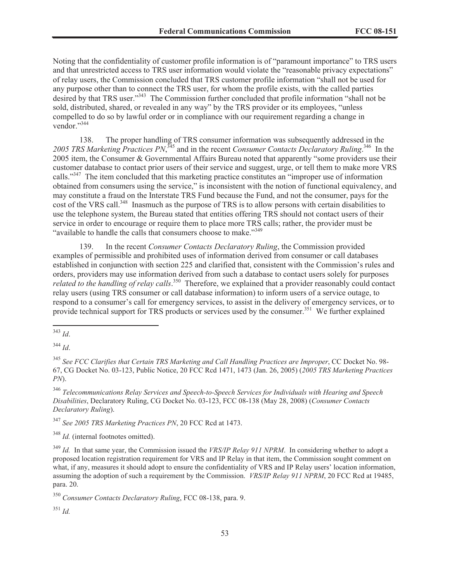Noting that the confidentiality of customer profile information is of "paramount importance" to TRS users and that unrestricted access to TRS user information would violate the "reasonable privacy expectations" of relay users, the Commission concluded that TRS customer profile information "shall not be used for any purpose other than to connect the TRS user, for whom the profile exists, with the called parties desired by that TRS user."<sup>343</sup> The Commission further concluded that profile information "shall not be sold, distributed, shared, or revealed in any way" by the TRS provider or its employees, "unless compelled to do so by lawful order or in compliance with our requirement regarding a change in vendor." 344

138. The proper handling of TRS consumer information was subsequently addressed in the 2005 TRS Marketing Practices PN,<sup>345</sup> and in the recent *Consumer Contacts Declaratory Ruling*.<sup>346</sup> In the 2005 item, the Consumer & Governmental Affairs Bureau noted that apparently "some providers use their customer database to contact prior users of their service and suggest, urge, or tell them to make more VRS calls."<sup>347</sup> The item concluded that this marketing practice constitutes an "improper use of information obtained from consumers using the service," is inconsistent with the notion of functional equivalency, and may constitute a fraud on the Interstate TRS Fund because the Fund, and not the consumer, pays for the cost of the VRS call.<sup>348</sup> Inasmuch as the purpose of TRS is to allow persons with certain disabilities to use the telephone system, the Bureau stated that entities offering TRS should not contact users of their service in order to encourage or require them to place more TRS calls; rather, the provider must be "available to handle the calls that consumers choose to make."<sup>349</sup>

139. In the recent *Consumer Contacts Declaratory Ruling*, the Commission provided examples of permissible and prohibited uses of information derived from consumer or call databases established in conjunction with section 225 and clarified that, consistent with the Commission's rules and orders, providers may use information derived from such a database to contact users solely for purposes *related to the handling of relay calls*. <sup>350</sup> Therefore, we explained that a provider reasonably could contact relay users (using TRS consumer or call database information) to inform users of a service outage, to respond to a consumer's call for emergency services, to assist in the delivery of emergency services, or to provide technical support for TRS products or services used by the consumer.<sup>351</sup> We further explained

<sup>344</sup> *Id*.

<sup>347</sup> *See 2005 TRS Marketing Practices PN*, 20 FCC Rcd at 1473.

<sup>348</sup> *Id.* (internal footnotes omitted).

<sup>351</sup> *Id.*

<sup>343</sup> *Id*.

<sup>345</sup> *See FCC Clarifies that Certain TRS Marketing and Call Handling Practices are Improper*, CC Docket No. 98- 67, CG Docket No. 03-123, Public Notice, 20 FCC Rcd 1471, 1473 (Jan. 26, 2005) (*2005 TRS Marketing Practices PN*).

<sup>346</sup> *Telecommunications Relay Services and Speech-to-Speech Services for Individuals with Hearing and Speech Disabilities*, Declaratory Ruling, CG Docket No. 03-123, FCC 08-138 (May 28, 2008) (*Consumer Contacts Declaratory Ruling*).

<sup>349</sup> *Id.* In that same year, the Commission issued the *VRS/IP Relay 911 NPRM*. In considering whether to adopt a proposed location registration requirement for VRS and IP Relay in that item, the Commission sought comment on what, if any, measures it should adopt to ensure the confidentiality of VRS and IP Relay users' location information, assuming the adoption of such a requirement by the Commission. *VRS/IP Relay 911 NPRM*, 20 FCC Rcd at 19485, para. 20.

<sup>350</sup> *Consumer Contacts Declaratory Ruling*, FCC 08-138, para. 9.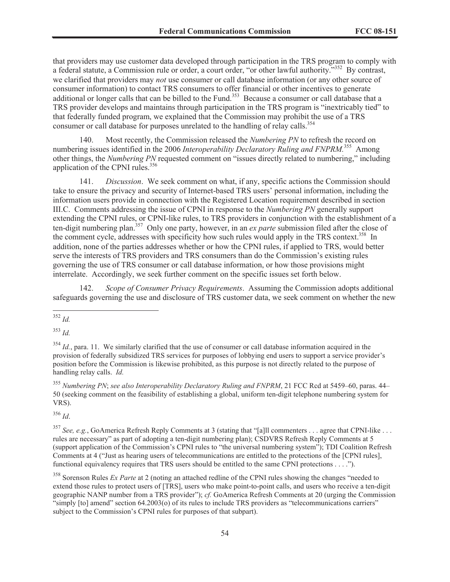that providers may use customer data developed through participation in the TRS program to comply with a federal statute, a Commission rule or order, a court order, "or other lawful authority."<sup>352</sup> By contrast, we clarified that providers may *not* use consumer or call database information (or any other source of consumer information) to contact TRS consumers to offer financial or other incentives to generate additional or longer calls that can be billed to the Fund.<sup>353</sup> Because a consumer or call database that a TRS provider develops and maintains through participation in the TRS program is "inextricably tied" to that federally funded program, we explained that the Commission may prohibit the use of a TRS consumer or call database for purposes unrelated to the handling of relay calls.<sup>354</sup>

140. Most recently, the Commission released the *Numbering PN* to refresh the record on numbering issues identified in the 2006 *Interoperability Declaratory Ruling and FNPRM*.<sup>355</sup> Among other things, the *Numbering PN* requested comment on "issues directly related to numbering," including application of the CPNI rules.<sup>356</sup>

141. *Discussion*. We seek comment on what, if any, specific actions the Commission should take to ensure the privacy and security of Internet-based TRS users' personal information, including the information users provide in connection with the Registered Location requirement described in section III.C. Comments addressing the issue of CPNI in response to the *Numbering PN* generally support extending the CPNI rules, or CPNI-like rules, to TRS providers in conjunction with the establishment of a ten-digit numbering plan.<sup>357</sup> Only one party, however, in an *ex parte* submission filed after the close of the comment cycle, addresses with specificity how such rules would apply in the TRS context.<sup>358</sup> In addition, none of the parties addresses whether or how the CPNI rules, if applied to TRS, would better serve the interests of TRS providers and TRS consumers than do the Commission's existing rules governing the use of TRS consumer or call database information, or how those provisions might interrelate. Accordingly, we seek further comment on the specific issues set forth below.

142. *Scope of Consumer Privacy Requirements*. Assuming the Commission adopts additional safeguards governing the use and disclosure of TRS customer data, we seek comment on whether the new

<sup>353</sup> *Id.*

<sup>354</sup> *Id.*, para. 11. We similarly clarified that the use of consumer or call database information acquired in the provision of federally subsidized TRS services for purposes of lobbying end users to support a service provider's position before the Commission is likewise prohibited, as this purpose is not directly related to the purpose of handling relay calls. *Id.*

<sup>355</sup> *Numbering PN*; *see also Interoperability Declaratory Ruling and FNPRM*, 21 FCC Rcd at 5459–60, paras. 44– 50 (seeking comment on the feasibility of establishing a global, uniform ten-digit telephone numbering system for VRS).

<sup>356</sup> *Id*.

<sup>357</sup> See, e.g., GoAmerica Refresh Reply Comments at 3 (stating that "[a]ll commenters . . . agree that CPNI-like . . . rules are necessary" as part of adopting a ten-digit numbering plan); CSDVRS Refresh Reply Comments at 5 (support application of the Commission's CPNI rules to "the universal numbering system"); TDI Coalition Refresh Comments at 4 ("Just as hearing users of telecommunications are entitled to the protections of the [CPNI rules], functional equivalency requires that TRS users should be entitled to the same CPNI protections . . . .").

<sup>358</sup> Sorenson Rules *Ex Parte* at 2 (noting an attached redline of the CPNI rules showing the changes "needed to extend those rules to protect users of [TRS], users who make point-to-point calls, and users who receive a ten-digit geographic NANP number from a TRS provider"); *cf.* GoAmerica Refresh Comments at 20 (urging the Commission "simply [to] amend" section 64.2003(o) of its rules to include TRS providers as "telecommunications carriers" subject to the Commission's CPNI rules for purposes of that subpart).

<sup>352</sup> *Id.*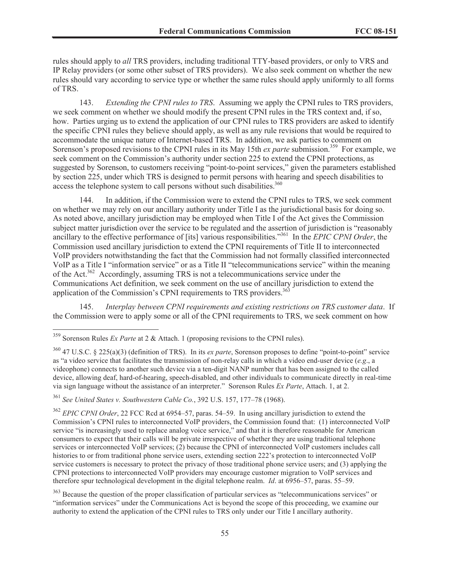rules should apply to *all* TRS providers, including traditional TTY-based providers, or only to VRS and IP Relay providers (or some other subset of TRS providers). We also seek comment on whether the new rules should vary according to service type or whether the same rules should apply uniformly to all forms of TRS.

143. *Extending the CPNI rules to TRS*. Assuming we apply the CPNI rules to TRS providers, we seek comment on whether we should modify the present CPNI rules in the TRS context and, if so, how. Parties urging us to extend the application of our CPNI rules to TRS providers are asked to identify the specific CPNI rules they believe should apply, as well as any rule revisions that would be required to accommodate the unique nature of Internet-based TRS. In addition, we ask parties to comment on Sorenson's proposed revisions to the CPNI rules in its May 15th *ex parte* submission.<sup>359</sup> For example, we seek comment on the Commission's authority under section 225 to extend the CPNI protections, as suggested by Sorenson, to customers receiving "point-to-point services," given the parameters established by section 225, under which TRS is designed to permit persons with hearing and speech disabilities to access the telephone system to call persons without such disabilities.<sup>360</sup>

In addition, if the Commission were to extend the CPNI rules to TRS, we seek comment on whether we may rely on our ancillary authority under Title I as the jurisdictional basis for doing so. As noted above, ancillary jurisdiction may be employed when Title I of the Act gives the Commission subject matter jurisdiction over the service to be regulated and the assertion of jurisdiction is "reasonably ancillary to the effective performance of [its] various responsibilities." <sup>361</sup> In the *EPIC CPNI Order*, the Commission used ancillary jurisdiction to extend the CPNI requirements of Title II to interconnected VoIP providers notwithstanding the fact that the Commission had not formally classified interconnected VoIP as a Title I "information service" or as a Title II "telecommunications service" within the meaning of the Act.<sup>362</sup> Accordingly, assuming TRS is not a telecommunications service under the Communications Act definition, we seek comment on the use of ancillary jurisdiction to extend the application of the Commission's CPNI requirements to TRS providers. $363$ 

145. *Interplay between CPNI requirements and existing restrictions on TRS customer data*. If the Commission were to apply some or all of the CPNI requirements to TRS, we seek comment on how

<sup>361</sup> *See United States v. Southwestern Cable Co.*, 392 U.S. 157, 177–78 (1968).

<sup>359</sup> Sorenson Rules *Ex Parte* at 2 & Attach. 1 (proposing revisions to the CPNI rules).

<sup>360</sup> 47 U.S.C. § 225(a)(3) (definition of TRS). In its *ex parte*, Sorenson proposes to define "point-to-point" service as "a video service that facilitates the transmission of non-relay calls in which a video end-user device (*e.g*., a videophone) connects to another such device via a ten-digit NANP number that has been assigned to the called device, allowing deaf, hard-of-hearing, speech-disabled, and other individuals to communicate directly in real-time via sign language without the assistance of an interpreter." Sorenson Rules *Ex Parte*, Attach. 1, at 2.

<sup>362</sup> *EPIC CPNI Order*, 22 FCC Rcd at 6954–57, paras. 54–59. In using ancillary jurisdiction to extend the Commission's CPNI rules to interconnected VoIP providers, the Commission found that: (1) interconnected VoIP service "is increasingly used to replace analog voice service," and that it is therefore reasonable for American consumers to expect that their calls will be private irrespective of whether they are using traditional telephone services or interconnected VoIP services; (2) because the CPNI of interconnected VoIP customers includes call histories to or from traditional phone service users, extending section 222's protection to interconnected VoIP service customers is necessary to protect the privacy of those traditional phone service users; and (3) applying the CPNI protections to interconnected VoIP providers may encourage customer migration to VoIP services and therefore spur technological development in the digital telephone realm. *Id*. at 6956–57, paras. 55–59.

<sup>&</sup>lt;sup>363</sup> Because the question of the proper classification of particular services as "telecommunications services" or "information services" under the Communications Act is beyond the scope of this proceeding, we examine our authority to extend the application of the CPNI rules to TRS only under our Title I ancillary authority.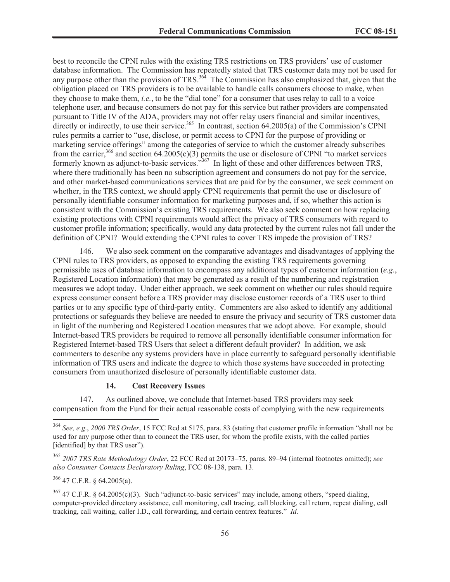best to reconcile the CPNI rules with the existing TRS restrictions on TRS providers' use of customer database information. The Commission has repeatedly stated that TRS customer data may not be used for any purpose other than the provision of TRS.<sup>364</sup> The Commission has also emphasized that, given that the obligation placed on TRS providers is to be available to handle calls consumers choose to make, when they choose to make them, *i.e.*, to be the "dial tone" for a consumer that uses relay to call to a voice telephone user, and because consumers do not pay for this service but rather providers are compensated pursuant to Title IV of the ADA, providers may not offer relay users financial and similar incentives, directly or indirectly, to use their service.<sup>365</sup> In contrast, section 64.2005(a) of the Commission's CPNI rules permits a carrier to "use, disclose, or permit access to CPNI for the purpose of providing or marketing service offerings" among the categories of service to which the customer already subscribes from the carrier,<sup>366</sup> and section  $64.2005(c)(3)$  permits the use or disclosure of CPNI "to market services formerly known as adjunct-to-basic services.<sup>367</sup> In light of these and other differences between TRS, where there traditionally has been no subscription agreement and consumers do not pay for the service, and other market-based communications services that are paid for by the consumer, we seek comment on whether, in the TRS context, we should apply CPNI requirements that permit the use or disclosure of personally identifiable consumer information for marketing purposes and, if so, whether this action is consistent with the Commission's existing TRS requirements. We also seek comment on how replacing existing protections with CPNI requirements would affect the privacy of TRS consumers with regard to customer profile information; specifically, would any data protected by the current rules not fall under the definition of CPNI? Would extending the CPNI rules to cover TRS impede the provision of TRS?

146. We also seek comment on the comparative advantages and disadvantages of applying the CPNI rules to TRS providers, as opposed to expanding the existing TRS requirements governing permissible uses of database information to encompass any additional types of customer information (*e.g.*, Registered Location information) that may be generated as a result of the numbering and registration measures we adopt today. Under either approach, we seek comment on whether our rules should require express consumer consent before a TRS provider may disclose customer records of a TRS user to third parties or to any specific type of third-party entity. Commenters are also asked to identify any additional protections or safeguards they believe are needed to ensure the privacy and security of TRS customer data in light of the numbering and Registered Location measures that we adopt above. For example, should Internet-based TRS providers be required to remove all personally identifiable consumer information for Registered Internet-based TRS Users that select a different default provider? In addition, we ask commenters to describe any systems providers have in place currently to safeguard personally identifiable information of TRS users and indicate the degree to which those systems have succeeded in protecting consumers from unauthorized disclosure of personally identifiable customer data.

## **14. Cost Recovery Issues**

147. As outlined above, we conclude that Internet-based TRS providers may seek compensation from the Fund for their actual reasonable costs of complying with the new requirements

<sup>366</sup> 47 C.F.R. § 64.2005(a).

<sup>364</sup> *See, e.g*., *2000 TRS Order*, 15 FCC Rcd at 5175, para. 83 (stating that customer profile information "shall not be used for any purpose other than to connect the TRS user, for whom the profile exists, with the called parties [identified] by that TRS user").

<sup>365</sup> *2007 TRS Rate Methodology Order*, 22 FCC Rcd at 20173–75, paras. 89–94 (internal footnotes omitted); *see also Consumer Contacts Declaratory Ruling*, FCC 08-138, para. 13.

 $367$  47 C.F.R. § 64.2005(c)(3). Such "adjunct-to-basic services" may include, among others, "speed dialing, computer-provided directory assistance, call monitoring, call tracing, call blocking, call return, repeat dialing, call tracking, call waiting, caller I.D., call forwarding, and certain centrex features." *Id.*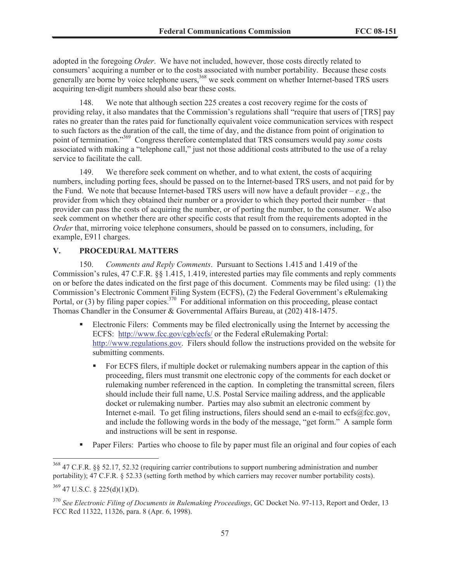adopted in the foregoing *Order*. We have not included, however, those costs directly related to consumers' acquiring a number or to the costs associated with number portability. Because these costs generally are borne by voice telephone users,<sup>368</sup> we seek comment on whether Internet-based TRS users acquiring ten-digit numbers should also bear these costs.

148. We note that although section 225 creates a cost recovery regime for the costs of providing relay, it also mandates that the Commission's regulations shall "require that users of [TRS] pay rates no greater than the rates paid for functionally equivalent voice communication services with respect to such factors as the duration of the call, the time of day, and the distance from point of origination to point of termination."<sup>369</sup> Congress therefore contemplated that TRS consumers would pay *some* costs associated with making a "telephone call," just not those additional costs attributed to the use of a relay service to facilitate the call.

149. We therefore seek comment on whether, and to what extent, the costs of acquiring numbers, including porting fees, should be passed on to the Internet-based TRS users, and not paid for by the Fund. We note that because Internet-based TRS users will now have a default provider  $-e.g.,$  the provider from which they obtained their number or a provider to which they ported their number – that provider can pass the costs of acquiring the number, or of porting the number, to the consumer. We also seek comment on whether there are other specific costs that result from the requirements adopted in the *Order* that, mirroring voice telephone consumers, should be passed on to consumers, including, for example, E911 charges.

## **V. PROCEDURAL MATTERS**

150. *Comments and Reply Comments*. Pursuant to Sections 1.415 and 1.419 of the Commission's rules, 47 C.F.R. §§ 1.415, 1.419, interested parties may file comments and reply comments on or before the dates indicated on the first page of this document. Comments may be filed using: (1) the Commission's Electronic Comment Filing System (ECFS), (2) the Federal Government's eRulemaking Portal, or (3) by filing paper copies.<sup>370</sup> For additional information on this proceeding, please contact Thomas Chandler in the Consumer & Governmental Affairs Bureau, at (202) 418-1475.

- Electronic Filers: Comments may be filed electronically using the Internet by accessing the ECFS: http://www.fcc.gov/cgb/ecfs/ or the Federal eRulemaking Portal: http://www.regulations.gov. Filers should follow the instructions provided on the website for submitting comments.
	- For ECFS filers, if multiple docket or rulemaking numbers appear in the caption of this proceeding, filers must transmit one electronic copy of the comments for each docket or rulemaking number referenced in the caption. In completing the transmittal screen, filers should include their full name, U.S. Postal Service mailing address, and the applicable docket or rulemaking number. Parties may also submit an electronic comment by Internet e-mail. To get filing instructions, filers should send an e-mail to ecfs@fcc.gov, and include the following words in the body of the message, "get form." A sample form and instructions will be sent in response.
- Paper Filers: Parties who choose to file by paper must file an original and four copies of each

<sup>368</sup> 47 C.F.R. §§ 52.17, 52.32 (requiring carrier contributions to support numbering administration and number portability); 47 C.F.R. § 52.33 (setting forth method by which carriers may recover number portability costs).

 $369$  47 U.S.C. § 225(d)(1)(D).

<sup>370</sup> *See Electronic Filing of Documents in Rulemaking Proceedings*, GC Docket No. 97-113, Report and Order, 13 FCC Rcd 11322, 11326, para. 8 (Apr. 6, 1998).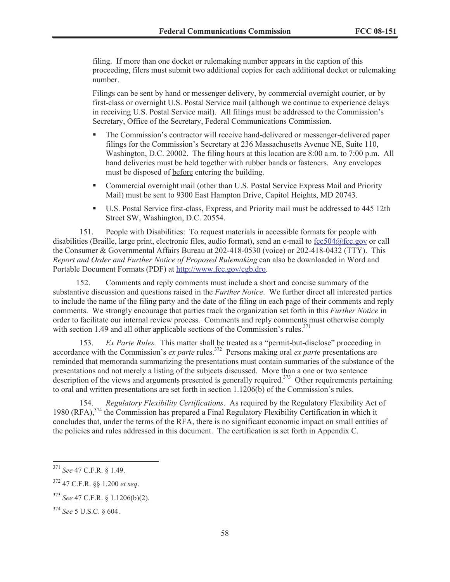filing. If more than one docket or rulemaking number appears in the caption of this proceeding, filers must submit two additional copies for each additional docket or rulemaking number.

Filings can be sent by hand or messenger delivery, by commercial overnight courier, or by first-class or overnight U.S. Postal Service mail (although we continue to experience delays in receiving U.S. Postal Service mail). All filings must be addressed to the Commission's Secretary, Office of the Secretary, Federal Communications Commission.

- The Commission's contractor will receive hand-delivered or messenger-delivered paper filings for the Commission's Secretary at 236 Massachusetts Avenue NE, Suite 110, Washington, D.C. 20002. The filing hours at this location are 8:00 a.m. to 7:00 p.m. All hand deliveries must be held together with rubber bands or fasteners. Any envelopes must be disposed of before entering the building.
- Commercial overnight mail (other than U.S. Postal Service Express Mail and Priority Mail) must be sent to 9300 East Hampton Drive, Capitol Heights, MD 20743.
- § U.S. Postal Service first-class, Express, and Priority mail must be addressed to 445 12th Street SW, Washington, D.C. 20554.

151. People with Disabilities: To request materials in accessible formats for people with disabilities (Braille, large print, electronic files, audio format), send an e-mail to fcc504@fcc.gov or call the Consumer & Governmental Affairs Bureau at 202-418-0530 (voice) or 202-418-0432 (TTY). This *Report and Order and Further Notice of Proposed Rulemaking* can also be downloaded in Word and Portable Document Formats (PDF) at http://www.fcc.gov/cgb.dro.

152. Comments and reply comments must include a short and concise summary of the substantive discussion and questions raised in the *Further Notice*. We further direct all interested parties to include the name of the filing party and the date of the filing on each page of their comments and reply comments. We strongly encourage that parties track the organization set forth in this *Further Notice* in order to facilitate our internal review process. Comments and reply comments must otherwise comply with section 1.49 and all other applicable sections of the Commission's rules. $371$ 

153. *Ex Parte Rules.* This matter shall be treated as a "permit-but-disclose" proceeding in accordance with the Commission's *ex parte* rules.<sup>372</sup> Persons making oral *ex parte* presentations are reminded that memoranda summarizing the presentations must contain summaries of the substance of the presentations and not merely a listing of the subjects discussed. More than a one or two sentence description of the views and arguments presented is generally required.<sup>373</sup> Other requirements pertaining to oral and written presentations are set forth in section 1.1206(b) of the Commission's rules.

154. *Regulatory Flexibility Certifications*. As required by the Regulatory Flexibility Act of 1980 (RFA), <sup>374</sup> the Commission has prepared a Final Regulatory Flexibility Certification in which it concludes that, under the terms of the RFA, there is no significant economic impact on small entities of the policies and rules addressed in this document. The certification is set forth in Appendix C.

<sup>371</sup> *See* 47 C.F.R. § 1.49.

<sup>372</sup> 47 C.F.R. §§ 1.200 *et seq*.

<sup>373</sup> *See* 47 C.F.R. § 1.1206(b)(2).

<sup>374</sup> *See* 5 U.S.C. § 604.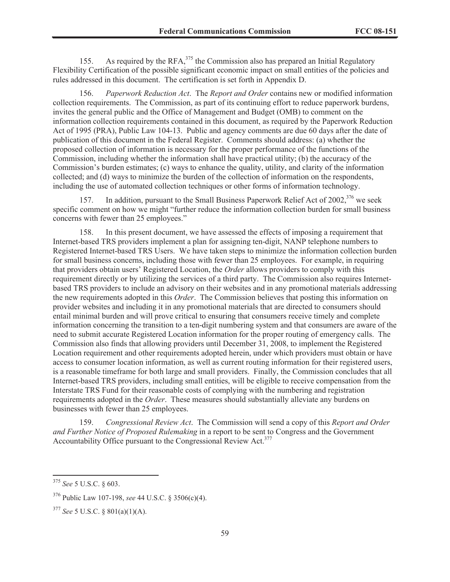155. As required by the RFA,<sup>375</sup> the Commission also has prepared an Initial Regulatory Flexibility Certification of the possible significant economic impact on small entities of the policies and rules addressed in this document. The certification is set forth in Appendix D.

156. *Paperwork Reduction Act*. The *Report and Order* contains new or modified information collection requirements. The Commission, as part of its continuing effort to reduce paperwork burdens, invites the general public and the Office of Management and Budget (OMB) to comment on the information collection requirements contained in this document, as required by the Paperwork Reduction Act of 1995 (PRA), Public Law 104-13. Public and agency comments are due 60 days after the date of publication of this document in the Federal Register. Comments should address: (a) whether the proposed collection of information is necessary for the proper performance of the functions of the Commission, including whether the information shall have practical utility; (b) the accuracy of the Commission's burden estimates; (c) ways to enhance the quality, utility, and clarity of the information collected; and (d) ways to minimize the burden of the collection of information on the respondents, including the use of automated collection techniques or other forms of information technology.

157. In addition, pursuant to the Small Business Paperwork Relief Act of 2002,<sup>376</sup> we seek specific comment on how we might "further reduce the information collection burden for small business concerns with fewer than 25 employees."

158. In this present document, we have assessed the effects of imposing a requirement that Internet-based TRS providers implement a plan for assigning ten-digit, NANP telephone numbers to Registered Internet-based TRS Users. We have taken steps to minimize the information collection burden for small business concerns, including those with fewer than 25 employees. For example, in requiring that providers obtain users' Registered Location, the *Order* allows providers to comply with this requirement directly or by utilizing the services of a third party. The Commission also requires Internetbased TRS providers to include an advisory on their websites and in any promotional materials addressing the new requirements adopted in this *Order*. The Commission believes that posting this information on provider websites and including it in any promotional materials that are directed to consumers should entail minimal burden and will prove critical to ensuring that consumers receive timely and complete information concerning the transition to a ten-digit numbering system and that consumers are aware of the need to submit accurate Registered Location information for the proper routing of emergency calls. The Commission also finds that allowing providers until December 31, 2008, to implement the Registered Location requirement and other requirements adopted herein, under which providers must obtain or have access to consumer location information, as well as current routing information for their registered users, is a reasonable timeframe for both large and small providers. Finally, the Commission concludes that all Internet-based TRS providers, including small entities, will be eligible to receive compensation from the Interstate TRS Fund for their reasonable costs of complying with the numbering and registration requirements adopted in the *Order*. These measures should substantially alleviate any burdens on businesses with fewer than 25 employees.

159. *Congressional Review Act*. The Commission will send a copy of this *Report and Order and Further Notice of Proposed Rulemaking* in a report to be sent to Congress and the Government Accountability Office pursuant to the Congressional Review Act.<sup>377</sup>

<sup>375</sup> *See* 5 U.S.C. § 603.

<sup>376</sup> Public Law 107-198, *see* 44 U.S.C. § 3506(c)(4).

<sup>377</sup> *See* 5 U.S.C. § 801(a)(1)(A).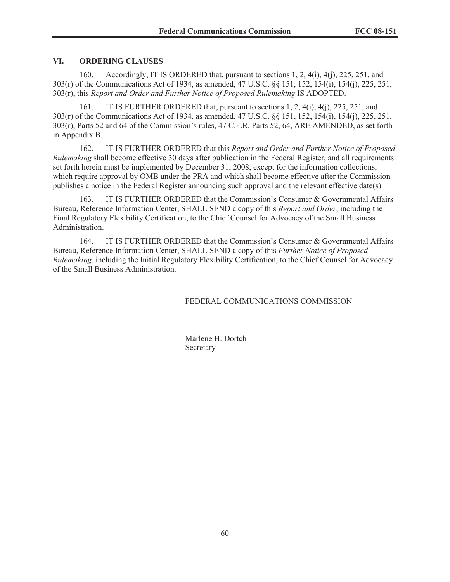# **VI. ORDERING CLAUSES**

160. Accordingly, IT IS ORDERED that, pursuant to sections 1, 2, 4(i), 4(j), 225, 251, and 303(r) of the Communications Act of 1934, as amended, 47 U.S.C. §§ 151, 152, 154(i), 154(j), 225, 251, 303(r), this *Report and Order and Further Notice of Proposed Rulemaking* IS ADOPTED.

IT IS FURTHER ORDERED that, pursuant to sections  $1, 2, 4(i), 4(i), 225, 251$ , and 303(r) of the Communications Act of 1934, as amended, 47 U.S.C. §§ 151, 152, 154(i), 154(j), 225, 251, 303(r), Parts 52 and 64 of the Commission's rules, 47 C.F.R. Parts 52, 64, ARE AMENDED, as set forth in Appendix B.

162. IT IS FURTHER ORDERED that this *Report and Order and Further Notice of Proposed Rulemaking* shall become effective 30 days after publication in the Federal Register, and all requirements set forth herein must be implemented by December 31, 2008, except for the information collections, which require approval by OMB under the PRA and which shall become effective after the Commission publishes a notice in the Federal Register announcing such approval and the relevant effective date(s).

163. IT IS FURTHER ORDERED that the Commission's Consumer & Governmental Affairs Bureau, Reference Information Center, SHALL SEND a copy of this *Report and Order*, including the Final Regulatory Flexibility Certification, to the Chief Counsel for Advocacy of the Small Business Administration.

164. IT IS FURTHER ORDERED that the Commission's Consumer & Governmental Affairs Bureau, Reference Information Center, SHALL SEND a copy of this *Further Notice of Proposed Rulemaking*, including the Initial Regulatory Flexibility Certification, to the Chief Counsel for Advocacy of the Small Business Administration.

FEDERAL COMMUNICATIONS COMMISSION

Marlene H. Dortch Secretary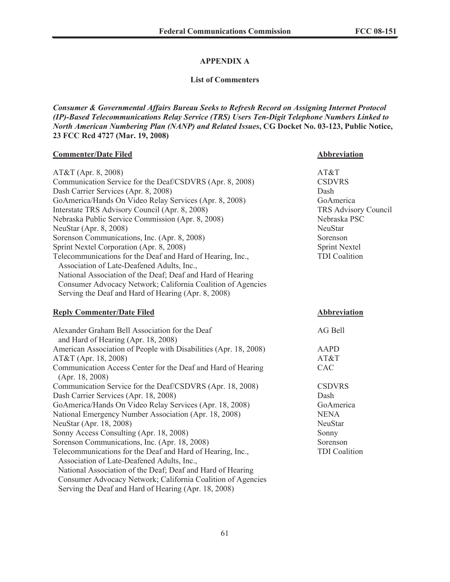# **APPENDIX A**

### **List of Commenters**

*Consumer & Governmental Affairs Bureau Seeks to Refresh Record on Assigning Internet Protocol (IP)-Based Telecommunications Relay Service (TRS) Users Ten-Digit Telephone Numbers Linked to North American Numbering Plan (NANP) and Related Issues***, CG Docket No. 03-123, Public Notice, 23 FCC Rcd 4727 (Mar. 19, 2008)**

## **Commenter/Date Filed Abbreviation**

| AT&T (Apr. 8, 2008)                                                             | AT&T                        |
|---------------------------------------------------------------------------------|-----------------------------|
| Communication Service for the Deaf/CSDVRS (Apr. 8, 2008)                        | <b>CSDVRS</b>               |
| Dash Carrier Services (Apr. 8, 2008)                                            | Dash                        |
| GoAmerica/Hands On Video Relay Services (Apr. 8, 2008)                          | GoAmerica                   |
| Interstate TRS Advisory Council (Apr. 8, 2008)                                  | <b>TRS Advisory Council</b> |
| Nebraska Public Service Commission (Apr. 8, 2008)                               | Nebraska PSC                |
| NeuStar (Apr. 8, 2008)                                                          | NeuStar                     |
| Sorenson Communications, Inc. (Apr. 8, 2008)                                    | Sorenson                    |
| Sprint Nextel Corporation (Apr. 8, 2008)                                        | <b>Sprint Nextel</b>        |
| Telecommunications for the Deaf and Hard of Hearing, Inc.,                      | <b>TDI</b> Coalition        |
| Association of Late-Deafened Adults, Inc.,                                      |                             |
| National Association of the Deaf; Deaf and Hard of Hearing                      |                             |
| Consumer Advocacy Network; California Coalition of Agencies                     |                             |
| Serving the Deaf and Hard of Hearing (Apr. 8, 2008)                             |                             |
| <b>Reply Commenter/Date Filed</b>                                               | <b>Abbreviation</b>         |
| Alexander Graham Bell Association for the Deaf                                  | AG Bell                     |
| and Hard of Hearing (Apr. 18, 2008)                                             |                             |
| American Association of People with Disabilities (Apr. 18, 2008)                | <b>AAPD</b>                 |
| AT&T (Apr. 18, 2008)                                                            | AT&T                        |
| Communication Access Center for the Deaf and Hard of Hearing<br>(Apr. 18, 2008) | CAC                         |
| Communication Service for the Deaf/CSDVRS (Apr. 18, 2008)                       | <b>CSDVRS</b>               |
| Dash Carrier Services (Apr. 18, 2008)                                           | Dash                        |
| GoAmerica/Hands On Video Relay Services (Apr. 18, 2008)                         | GoAmerica                   |
| National Emergency Number Association (Apr. 18, 2008)                           | <b>NENA</b>                 |
| NeuStar (Apr. 18, 2008)                                                         | NeuStar                     |
| Sonny Access Consulting (Apr. 18, 2008)                                         | Sonny                       |
| Sorenson Communications, Inc. (Apr. 18, 2008)                                   | Sorenson                    |
| Telecommunications for the Deaf and Hard of Hearing, Inc.,                      | <b>TDI</b> Coalition        |
| Association of Late-Deafened Adults, Inc.,                                      |                             |
| National Association of the Deaf; Deaf and Hard of Hearing                      |                             |
| Consumer Advocacy Network; California Coalition of Agencies                     |                             |

Serving the Deaf and Hard of Hearing (Apr. 18, 2008)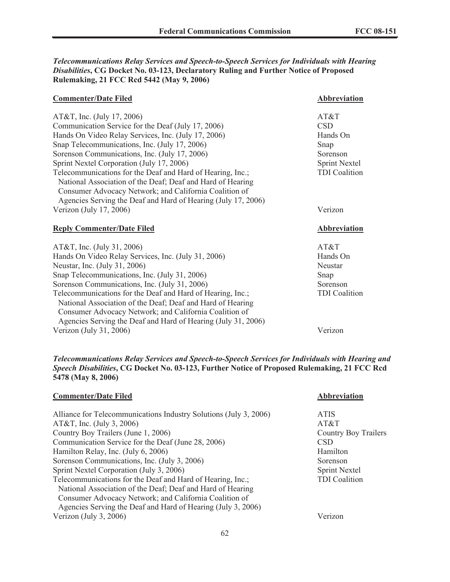*Telecommunications Relay Services and Speech-to-Speech Services for Individuals with Hearing Disabilities***, CG Docket No. 03-123, Declaratory Ruling and Further Notice of Proposed Rulemaking, 21 FCC Rcd 5442 (May 9, 2006)**

| <b>Commenter/Date Filed</b>                                                                                             | <b>Abbreviation</b>  |
|-------------------------------------------------------------------------------------------------------------------------|----------------------|
| AT&T, Inc. (July 17, 2006)                                                                                              | AT&T                 |
| Communication Service for the Deaf (July 17, 2006)                                                                      | <b>CSD</b>           |
|                                                                                                                         |                      |
| Hands On Video Relay Services, Inc. (July 17, 2006)                                                                     | Hands On             |
| Snap Telecommunications, Inc. (July 17, 2006)                                                                           | Snap                 |
| Sorenson Communications, Inc. (July 17, 2006)                                                                           | Sorenson             |
| Sprint Nextel Corporation (July 17, 2006)                                                                               | <b>Sprint Nextel</b> |
| Telecommunications for the Deaf and Hard of Hearing, Inc.;                                                              | <b>TDI</b> Coalition |
| National Association of the Deaf; Deaf and Hard of Hearing                                                              |                      |
| Consumer Advocacy Network; and California Coalition of                                                                  |                      |
| Agencies Serving the Deaf and Hard of Hearing (July 17, 2006)                                                           |                      |
| Verizon (July 17, 2006)                                                                                                 | Verizon              |
|                                                                                                                         |                      |
|                                                                                                                         |                      |
| <b>Reply Commenter/Date Filed</b>                                                                                       | Abbreviation         |
| AT&T, Inc. (July 31, 2006)                                                                                              | AT&T                 |
| Hands On Video Relay Services, Inc. (July 31, 2006)                                                                     | Hands On             |
| Neustar, Inc. (July 31, 2006)                                                                                           | Neustar              |
| Snap Telecommunications, Inc. (July 31, 2006)                                                                           | Snap                 |
| Sorenson Communications, Inc. (July 31, 2006)                                                                           | Sorenson             |
| Telecommunications for the Deaf and Hard of Hearing, Inc.;                                                              | <b>TDI</b> Coalition |
|                                                                                                                         |                      |
| National Association of the Deaf; Deaf and Hard of Hearing                                                              |                      |
| Consumer Advocacy Network; and California Coalition of<br>Agencies Serving the Deaf and Hard of Hearing (July 31, 2006) |                      |

# *Telecommunications Relay Services and Speech-to-Speech Services for Individuals with Hearing and Speech Disabilities***, CG Docket No. 03-123, Further Notice of Proposed Rulemaking, 21 FCC Rcd 5478 (May 8, 2006)**

| Abbreviation         |
|----------------------|
| <b>ATIS</b>          |
| AT&T                 |
| Country Boy Trailers |
| <b>CSD</b>           |
| Hamilton             |
| Sorenson             |
| <b>Sprint Nextel</b> |
| <b>TDI</b> Coalition |
|                      |
|                      |
|                      |
| Verizon              |
|                      |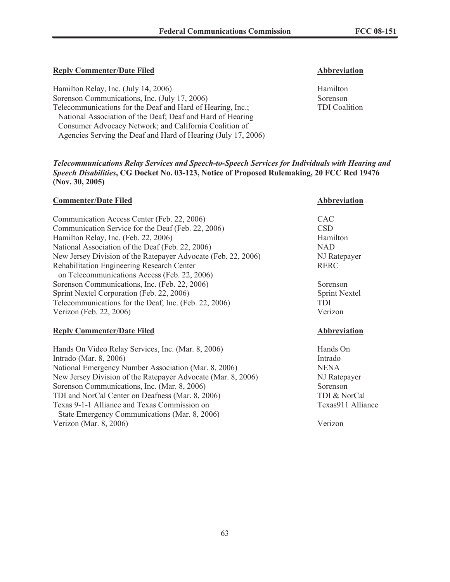# **Reply Commenter/Date Filed Abbreviation**

Hamilton Relay, Inc. (July 14, 2006) Hamilton Hamilton Sorenson Communications, Inc. (July 17, 2006) Sorenson Telecommunications for the Deaf and Hard of Hearing, Inc.; TDI Coalition National Association of the Deaf; Deaf and Hard of Hearing Consumer Advocacy Network; and California Coalition of Agencies Serving the Deaf and Hard of Hearing (July 17, 2006)

*Telecommunications Relay Services and Speech-to-Speech Services for Individuals with Hearing and Speech Disabilities***, CG Docket No. 03-123, Notice of Proposed Rulemaking, 20 FCC Rcd 19476 (Nov. 30, 2005)**

### **Commenter/Date Filed Abbreviation**

| Communication Access Center (Feb. 22, 2006)                   | <b>CAC</b>  |
|---------------------------------------------------------------|-------------|
| Communication Service for the Deaf (Feb. 22, 2006)            | <b>CSD</b>  |
| Hamilton Relay, Inc. (Feb. 22, 2006)                          | Hamilton    |
| National Association of the Deaf (Feb. 22, 2006)              | <b>NAD</b>  |
| New Jersey Division of the Ratepayer Advocate (Feb. 22, 2006) | NJ Ratep    |
| Rehabilitation Engineering Research Center                    | <b>RERC</b> |
| on Telecommunications Access (Feb. 22, 2006)                  |             |
| Sorenson Communications, Inc. (Feb. 22, 2006)                 | Sorenson    |
| Sprint Nextel Corporation (Feb. 22, 2006)                     | Sprint Ne   |
| Telecommunications for the Deaf, Inc. (Feb. 22, 2006)         | <b>TDI</b>  |
| Verizon (Feb. 22, 2006)                                       | Verizon     |

### **Reply Commenter/Date Filed Abbreviation**

Hands On Video Relay Services, Inc. (Mar. 8, 2006) Flands On Intrado (Mar. 8, 2006) Intrado National Emergency Number Association (Mar. 8, 2006) NENA New Jersey Division of the Ratepayer Advocate (Mar. 8, 2006) NJ Ratepayer Sorenson Communications, Inc. (Mar. 8, 2006) Sorenson TDI and NorCal Center on Deafness (Mar. 8, 2006) TDI & NorCal Texas 9-1-1 Alliance and Texas Commission on Texas 9-1-1 Alliance State Emergency Communications (Mar. 8, 2006) Verizon (Mar. 8, 2006) Verizon

NJ Ratepayer

Sprint Nextel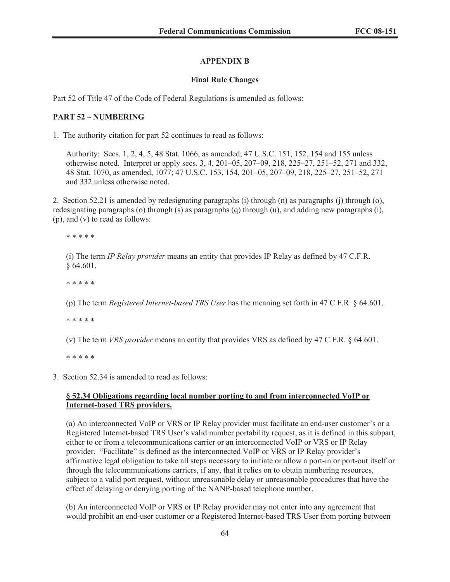# **APPENDIX B**

# **Final Rule Changes**

Part 52 of Title 47 of the Code of Federal Regulations is amended as follows:

# **PART 52 – NUMBERING**

1. The authority citation for part 52 continues to read as follows:

Authority: Secs. 1, 2, 4, 5, 48 Stat. 1066, as amended; 47 U.S.C. 151, 152, 154 and 155 unless otherwise noted. Interpret or apply secs. 3, 4, 201–05, 207–09, 218, 225–27, 251–52, 271 and 332, 48 Stat. 1070, as amended, 1077; 47 U.S.C. 153, 154, 201–05, 207–09, 218, 225–27, 251–52, 271 and 332 unless otherwise noted.

2. Section 52.21 is amended by redesignating paragraphs (i) through (n) as paragraphs (j) through (o), redesignating paragraphs (o) through (s) as paragraphs (q) through (u), and adding new paragraphs (i), (p), and (v) to read as follows:

\* \* \* \* \*

(i) The term *IP Relay provider* means an entity that provides IP Relay as defined by 47 C.F.R. § 64.601.

\* \* \* \* \*

(p) The term *Registered Internet-based TRS User* has the meaning set forth in 47 C.F.R. § 64.601.

\* \* \* \* \*

(v) The term *VRS provider* means an entity that provides VRS as defined by 47 C.F.R. § 64.601.

\* \* \* \* \*

3. Section 52.34 is amended to read as follows:

# **§ 52.34 Obligations regarding local number porting to and from interconnected VoIP or Internet-based TRS providers.**

(a) An interconnected VoIP or VRS or IP Relay provider must facilitate an end-user customer's or a Registered Internet-based TRS User's valid number portability request, as it is defined in this subpart, either to or from a telecommunications carrier or an interconnected VoIP or VRS or IP Relay provider. "Facilitate" is defined as the interconnected VoIP or VRS or IP Relay provider's affirmative legal obligation to take all steps necessary to initiate or allow a port-in or port-out itself or through the telecommunications carriers, if any, that it relies on to obtain numbering resources, subject to a valid port request, without unreasonable delay or unreasonable procedures that have the effect of delaying or denying porting of the NANP-based telephone number.

(b) An interconnected VoIP or VRS or IP Relay provider may not enter into any agreement that would prohibit an end-user customer or a Registered Internet-based TRS User from porting between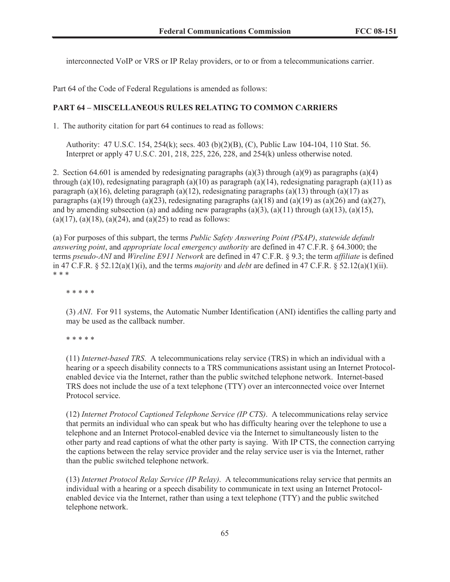interconnected VoIP or VRS or IP Relay providers, or to or from a telecommunications carrier.

Part 64 of the Code of Federal Regulations is amended as follows:

## **PART 64 – MISCELLANEOUS RULES RELATING TO COMMON CARRIERS**

1. The authority citation for part 64 continues to read as follows:

Authority: 47 U.S.C. 154, 254(k); secs. 403 (b)(2)(B), (C), Public Law 104-104, 110 Stat. 56. Interpret or apply 47 U.S.C. 201, 218, 225, 226, 228, and 254(k) unless otherwise noted.

2. Section 64.601 is amended by redesignating paragraphs (a)(3) through (a)(9) as paragraphs (a)(4) through (a)(10), redesignating paragraph (a)(10) as paragraph (a)(14), redesignating paragraph (a)(11) as paragraph (a)(16), deleting paragraph (a)(12), redesignating paragraphs (a)(13) through (a)(17) as paragraphs (a)(19) through (a)(23), redesignating paragraphs (a)(18) and (a)(19) as (a)(26) and (a)(27), and by amending subsection (a) and adding new paragraphs  $(a)(3)$ ,  $(a)(11)$  through  $(a)(13)$ ,  $(a)(15)$ ,  $(a)(17)$ ,  $(a)(18)$ ,  $(a)(24)$ , and  $(a)(25)$  to read as follows:

(a) For purposes of this subpart, the terms *Public Safety Answering Point (PSAP)*, *statewide default answering point*, and *appropriate local emergency authority* are defined in 47 C.F.R. § 64.3000; the terms *pseudo-ANI* and *Wireline E911 Network* are defined in 47 C.F.R. § 9.3; the term *affiliate* is defined in 47 C.F.R. § 52.12(a)(1)(i), and the terms *majority* and *debt* are defined in 47 C.F.R. § 52.12(a)(1)(ii). \* \* \*

\* \* \* \* \*

(3) *ANI*. For 911 systems, the Automatic Number Identification (ANI) identifies the calling party and may be used as the callback number.

\* \* \* \* \*

(11) *Internet-based TRS*. A telecommunications relay service (TRS) in which an individual with a hearing or a speech disability connects to a TRS communications assistant using an Internet Protocolenabled device via the Internet, rather than the public switched telephone network. Internet-based TRS does not include the use of a text telephone (TTY) over an interconnected voice over Internet Protocol service.

(12) *Internet Protocol Captioned Telephone Service (IP CTS)*. A telecommunications relay service that permits an individual who can speak but who has difficulty hearing over the telephone to use a telephone and an Internet Protocol-enabled device via the Internet to simultaneously listen to the other party and read captions of what the other party is saying. With IP CTS, the connection carrying the captions between the relay service provider and the relay service user is via the Internet, rather than the public switched telephone network.

(13) *Internet Protocol Relay Service (IP Relay)*. A telecommunications relay service that permits an individual with a hearing or a speech disability to communicate in text using an Internet Protocolenabled device via the Internet, rather than using a text telephone (TTY) and the public switched telephone network.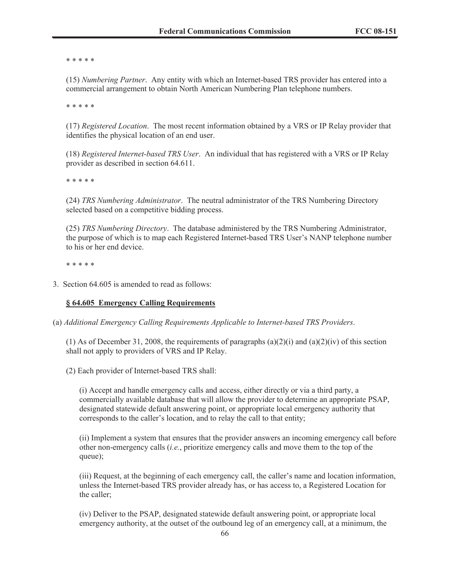\* \* \* \* \*

(15) *Numbering Partner*. Any entity with which an Internet-based TRS provider has entered into a commercial arrangement to obtain North American Numbering Plan telephone numbers.

\* \* \* \* \*

(17) *Registered Location*. The most recent information obtained by a VRS or IP Relay provider that identifies the physical location of an end user.

(18) *Registered Internet-based TRS User*. An individual that has registered with a VRS or IP Relay provider as described in section 64.611.

\* \* \* \* \*

(24) *TRS Numbering Administrator*. The neutral administrator of the TRS Numbering Directory selected based on a competitive bidding process.

(25) *TRS Numbering Directory*. The database administered by the TRS Numbering Administrator, the purpose of which is to map each Registered Internet-based TRS User's NANP telephone number to his or her end device.

\* \* \* \* \*

3. Section 64.605 is amended to read as follows:

## **§ 64.605 Emergency Calling Requirements**

(a) *Additional Emergency Calling Requirements Applicable to Internet-based TRS Providers*.

(1) As of December 31, 2008, the requirements of paragraphs (a)(2)(i) and (a)(2)(iv) of this section shall not apply to providers of VRS and IP Relay.

(2) Each provider of Internet-based TRS shall:

(i) Accept and handle emergency calls and access, either directly or via a third party, a commercially available database that will allow the provider to determine an appropriate PSAP, designated statewide default answering point, or appropriate local emergency authority that corresponds to the caller's location, and to relay the call to that entity;

(ii) Implement a system that ensures that the provider answers an incoming emergency call before other non-emergency calls (*i.e.*, prioritize emergency calls and move them to the top of the queue);

(iii) Request, at the beginning of each emergency call, the caller's name and location information, unless the Internet-based TRS provider already has, or has access to, a Registered Location for the caller;

(iv) Deliver to the PSAP, designated statewide default answering point, or appropriate local emergency authority, at the outset of the outbound leg of an emergency call, at a minimum, the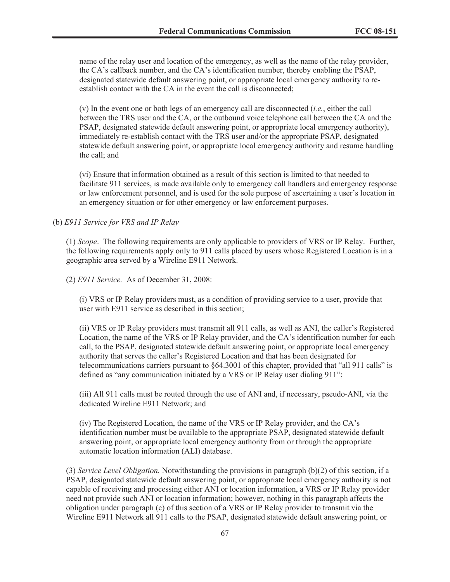name of the relay user and location of the emergency, as well as the name of the relay provider, the CA's callback number, and the CA's identification number, thereby enabling the PSAP, designated statewide default answering point, or appropriate local emergency authority to reestablish contact with the CA in the event the call is disconnected;

(v) In the event one or both legs of an emergency call are disconnected (*i.e.*, either the call between the TRS user and the CA, or the outbound voice telephone call between the CA and the PSAP, designated statewide default answering point, or appropriate local emergency authority), immediately re-establish contact with the TRS user and/or the appropriate PSAP, designated statewide default answering point, or appropriate local emergency authority and resume handling the call; and

(vi) Ensure that information obtained as a result of this section is limited to that needed to facilitate 911 services, is made available only to emergency call handlers and emergency response or law enforcement personnel, and is used for the sole purpose of ascertaining a user's location in an emergency situation or for other emergency or law enforcement purposes.

# (b) *E911 Service for VRS and IP Relay*

(1) *Scope*. The following requirements are only applicable to providers of VRS or IP Relay. Further, the following requirements apply only to 911 calls placed by users whose Registered Location is in a geographic area served by a Wireline E911 Network.

(2) *E911 Service.* As of December 31, 2008:

(i) VRS or IP Relay providers must, as a condition of providing service to a user, provide that user with E911 service as described in this section;

(ii) VRS or IP Relay providers must transmit all 911 calls, as well as ANI, the caller's Registered Location, the name of the VRS or IP Relay provider, and the CA's identification number for each call, to the PSAP, designated statewide default answering point, or appropriate local emergency authority that serves the caller's Registered Location and that has been designated for telecommunications carriers pursuant to §64.3001 of this chapter, provided that "all 911 calls" is defined as "any communication initiated by a VRS or IP Relay user dialing 911";

(iii) All 911 calls must be routed through the use of ANI and, if necessary, pseudo-ANI, via the dedicated Wireline E911 Network; and

(iv) The Registered Location, the name of the VRS or IP Relay provider, and the CA's identification number must be available to the appropriate PSAP, designated statewide default answering point, or appropriate local emergency authority from or through the appropriate automatic location information (ALI) database.

(3) *Service Level Obligation.* Notwithstanding the provisions in paragraph (b)(2) of this section, if a PSAP, designated statewide default answering point, or appropriate local emergency authority is not capable of receiving and processing either ANI or location information, a VRS or IP Relay provider need not provide such ANI or location information; however, nothing in this paragraph affects the obligation under paragraph (c) of this section of a VRS or IP Relay provider to transmit via the Wireline E911 Network all 911 calls to the PSAP, designated statewide default answering point, or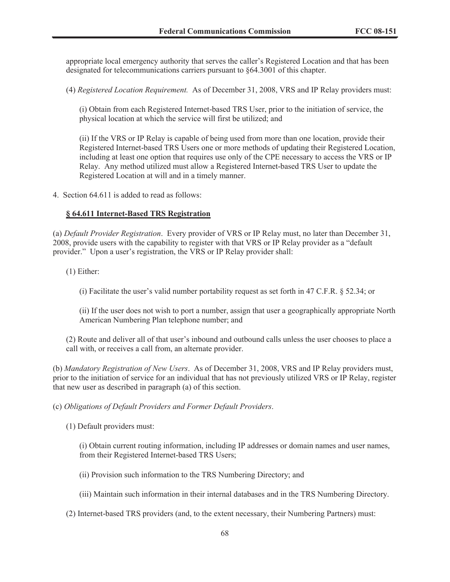appropriate local emergency authority that serves the caller's Registered Location and that has been designated for telecommunications carriers pursuant to §64.3001 of this chapter.

(4) *Registered Location Requirement.* As of December 31, 2008, VRS and IP Relay providers must:

(i) Obtain from each Registered Internet-based TRS User, prior to the initiation of service, the physical location at which the service will first be utilized; and

(ii) If the VRS or IP Relay is capable of being used from more than one location, provide their Registered Internet-based TRS Users one or more methods of updating their Registered Location, including at least one option that requires use only of the CPE necessary to access the VRS or IP Relay. Any method utilized must allow a Registered Internet-based TRS User to update the Registered Location at will and in a timely manner.

4. Section 64.611 is added to read as follows:

## **§ 64.611 Internet-Based TRS Registration**

(a) *Default Provider Registration*. Every provider of VRS or IP Relay must, no later than December 31, 2008, provide users with the capability to register with that VRS or IP Relay provider as a "default provider." Upon a user's registration, the VRS or IP Relay provider shall:

(1) Either:

(i) Facilitate the user's valid number portability request as set forth in 47 C.F.R. § 52.34; or

(ii) If the user does not wish to port a number, assign that user a geographically appropriate North American Numbering Plan telephone number; and

(2) Route and deliver all of that user's inbound and outbound calls unless the user chooses to place a call with, or receives a call from, an alternate provider.

(b) *Mandatory Registration of New Users*. As of December 31, 2008, VRS and IP Relay providers must, prior to the initiation of service for an individual that has not previously utilized VRS or IP Relay, register that new user as described in paragraph (a) of this section.

### (c) *Obligations of Default Providers and Former Default Providers*.

(1) Default providers must:

(i) Obtain current routing information, including IP addresses or domain names and user names, from their Registered Internet-based TRS Users;

(ii) Provision such information to the TRS Numbering Directory; and

(iii) Maintain such information in their internal databases and in the TRS Numbering Directory.

(2) Internet-based TRS providers (and, to the extent necessary, their Numbering Partners) must: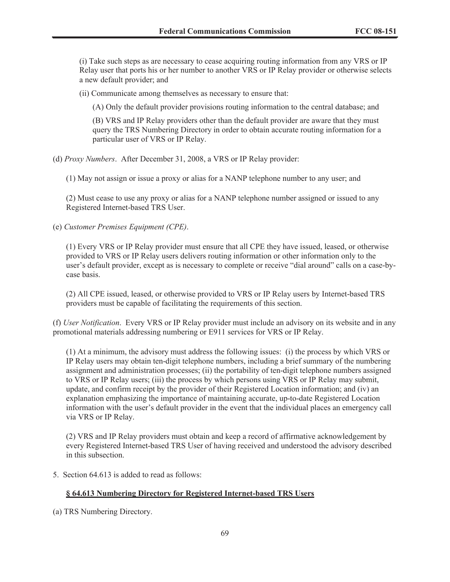(i) Take such steps as are necessary to cease acquiring routing information from any VRS or IP Relay user that ports his or her number to another VRS or IP Relay provider or otherwise selects a new default provider; and

(ii) Communicate among themselves as necessary to ensure that:

(A) Only the default provider provisions routing information to the central database; and

(B) VRS and IP Relay providers other than the default provider are aware that they must query the TRS Numbering Directory in order to obtain accurate routing information for a particular user of VRS or IP Relay.

(d) *Proxy Numbers*. After December 31, 2008, a VRS or IP Relay provider:

(1) May not assign or issue a proxy or alias for a NANP telephone number to any user; and

(2) Must cease to use any proxy or alias for a NANP telephone number assigned or issued to any Registered Internet-based TRS User.

(e) *Customer Premises Equipment (CPE)*.

(1) Every VRS or IP Relay provider must ensure that all CPE they have issued, leased, or otherwise provided to VRS or IP Relay users delivers routing information or other information only to the user's default provider, except as is necessary to complete or receive "dial around" calls on a case-bycase basis.

(2) All CPE issued, leased, or otherwise provided to VRS or IP Relay users by Internet-based TRS providers must be capable of facilitating the requirements of this section.

(f) *User Notification*. Every VRS or IP Relay provider must include an advisory on its website and in any promotional materials addressing numbering or E911 services for VRS or IP Relay.

(1) At a minimum, the advisory must address the following issues: (i) the process by which VRS or IP Relay users may obtain ten-digit telephone numbers, including a brief summary of the numbering assignment and administration processes; (ii) the portability of ten-digit telephone numbers assigned to VRS or IP Relay users; (iii) the process by which persons using VRS or IP Relay may submit, update, and confirm receipt by the provider of their Registered Location information; and (iv) an explanation emphasizing the importance of maintaining accurate, up-to-date Registered Location information with the user's default provider in the event that the individual places an emergency call via VRS or IP Relay.

(2) VRS and IP Relay providers must obtain and keep a record of affirmative acknowledgement by every Registered Internet-based TRS User of having received and understood the advisory described in this subsection.

5. Section 64.613 is added to read as follows:

# **§ 64.613 Numbering Directory for Registered Internet-based TRS Users**

(a) TRS Numbering Directory.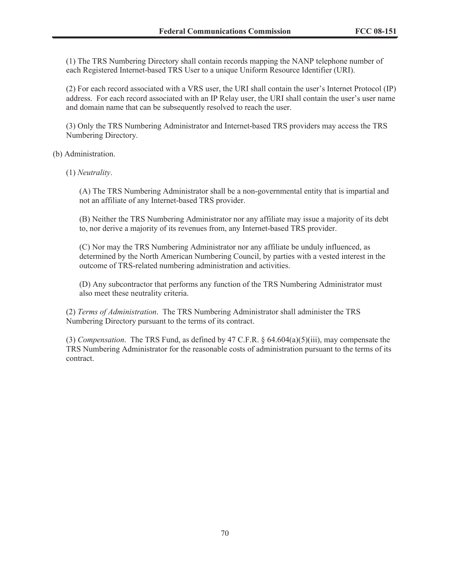(1) The TRS Numbering Directory shall contain records mapping the NANP telephone number of each Registered Internet-based TRS User to a unique Uniform Resource Identifier (URI).

(2) For each record associated with a VRS user, the URI shall contain the user's Internet Protocol (IP) address. For each record associated with an IP Relay user, the URI shall contain the user's user name and domain name that can be subsequently resolved to reach the user.

(3) Only the TRS Numbering Administrator and Internet-based TRS providers may access the TRS Numbering Directory.

(b) Administration.

(1) *Neutrality*.

(A) The TRS Numbering Administrator shall be a non-governmental entity that is impartial and not an affiliate of any Internet-based TRS provider.

(B) Neither the TRS Numbering Administrator nor any affiliate may issue a majority of its debt to, nor derive a majority of its revenues from, any Internet-based TRS provider.

(C) Nor may the TRS Numbering Administrator nor any affiliate be unduly influenced, as determined by the North American Numbering Council, by parties with a vested interest in the outcome of TRS-related numbering administration and activities.

(D) Any subcontractor that performs any function of the TRS Numbering Administrator must also meet these neutrality criteria.

(2) *Terms of Administration*. The TRS Numbering Administrator shall administer the TRS Numbering Directory pursuant to the terms of its contract.

(3) *Compensation*. The TRS Fund, as defined by 47 C.F.R. § 64.604(a)(5)(iii), may compensate the TRS Numbering Administrator for the reasonable costs of administration pursuant to the terms of its contract.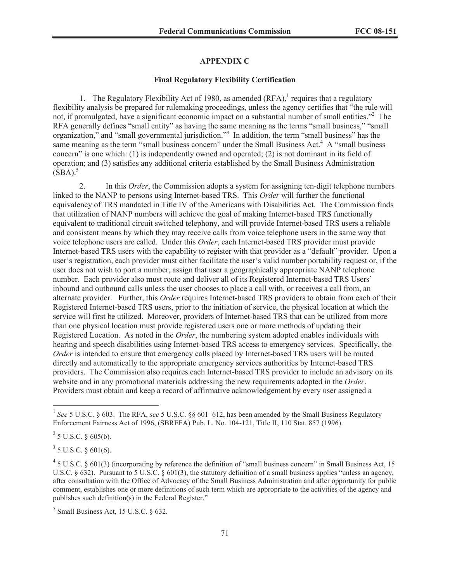# **APPENDIX C**

#### **Final Regulatory Flexibility Certification**

1. The Regulatory Flexibility Act of 1980, as amended  $(RFA)$ , requires that a regulatory flexibility analysis be prepared for rulemaking proceedings, unless the agency certifies that "the rule will not, if promulgated, have a significant economic impact on a substantial number of small entities."<sup>2</sup> The RFA generally defines "small entity" as having the same meaning as the terms "small business," "small organization," and "small governmental jurisdiction."<sup>3</sup> In addition, the term "small business" has the same meaning as the term "small business concern" under the Small Business Act. $4\text{ A}$  "small business" concern" is one which: (1) is independently owned and operated; (2) is not dominant in its field of operation; and (3) satisfies any additional criteria established by the Small Business Administration  $(SBA).$ <sup>5</sup>

2. In this *Order*, the Commission adopts a system for assigning ten-digit telephone numbers linked to the NANP to persons using Internet-based TRS. This *Order* will further the functional equivalency of TRS mandated in Title IV of the Americans with Disabilities Act. The Commission finds that utilization of NANP numbers will achieve the goal of making Internet-based TRS functionally equivalent to traditional circuit switched telephony, and will provide Internet-based TRS users a reliable and consistent means by which they may receive calls from voice telephone users in the same way that voice telephone users are called. Under this *Order*, each Internet-based TRS provider must provide Internet-based TRS users with the capability to register with that provider as a "default" provider. Upon a user's registration, each provider must either facilitate the user's valid number portability request or, if the user does not wish to port a number, assign that user a geographically appropriate NANP telephone number. Each provider also must route and deliver all of its Registered Internet-based TRS Users' inbound and outbound calls unless the user chooses to place a call with, or receives a call from, an alternate provider. Further, this *Order* requires Internet-based TRS providers to obtain from each of their Registered Internet-based TRS users, prior to the initiation of service, the physical location at which the service will first be utilized. Moreover, providers of Internet-based TRS that can be utilized from more than one physical location must provide registered users one or more methods of updating their Registered Location. As noted in the *Order*, the numbering system adopted enables individuals with hearing and speech disabilities using Internet-based TRS access to emergency services. Specifically, the *Order* is intended to ensure that emergency calls placed by Internet-based TRS users will be routed directly and automatically to the appropriate emergency services authorities by Internet-based TRS providers. The Commission also requires each Internet-based TRS provider to include an advisory on its website and in any promotional materials addressing the new requirements adopted in the *Order*. Providers must obtain and keep a record of affirmative acknowledgement by every user assigned a

 $3$  5 U.S.C. § 601(6).

<sup>&</sup>lt;sup>1</sup> See 5 U.S.C. § 603. The RFA, see 5 U.S.C. §§ 601–612, has been amended by the Small Business Regulatory Enforcement Fairness Act of 1996, (SBREFA) Pub. L. No. 104-121, Title II, 110 Stat. 857 (1996).

 $2^{2}$  5 U.S.C. § 605(b).

<sup>&</sup>lt;sup>4</sup> 5 U.S.C. § 601(3) (incorporating by reference the definition of "small business concern" in Small Business Act, 15 U.S.C.  $\S 632$ ). Pursuant to 5 U.S.C.  $\S 601(3)$ , the statutory definition of a small business applies "unless an agency, after consultation with the Office of Advocacy of the Small Business Administration and after opportunity for public comment, establishes one or more definitions of such term which are appropriate to the activities of the agency and publishes such definition(s) in the Federal Register."

 $<sup>5</sup>$  Small Business Act, 15 U.S.C. § 632.</sup>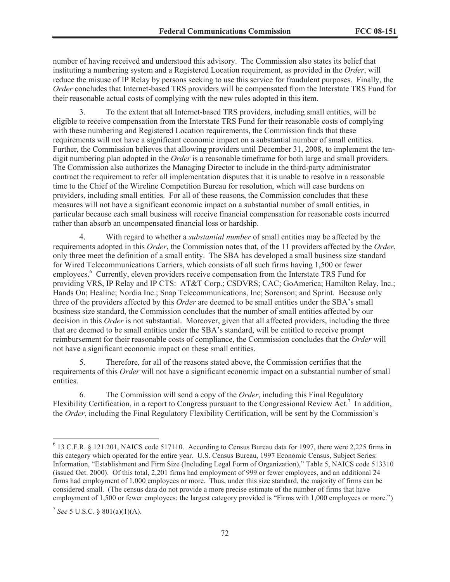number of having received and understood this advisory. The Commission also states its belief that instituting a numbering system and a Registered Location requirement, as provided in the *Order*, will reduce the misuse of IP Relay by persons seeking to use this service for fraudulent purposes. Finally, the *Order* concludes that Internet-based TRS providers will be compensated from the Interstate TRS Fund for their reasonable actual costs of complying with the new rules adopted in this item.

3. To the extent that all Internet-based TRS providers, including small entities, will be eligible to receive compensation from the Interstate TRS Fund for their reasonable costs of complying with these numbering and Registered Location requirements, the Commission finds that these requirements will not have a significant economic impact on a substantial number of small entities. Further, the Commission believes that allowing providers until December 31, 2008, to implement the tendigit numbering plan adopted in the *Order* is a reasonable timeframe for both large and small providers. The Commission also authorizes the Managing Director to include in the third-party administrator contract the requirement to refer all implementation disputes that it is unable to resolve in a reasonable time to the Chief of the Wireline Competition Bureau for resolution, which will ease burdens on providers, including small entities. For all of these reasons, the Commission concludes that these measures will not have a significant economic impact on a substantial number of small entities, in particular because each small business will receive financial compensation for reasonable costs incurred rather than absorb an uncompensated financial loss or hardship.

4. With regard to whether a *substantial number* of small entities may be affected by the requirements adopted in this *Order*, the Commission notes that, of the 11 providers affected by the *Order*, only three meet the definition of a small entity. The SBA has developed a small business size standard for Wired Telecommunications Carriers, which consists of all such firms having 1,500 or fewer employees.<sup>6</sup> Currently, eleven providers receive compensation from the Interstate TRS Fund for providing VRS, IP Relay and IP CTS: AT&T Corp.; CSDVRS; CAC; GoAmerica; Hamilton Relay, Inc.; Hands On; Healinc; Nordia Inc.; Snap Telecommunications, Inc; Sorenson; and Sprint. Because only three of the providers affected by this *Order* are deemed to be small entities under the SBA's small business size standard, the Commission concludes that the number of small entities affected by our decision in this *Order* is not substantial. Moreover, given that all affected providers, including the three that are deemed to be small entities under the SBA's standard, will be entitled to receive prompt reimbursement for their reasonable costs of compliance, the Commission concludes that the *Order* will not have a significant economic impact on these small entities.

5. Therefore, for all of the reasons stated above, the Commission certifies that the requirements of this *Order* will not have a significant economic impact on a substantial number of small entities.

6. The Commission will send a copy of the *Order*, including this Final Regulatory Flexibility Certification, in a report to Congress pursuant to the Congressional Review Act.<sup>7</sup> In addition, the *Order*, including the Final Regulatory Flexibility Certification, will be sent by the Commission's

<sup>&</sup>lt;sup>6</sup> 13 C.F.R. § 121.201, NAICS code 517110. According to Census Bureau data for 1997, there were 2,225 firms in this category which operated for the entire year. U.S. Census Bureau, 1997 Economic Census, Subject Series: Information, "Establishment and Firm Size (Including Legal Form of Organization)," Table 5, NAICS code 513310 (issued Oct. 2000). Of this total, 2,201 firms had employment of 999 or fewer employees, and an additional 24 firms had employment of 1,000 employees or more. Thus, under this size standard, the majority of firms can be considered small. (The census data do not provide a more precise estimate of the number of firms that have employment of 1,500 or fewer employees; the largest category provided is "Firms with 1,000 employees or more.")

<sup>7</sup> *See* 5 U.S.C. § 801(a)(1)(A).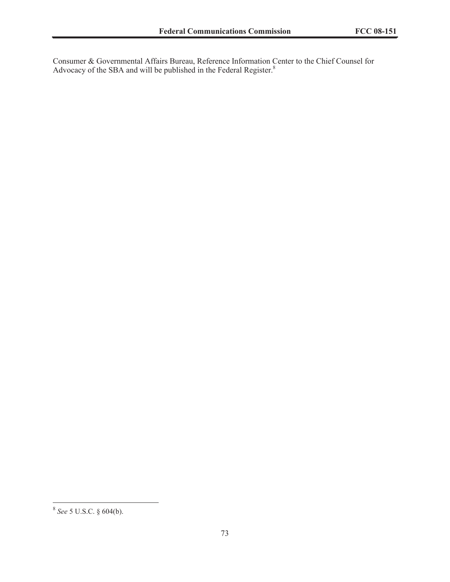Consumer & Governmental Affairs Bureau, Reference Information Center to the Chief Counsel for Advocacy of the SBA and will be published in the Federal Register.<sup>8</sup>

<sup>8</sup> *See* 5 U.S.C. § 604(b).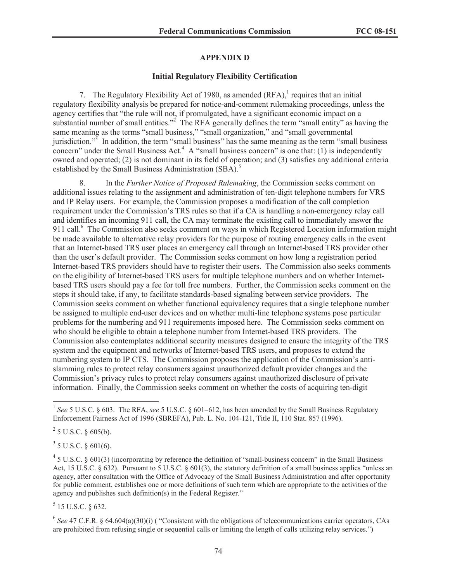# **APPENDIX D**

# **Initial Regulatory Flexibility Certification**

7. The Regulatory Flexibility Act of 1980, as amended  $(RFA)$ , requires that an initial regulatory flexibility analysis be prepared for notice-and-comment rulemaking proceedings, unless the agency certifies that "the rule will not, if promulgated, have a significant economic impact on a substantial number of small entities."<sup>2</sup> The RFA generally defines the term "small entity" as having the same meaning as the terms "small business," "small organization," and "small governmental jurisdiction."<sup>3</sup> In addition, the term "small business" has the same meaning as the term "small business" concern" under the Small Business Act.<sup>4</sup> A "small business concern" is one that: (1) is independently owned and operated; (2) is not dominant in its field of operation; and (3) satisfies any additional criteria established by the Small Business Administration (SBA).<sup>5</sup>

8. In the *Further Notice of Proposed Rulemaking*, the Commission seeks comment on additional issues relating to the assignment and administration of ten-digit telephone numbers for VRS and IP Relay users. For example, the Commission proposes a modification of the call completion requirement under the Commission's TRS rules so that if a CA is handling a non-emergency relay call and identifies an incoming 911 call, the CA may terminate the existing call to immediately answer the 911 call.<sup>6</sup> The Commission also seeks comment on ways in which Registered Location information might be made available to alternative relay providers for the purpose of routing emergency calls in the event that an Internet-based TRS user places an emergency call through an Internet-based TRS provider other than the user's default provider. The Commission seeks comment on how long a registration period Internet-based TRS providers should have to register their users. The Commission also seeks comments on the eligibility of Internet-based TRS users for multiple telephone numbers and on whether Internetbased TRS users should pay a fee for toll free numbers. Further, the Commission seeks comment on the steps it should take, if any, to facilitate standards-based signaling between service providers. The Commission seeks comment on whether functional equivalency requires that a single telephone number be assigned to multiple end-user devices and on whether multi-line telephone systems pose particular problems for the numbering and 911 requirements imposed here. The Commission seeks comment on who should be eligible to obtain a telephone number from Internet-based TRS providers. The Commission also contemplates additional security measures designed to ensure the integrity of the TRS system and the equipment and networks of Internet-based TRS users, and proposes to extend the numbering system to IP CTS. The Commission proposes the application of the Commission's antislamming rules to protect relay consumers against unauthorized default provider changes and the Commission's privacy rules to protect relay consumers against unauthorized disclosure of private information. Finally, the Commission seeks comment on whether the costs of acquiring ten-digit

 $^{2}$  5 U.S.C. § 605(b).

 $3$  5 U.S.C. § 601(6).

 $<sup>5</sup>$  15 U.S.C. § 632.</sup>

<sup>6</sup> See 47 C.F.R. § 64.604(a)(30)(i) ( "Consistent with the obligations of telecommunications carrier operators, CAs are prohibited from refusing single or sequential calls or limiting the length of calls utilizing relay services.")

<sup>&</sup>lt;sup>1</sup> See 5 U.S.C. § 603. The RFA, see 5 U.S.C. § 601–612, has been amended by the Small Business Regulatory Enforcement Fairness Act of 1996 (SBREFA), Pub. L. No. 104-121, Title II, 110 Stat. 857 (1996).

 $45$  U.S.C. § 601(3) (incorporating by reference the definition of "small-business concern" in the Small Business Act, 15 U.S.C. § 632). Pursuant to 5 U.S.C. § 601(3), the statutory definition of a small business applies "unless an agency, after consultation with the Office of Advocacy of the Small Business Administration and after opportunity for public comment, establishes one or more definitions of such term which are appropriate to the activities of the agency and publishes such definition(s) in the Federal Register."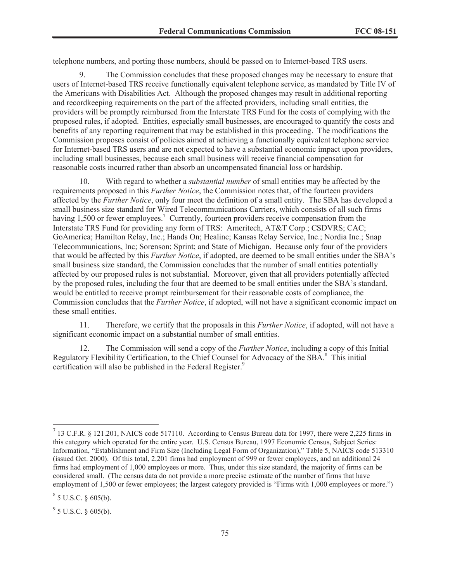telephone numbers, and porting those numbers, should be passed on to Internet-based TRS users.

9. The Commission concludes that these proposed changes may be necessary to ensure that users of Internet-based TRS receive functionally equivalent telephone service, as mandated by Title IV of the Americans with Disabilities Act. Although the proposed changes may result in additional reporting and recordkeeping requirements on the part of the affected providers, including small entities, the providers will be promptly reimbursed from the Interstate TRS Fund for the costs of complying with the proposed rules, if adopted. Entities, especially small businesses, are encouraged to quantify the costs and benefits of any reporting requirement that may be established in this proceeding. The modifications the Commission proposes consist of policies aimed at achieving a functionally equivalent telephone service for Internet-based TRS users and are not expected to have a substantial economic impact upon providers, including small businesses, because each small business will receive financial compensation for reasonable costs incurred rather than absorb an uncompensated financial loss or hardship.

10. With regard to whether a *substantial number* of small entities may be affected by the requirements proposed in this *Further Notice*, the Commission notes that, of the fourteen providers affected by the *Further Notice*, only four meet the definition of a small entity. The SBA has developed a small business size standard for Wired Telecommunications Carriers, which consists of all such firms having 1,500 or fewer employees.<sup>7</sup> Currently, fourteen providers receive compensation from the Interstate TRS Fund for providing any form of TRS: Ameritech, AT&T Corp.; CSDVRS; CAC; GoAmerica; Hamilton Relay, Inc.; Hands On; Healinc; Kansas Relay Service, Inc.; Nordia Inc.; Snap Telecommunications, Inc; Sorenson; Sprint; and State of Michigan. Because only four of the providers that would be affected by this *Further Notice*, if adopted, are deemed to be small entities under the SBA's small business size standard, the Commission concludes that the number of small entities potentially affected by our proposed rules is not substantial. Moreover, given that all providers potentially affected by the proposed rules, including the four that are deemed to be small entities under the SBA's standard, would be entitled to receive prompt reimbursement for their reasonable costs of compliance, the Commission concludes that the *Further Notice*, if adopted, will not have a significant economic impact on these small entities.

11. Therefore, we certify that the proposals in this *Further Notice*, if adopted, will not have a significant economic impact on a substantial number of small entities.

12. The Commission will send a copy of the *Further Notice*, including a copy of this Initial Regulatory Flexibility Certification, to the Chief Counsel for Advocacy of the SBA.<sup>8</sup> This initial certification will also be published in the Federal Register.<sup>9</sup>

<sup>&</sup>lt;sup>7</sup> 13 C.F.R. § 121.201, NAICS code 517110. According to Census Bureau data for 1997, there were 2,225 firms in this category which operated for the entire year. U.S. Census Bureau, 1997 Economic Census, Subject Series: Information, "Establishment and Firm Size (Including Legal Form of Organization)," Table 5, NAICS code 513310 (issued Oct. 2000). Of this total, 2,201 firms had employment of 999 or fewer employees, and an additional 24 firms had employment of 1,000 employees or more. Thus, under this size standard, the majority of firms can be considered small. (The census data do not provide a more precise estimate of the number of firms that have employment of 1,500 or fewer employees; the largest category provided is "Firms with 1,000 employees or more.")

 $8$  5 U.S.C. § 605(b).

 $9^9$  5 U.S.C. § 605(b).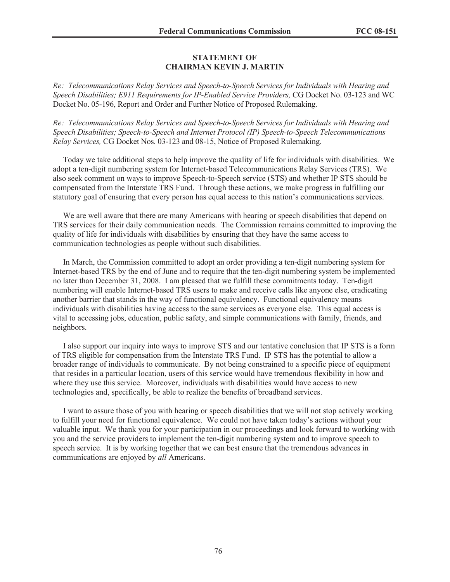# **STATEMENT OF CHAIRMAN KEVIN J. MARTIN**

*Re: Telecommunications Relay Services and Speech-to-Speech Services for Individuals with Hearing and Speech Disabilities; E911 Requirements for IP-Enabled Service Providers,* CG Docket No. 03-123 and WC Docket No. 05-196, Report and Order and Further Notice of Proposed Rulemaking.

*Re: Telecommunications Relay Services and Speech-to-Speech Services for Individuals with Hearing and Speech Disabilities; Speech-to-Speech and Internet Protocol (IP) Speech-to-Speech Telecommunications Relay Services,* CG Docket Nos. 03-123 and 08-15, Notice of Proposed Rulemaking.

Today we take additional steps to help improve the quality of life for individuals with disabilities. We adopt a ten-digit numbering system for Internet-based Telecommunications Relay Services (TRS). We also seek comment on ways to improve Speech-to-Speech service (STS) and whether IP STS should be compensated from the Interstate TRS Fund. Through these actions, we make progress in fulfilling our statutory goal of ensuring that every person has equal access to this nation's communications services.

We are well aware that there are many Americans with hearing or speech disabilities that depend on TRS services for their daily communication needs. The Commission remains committed to improving the quality of life for individuals with disabilities by ensuring that they have the same access to communication technologies as people without such disabilities.

In March, the Commission committed to adopt an order providing a ten-digit numbering system for Internet-based TRS by the end of June and to require that the ten-digit numbering system be implemented no later than December 31, 2008. I am pleased that we fulfill these commitments today. Ten-digit numbering will enable Internet-based TRS users to make and receive calls like anyone else, eradicating another barrier that stands in the way of functional equivalency. Functional equivalency means individuals with disabilities having access to the same services as everyone else. This equal access is vital to accessing jobs, education, public safety, and simple communications with family, friends, and neighbors.

I also support our inquiry into ways to improve STS and our tentative conclusion that IP STS is a form of TRS eligible for compensation from the Interstate TRS Fund. IP STS has the potential to allow a broader range of individuals to communicate. By not being constrained to a specific piece of equipment that resides in a particular location, users of this service would have tremendous flexibility in how and where they use this service. Moreover, individuals with disabilities would have access to new technologies and, specifically, be able to realize the benefits of broadband services.

I want to assure those of you with hearing or speech disabilities that we will not stop actively working to fulfill your need for functional equivalence. We could not have taken today's actions without your valuable input. We thank you for your participation in our proceedings and look forward to working with you and the service providers to implement the ten-digit numbering system and to improve speech to speech service. It is by working together that we can best ensure that the tremendous advances in communications are enjoyed by *all* Americans.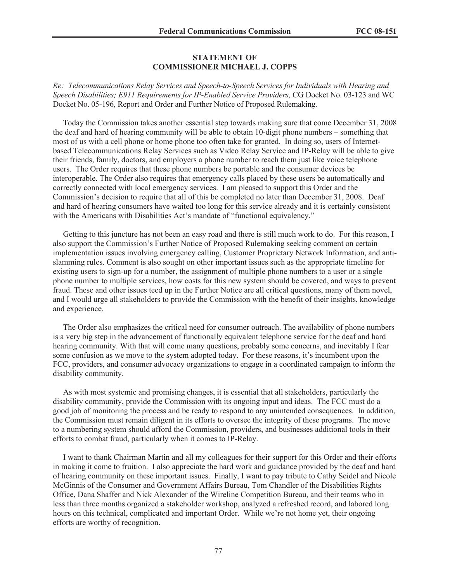## **STATEMENT OF COMMISSIONER MICHAEL J. COPPS**

*Re: Telecommunications Relay Services and Speech-to-Speech Services for Individuals with Hearing and Speech Disabilities; E911 Requirements for IP-Enabled Service Providers,* CG Docket No. 03-123 and WC Docket No. 05-196, Report and Order and Further Notice of Proposed Rulemaking.

Today the Commission takes another essential step towards making sure that come December 31, 2008 the deaf and hard of hearing community will be able to obtain 10-digit phone numbers – something that most of us with a cell phone or home phone too often take for granted. In doing so, users of Internetbased Telecommunications Relay Services such as Video Relay Service and IP-Relay will be able to give their friends, family, doctors, and employers a phone number to reach them just like voice telephone users. The Order requires that these phone numbers be portable and the consumer devices be interoperable. The Order also requires that emergency calls placed by these users be automatically and correctly connected with local emergency services. I am pleased to support this Order and the Commission's decision to require that all of this be completed no later than December 31, 2008. Deaf and hard of hearing consumers have waited too long for this service already and it is certainly consistent with the Americans with Disabilities Act's mandate of "functional equivalency."

Getting to this juncture has not been an easy road and there is still much work to do. For this reason, I also support the Commission's Further Notice of Proposed Rulemaking seeking comment on certain implementation issues involving emergency calling, Customer Proprietary Network Information, and antislamming rules. Comment is also sought on other important issues such as the appropriate timeline for existing users to sign-up for a number, the assignment of multiple phone numbers to a user or a single phone number to multiple services, how costs for this new system should be covered, and ways to prevent fraud. These and other issues teed up in the Further Notice are all critical questions, many of them novel, and I would urge all stakeholders to provide the Commission with the benefit of their insights, knowledge and experience.

The Order also emphasizes the critical need for consumer outreach. The availability of phone numbers is a very big step in the advancement of functionally equivalent telephone service for the deaf and hard hearing community. With that will come many questions, probably some concerns, and inevitably I fear some confusion as we move to the system adopted today. For these reasons, it's incumbent upon the FCC, providers, and consumer advocacy organizations to engage in a coordinated campaign to inform the disability community.

As with most systemic and promising changes, it is essential that all stakeholders, particularly the disability community, provide the Commission with its ongoing input and ideas. The FCC must do a good job of monitoring the process and be ready to respond to any unintended consequences. In addition, the Commission must remain diligent in its efforts to oversee the integrity of these programs. The move to a numbering system should afford the Commission, providers, and businesses additional tools in their efforts to combat fraud, particularly when it comes to IP-Relay.

I want to thank Chairman Martin and all my colleagues for their support for this Order and their efforts in making it come to fruition. I also appreciate the hard work and guidance provided by the deaf and hard of hearing community on these important issues. Finally, I want to pay tribute to Cathy Seidel and Nicole McGinnis of the Consumer and Government Affairs Bureau, Tom Chandler of the Disabilities Rights Office, Dana Shaffer and Nick Alexander of the Wireline Competition Bureau, and their teams who in less than three months organized a stakeholder workshop, analyzed a refreshed record, and labored long hours on this technical, complicated and important Order. While we're not home yet, their ongoing efforts are worthy of recognition.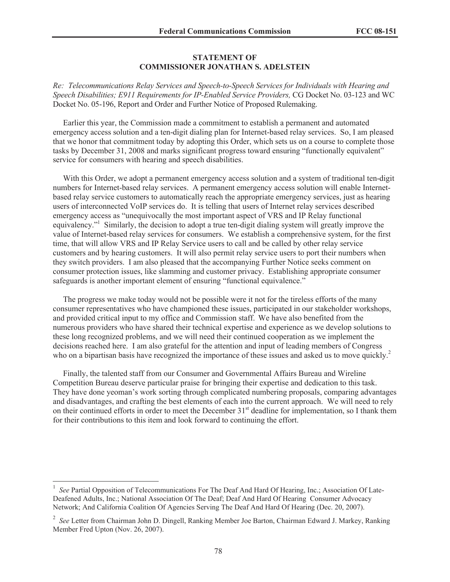# **STATEMENT OF COMMISSIONER JONATHAN S. ADELSTEIN**

*Re: Telecommunications Relay Services and Speech-to-Speech Services for Individuals with Hearing and Speech Disabilities; E911 Requirements for IP-Enabled Service Providers,* CG Docket No. 03-123 and WC Docket No. 05-196, Report and Order and Further Notice of Proposed Rulemaking.

Earlier this year, the Commission made a commitment to establish a permanent and automated emergency access solution and a ten-digit dialing plan for Internet-based relay services. So, I am pleased that we honor that commitment today by adopting this Order, which sets us on a course to complete those tasks by December 31, 2008 and marks significant progress toward ensuring "functionally equivalent" service for consumers with hearing and speech disabilities.

With this Order, we adopt a permanent emergency access solution and a system of traditional ten-digit numbers for Internet-based relay services. A permanent emergency access solution will enable Internetbased relay service customers to automatically reach the appropriate emergency services, just as hearing users of interconnected VoIP services do. It is telling that users of Internet relay services described emergency access as "unequivocally the most important aspect of VRS and IP Relay functional equivalency."<sup>1</sup> Similarly, the decision to adopt a true ten-digit dialing system will greatly improve the value of Internet-based relay services for consumers. We establish a comprehensive system, for the first time, that will allow VRS and IP Relay Service users to call and be called by other relay service customers and by hearing customers. It will also permit relay service users to port their numbers when they switch providers. I am also pleased that the accompanying Further Notice seeks comment on consumer protection issues, like slamming and customer privacy. Establishing appropriate consumer safeguards is another important element of ensuring "functional equivalence."

The progress we make today would not be possible were it not for the tireless efforts of the many consumer representatives who have championed these issues, participated in our stakeholder workshops, and provided critical input to my office and Commission staff. We have also benefited from the numerous providers who have shared their technical expertise and experience as we develop solutions to these long recognized problems, and we will need their continued cooperation as we implement the decisions reached here. I am also grateful for the attention and input of leading members of Congress who on a bipartisan basis have recognized the importance of these issues and asked us to move quickly.<sup>2</sup>

Finally, the talented staff from our Consumer and Governmental Affairs Bureau and Wireline Competition Bureau deserve particular praise for bringing their expertise and dedication to this task. They have done yeoman's work sorting through complicated numbering proposals, comparing advantages and disadvantages, and crafting the best elements of each into the current approach. We will need to rely on their continued efforts in order to meet the December 31<sup>st</sup> deadline for implementation, so I thank them for their contributions to this item and look forward to continuing the effort.

<sup>&</sup>lt;sup>1</sup> See Partial Opposition of Telecommunications For The Deaf And Hard Of Hearing, Inc.; Association Of Late-Deafened Adults, Inc.; National Association Of The Deaf; Deaf And Hard Of Hearing Consumer Advocacy Network; And California Coalition Of Agencies Serving The Deaf And Hard Of Hearing (Dec. 20, 2007).

<sup>2</sup> *See* Letter from Chairman John D. Dingell, Ranking Member Joe Barton, Chairman Edward J. Markey, Ranking Member Fred Upton (Nov. 26, 2007).